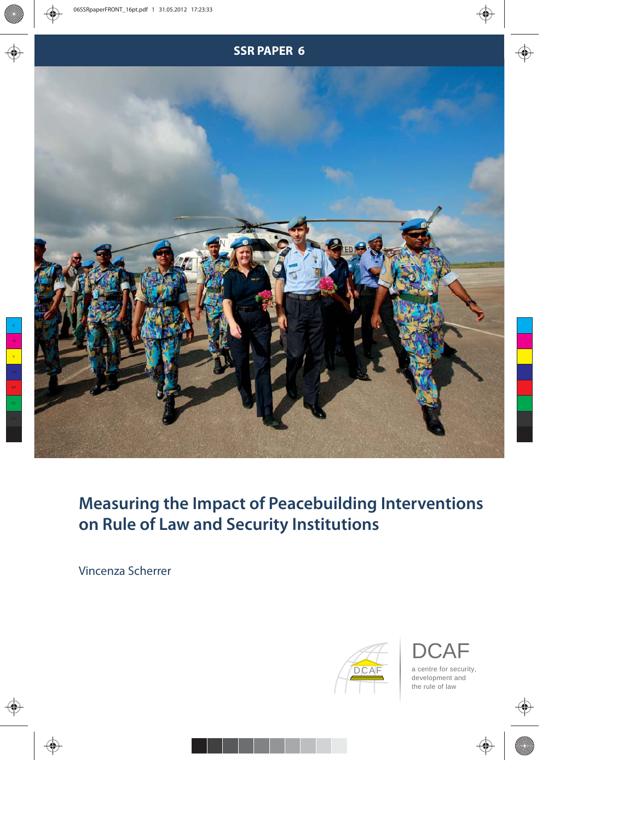

# **Measuring the Impact of Peacebuilding Interventions on Rule of Law and Security Institutions**

Vincenza Scherrer



 $\overline{A}$   $\vdash$ a centre for security, development and the rule of law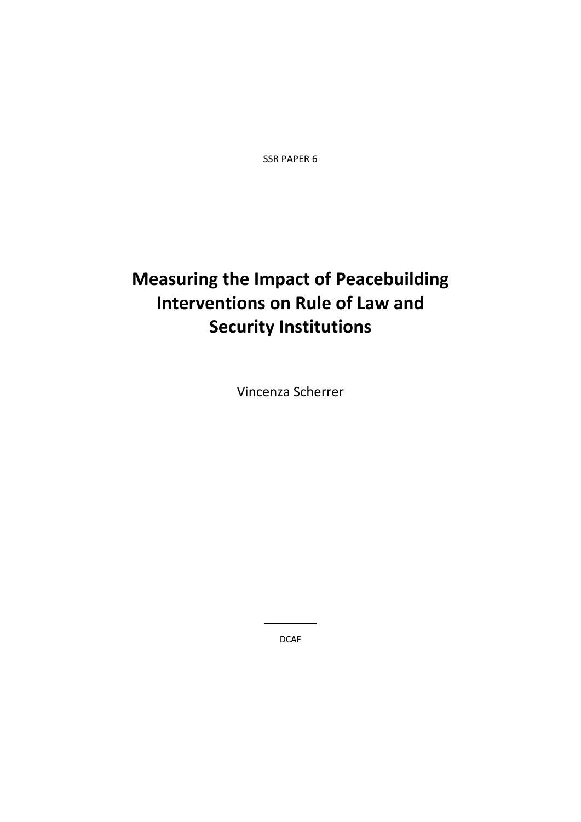SSR PAPER 6

# **Measuring the Impact of Peacebuilding Interventions on Rule of Law and Security Institutions**

Vincenza Scherrer

DCAF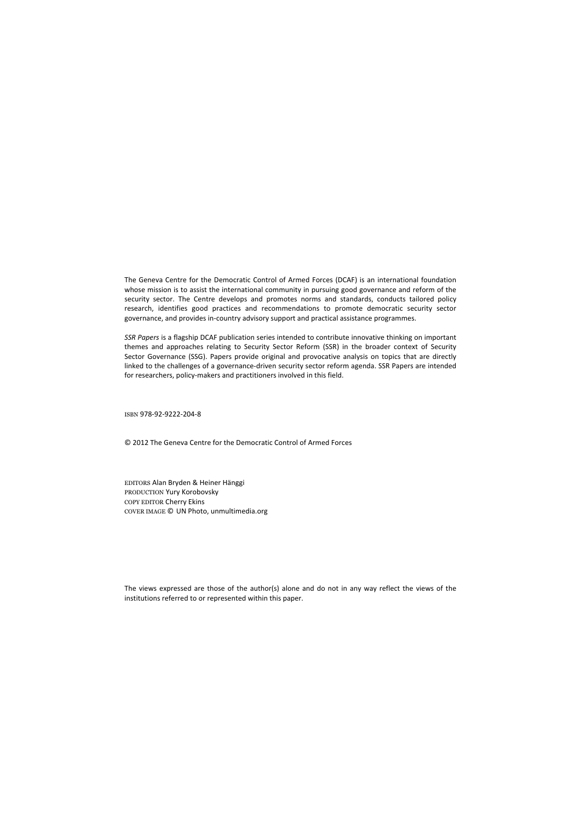The Geneva Centre for the Democratic Control of Armed Forces (DCAF) is an international foundation whose mission is to assist the international community in pursuing good governance and reform of the security sector. The Centre develops and promotes norms and standards, conducts tailored policy research, identifies good practices and recommendations to promote democratic security sector governance, and provides in‐country advisory support and practical assistance programmes.

*SSR Papers* is a flagship DCAF publication series intended to contribute innovative thinking on important themes and approaches relating to Security Sector Reform (SSR) in the broader context of Security Sector Governance (SSG). Papers provide original and provocative analysis on topics that are directly linked to the challenges of a governance-driven security sector reform agenda. SSR Papers are intended for researchers, policy-makers and practitioners involved in this field.

ISBN 978‐92‐9222‐204‐8

© 2012 The Geneva Centre for the Democratic Control of Armed Forces

EDITORS Alan Bryden & Heiner Hänggi PRODUCTION Yury Korobovsky COPY EDITOR Cherry Ekins COVER IMAGE © UN Photo, unmultimedia.org

The views expressed are those of the author(s) alone and do not in any way reflect the views of the institutions referred to or represented within this paper.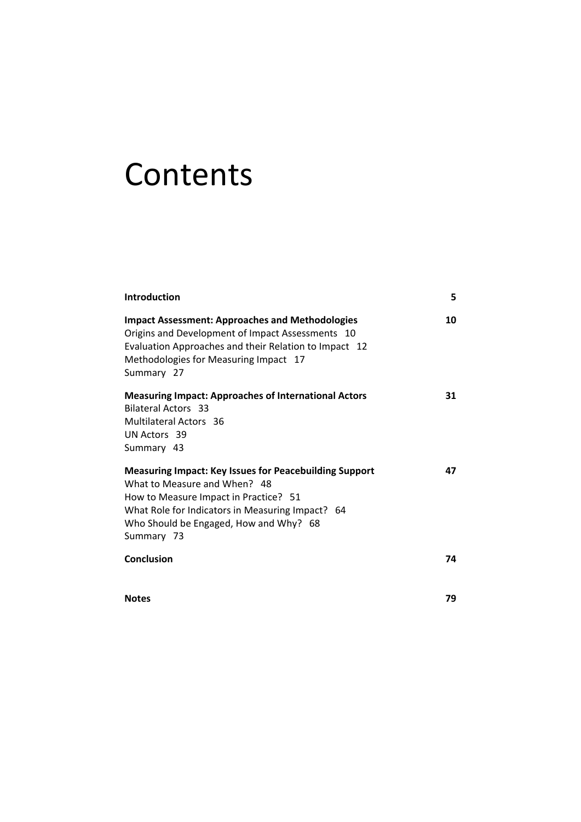# Contents

| <b>Introduction</b>                                                                                                                                                                                                                                | 5  |
|----------------------------------------------------------------------------------------------------------------------------------------------------------------------------------------------------------------------------------------------------|----|
| <b>Impact Assessment: Approaches and Methodologies</b><br>Origins and Development of Impact Assessments 10<br>Evaluation Approaches and their Relation to Impact 12<br>Methodologies for Measuring Impact 17<br>Summary 27                         | 10 |
| <b>Measuring Impact: Approaches of International Actors</b><br><b>Bilateral Actors 33</b><br>Multilateral Actors 36<br>UN Actors 39<br>Summary 43                                                                                                  | 31 |
| <b>Measuring Impact: Key Issues for Peacebuilding Support</b><br>What to Measure and When? 48<br>How to Measure Impact in Practice? 51<br>What Role for Indicators in Measuring Impact? 64<br>Who Should be Engaged, How and Why? 68<br>Summary 73 | 47 |
| Conclusion                                                                                                                                                                                                                                         | 74 |
| <b>Notes</b>                                                                                                                                                                                                                                       | 79 |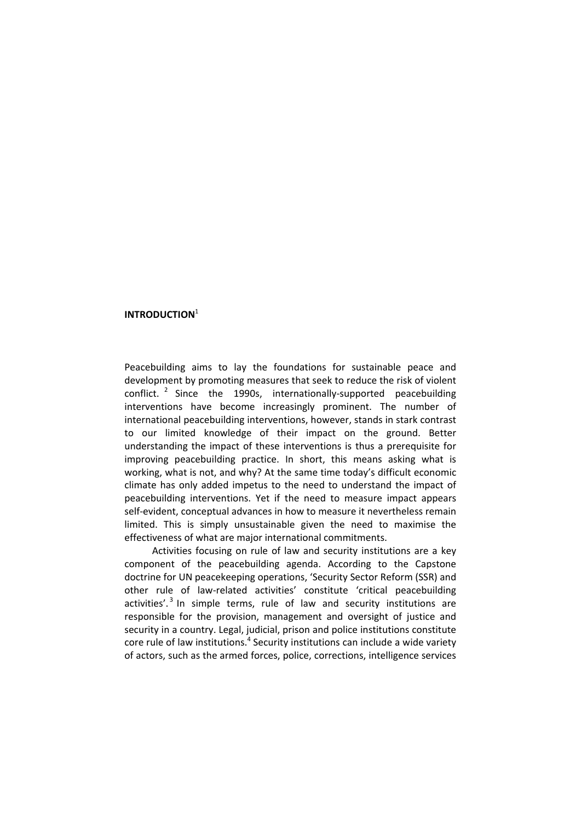## **INTRODUCTION**<sup>1</sup>

Peacebuilding aims to lay the foundations for sustainable peace and development by promoting measures that seek to reduce the risk of violent conflict.  $2$  Since the 1990s, internationally-supported peacebuilding interventions have become increasingly prominent. The number of international peacebuilding interventions, however, stands in stark contrast to our limited knowledge of their impact on the ground. Better understanding the impact of these interventions is thus a prerequisite for improving peacebuilding practice. In short, this means asking what is working, what is not, and why? At the same time today's difficult economic climate has only added impetus to the need to understand the impact of peacebuilding interventions. Yet if the need to measure impact appears self-evident, conceptual advances in how to measure it nevertheless remain limited. This is simply unsustainable given the need to maximise the effectiveness of what are major international commitments.

Activities focusing on rule of law and security institutions are a key component of the peacebuilding agenda. According to the Capstone doctrine for UN peacekeeping operations, 'Security Sector Reform (SSR) and other rule of law‐related activities' constitute 'critical peacebuilding activities'.<sup>3</sup> In simple terms, rule of law and security institutions are responsible for the provision, management and oversight of justice and security in a country. Legal, judicial, prison and police institutions constitute core rule of law institutions.<sup>4</sup> Security institutions can include a wide variety of actors, such as the armed forces, police, corrections, intelligence services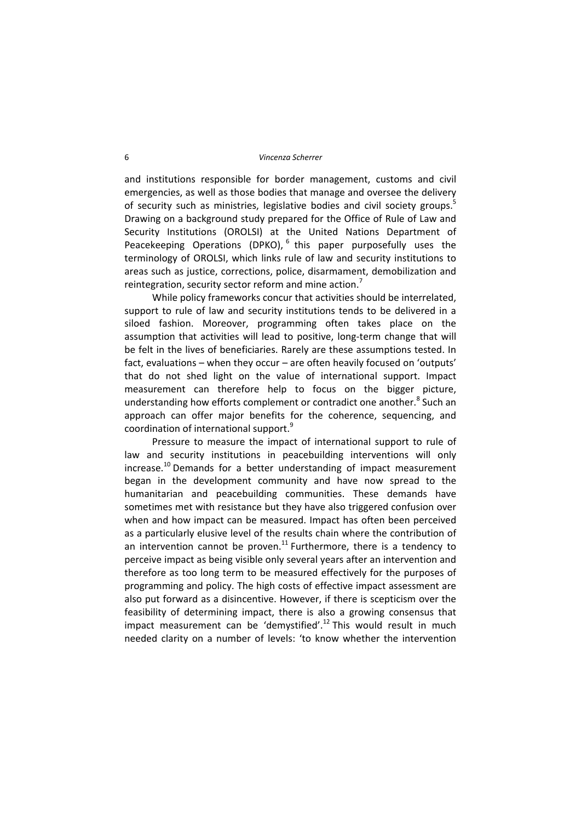#### 6 *Vincenza Scherrer*

and institutions responsible for border management, customs and civil emergencies, as well as those bodies that manage and oversee the delivery of security such as ministries, legislative bodies and civil society groups.<sup>5</sup> Drawing on a background study prepared for the Office of Rule of Law and Security Institutions (OROLSI) at the United Nations Department of Peacekeeping Operations (DPKO),  $6$  this paper purposefully uses the terminology of OROLSI, which links rule of law and security institutions to areas such as justice, corrections, police, disarmament, demobilization and reintegration, security sector reform and mine action.<sup>7</sup>

While policy frameworks concur that activities should be interrelated, support to rule of law and security institutions tends to be delivered in a siloed fashion. Moreover, programming often takes place on the assumption that activities will lead to positive, long-term change that will be felt in the lives of beneficiaries. Rarely are these assumptions tested. In fact, evaluations – when they occur – are often heavily focused on 'outputs' that do not shed light on the value of international support. Impact measurement can therefore help to focus on the bigger picture, understanding how efforts complement or contradict one another.<sup>8</sup> Such an approach can offer major benefits for the coherence, sequencing, and coordination of international support.<sup>9</sup>

Pressure to measure the impact of international support to rule of law and security institutions in peacebuilding interventions will only increase.<sup>10</sup> Demands for a better understanding of impact measurement began in the development community and have now spread to the humanitarian and peacebuilding communities. These demands have sometimes met with resistance but they have also triggered confusion over when and how impact can be measured. Impact has often been perceived as a particularly elusive level of the results chain where the contribution of an intervention cannot be proven.<sup>11</sup> Furthermore, there is a tendency to perceive impact as being visible only several years after an intervention and therefore as too long term to be measured effectively for the purposes of programming and policy. The high costs of effective impact assessment are also put forward as a disincentive. However, if there is scepticism over the feasibility of determining impact, there is also a growing consensus that impact measurement can be 'demystified'.<sup>12</sup> This would result in much needed clarity on a number of levels: 'to know whether the intervention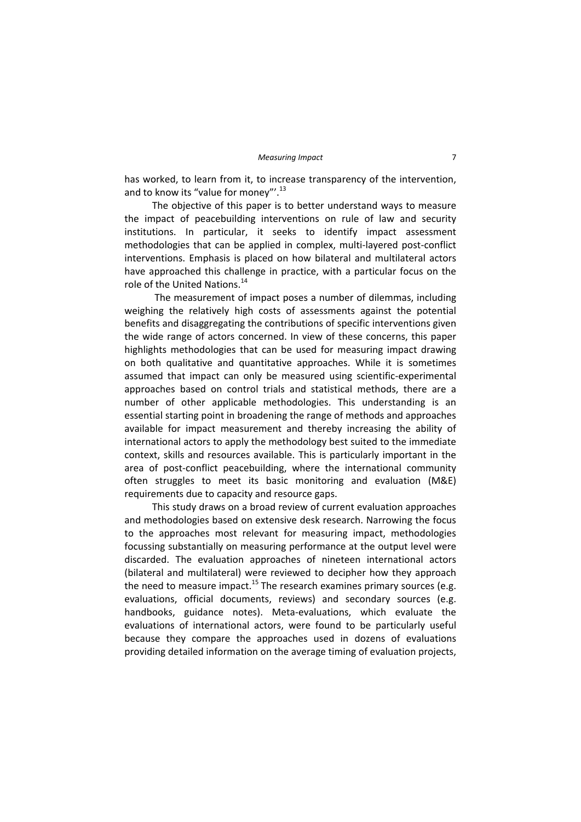has worked, to learn from it, to increase transparency of the intervention, and to know its "value for money"'.<sup>13</sup>

The objective of this paper is to better understand ways to measure the impact of peacebuilding interventions on rule of law and security institutions. In particular, it seeks to identify impact assessment methodologies that can be applied in complex, multi‐layered post‐conflict interventions. Emphasis is placed on how bilateral and multilateral actors have approached this challenge in practice, with a particular focus on the role of the United Nations.<sup>14</sup>

The measurement of impact poses a number of dilemmas, including weighing the relatively high costs of assessments against the potential benefits and disaggregating the contributions of specific interventions given the wide range of actors concerned. In view of these concerns, this paper highlights methodologies that can be used for measuring impact drawing on both qualitative and quantitative approaches. While it is sometimes assumed that impact can only be measured using scientific‐experimental approaches based on control trials and statistical methods, there are a number of other applicable methodologies. This understanding is an essential starting point in broadening the range of methods and approaches available for impact measurement and thereby increasing the ability of international actors to apply the methodology best suited to the immediate context, skills and resources available. This is particularly important in the area of post-conflict peacebuilding, where the international community often struggles to meet its basic monitoring and evaluation (M&E) requirements due to capacity and resource gaps.

This study draws on a broad review of current evaluation approaches and methodologies based on extensive desk research. Narrowing the focus to the approaches most relevant for measuring impact, methodologies focussing substantially on measuring performance at the output level were discarded. The evaluation approaches of nineteen international actors (bilateral and multilateral) were reviewed to decipher how they approach the need to measure impact.<sup>15</sup> The research examines primary sources (e.g. evaluations, official documents, reviews) and secondary sources (e.g. handbooks, guidance notes). Meta‐evaluations, which evaluate the evaluations of international actors, were found to be particularly useful because they compare the approaches used in dozens of evaluations providing detailed information on the average timing of evaluation projects,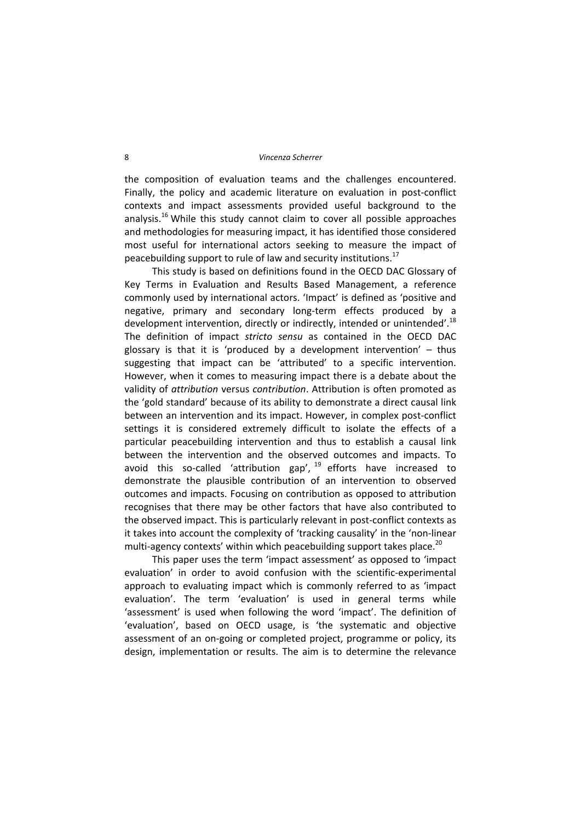the composition of evaluation teams and the challenges encountered. Finally, the policy and academic literature on evaluation in post-conflict contexts and impact assessments provided useful background to the analysis.<sup>16</sup> While this study cannot claim to cover all possible approaches and methodologies for measuring impact, it has identified those considered most useful for international actors seeking to measure the impact of peacebuilding support to rule of law and security institutions.<sup>17</sup>

This study is based on definitions found in the OECD DAC Glossary of Key Terms in Evaluation and Results Based Management, a reference commonly used by international actors. 'Impact' is defined as 'positive and negative, primary and secondary long‐term effects produced by a development intervention, directly or indirectly, intended or unintended'.<sup>18</sup> The definition of impact *stricto sensu* as contained in the OECD DAC glossary is that it is 'produced by a development intervention'  $-$  thus suggesting that impact can be 'attributed' to a specific intervention. However, when it comes to measuring impact there is a debate about the validity of *attribution* versus *contribution*. Attribution is often promoted as the 'gold standard' because of its ability to demonstrate a direct causal link between an intervention and its impact. However, in complex post-conflict settings it is considered extremely difficult to isolate the effects of a particular peacebuilding intervention and thus to establish a causal link between the intervention and the observed outcomes and impacts. To avoid this so-called 'attribution gap',  $^{19}$  efforts have increased to demonstrate the plausible contribution of an intervention to observed outcomes and impacts. Focusing on contribution as opposed to attribution recognises that there may be other factors that have also contributed to the observed impact. This is particularly relevant in post‐conflict contexts as it takes into account the complexity of 'tracking causality' in the 'non‐linear multi-agency contexts' within which peacebuilding support takes place. $^{20}$ 

This paper uses the term 'impact assessment' as opposed to 'impact evaluation' in order to avoid confusion with the scientific-experimental approach to evaluating impact which is commonly referred to as 'impact evaluation'. The term 'evaluation' is used in general terms while 'assessment' is used when following the word 'impact'. The definition of 'evaluation', based on OECD usage, is 'the systematic and objective assessment of an on‐going or completed project, programme or policy, its design, implementation or results. The aim is to determine the relevance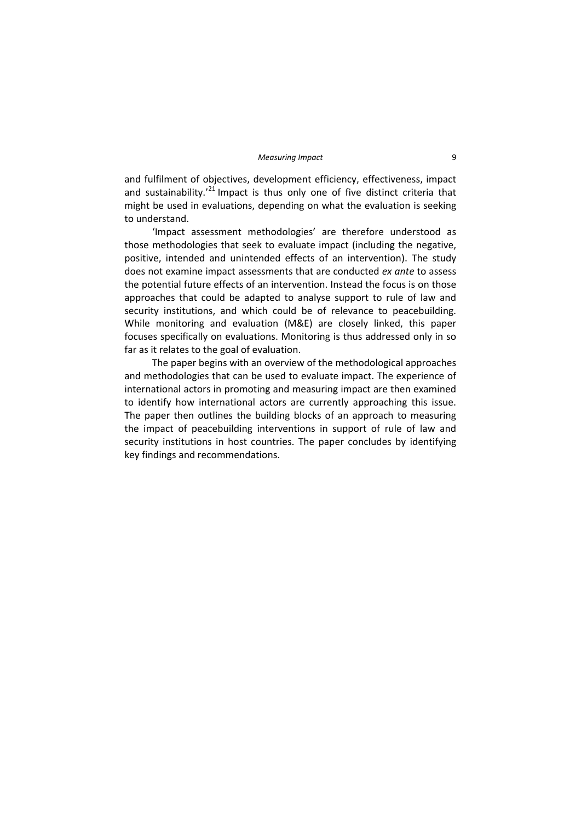and fulfilment of objectives, development efficiency, effectiveness, impact and sustainability.<sup> $21$ </sup> Impact is thus only one of five distinct criteria that might be used in evaluations, depending on what the evaluation is seeking to understand.

'Impact assessment methodologies' are therefore understood as those methodologies that seek to evaluate impact (including the negative, positive, intended and unintended effects of an intervention). The study does not examine impact assessments that are conducted *ex ante* to assess the potential future effects of an intervention. Instead the focus is on those approaches that could be adapted to analyse support to rule of law and security institutions, and which could be of relevance to peacebuilding. While monitoring and evaluation (M&E) are closely linked, this paper focuses specifically on evaluations. Monitoring is thus addressed only in so far as it relates to the goal of evaluation.

The paper begins with an overview of the methodological approaches and methodologies that can be used to evaluate impact. The experience of international actors in promoting and measuring impact are then examined to identify how international actors are currently approaching this issue. The paper then outlines the building blocks of an approach to measuring the impact of peacebuilding interventions in support of rule of law and security institutions in host countries. The paper concludes by identifying key findings and recommendations.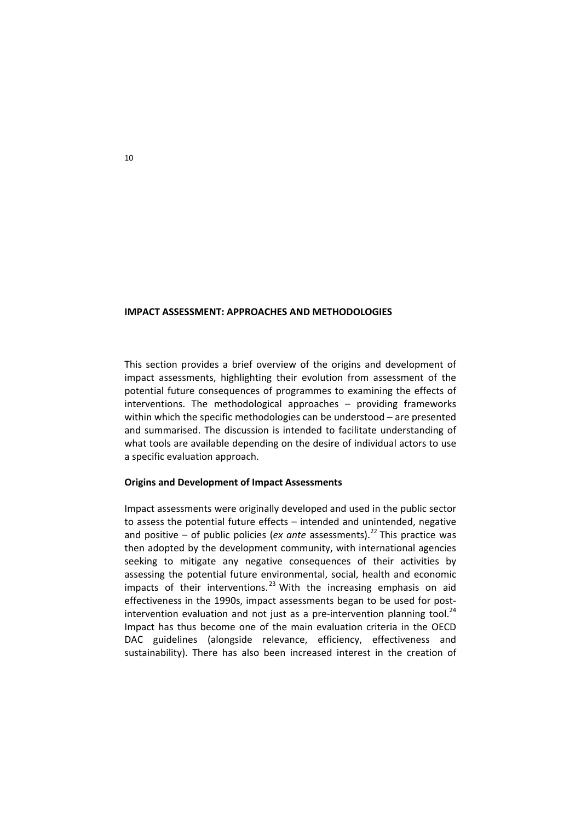#### **IMPACT ASSESSMENT: APPROACHES AND METHODOLOGIES**

This section provides a brief overview of the origins and development of impact assessments, highlighting their evolution from assessment of the potential future consequences of programmes to examining the effects of interventions. The methodological approaches – providing frameworks within which the specific methodologies can be understood – are presented and summarised. The discussion is intended to facilitate understanding of what tools are available depending on the desire of individual actors to use a specific evaluation approach.

#### **Origins and Development of Impact Assessments**

Impact assessments were originally developed and used in the public sector to assess the potential future effects – intended and unintended, negative and positive – of public policies (*ex ante* assessments).<sup>22</sup> This practice was then adopted by the development community, with international agencies seeking to mitigate any negative consequences of their activities by assessing the potential future environmental, social, health and economic impacts of their interventions.<sup>23</sup> With the increasing emphasis on aid effectiveness in the 1990s, impact assessments began to be used for post‐ intervention evaluation and not just as a pre-intervention planning tool. $^{24}$ Impact has thus become one of the main evaluation criteria in the OECD DAC guidelines (alongside relevance, efficiency, effectiveness and sustainability). There has also been increased interest in the creation of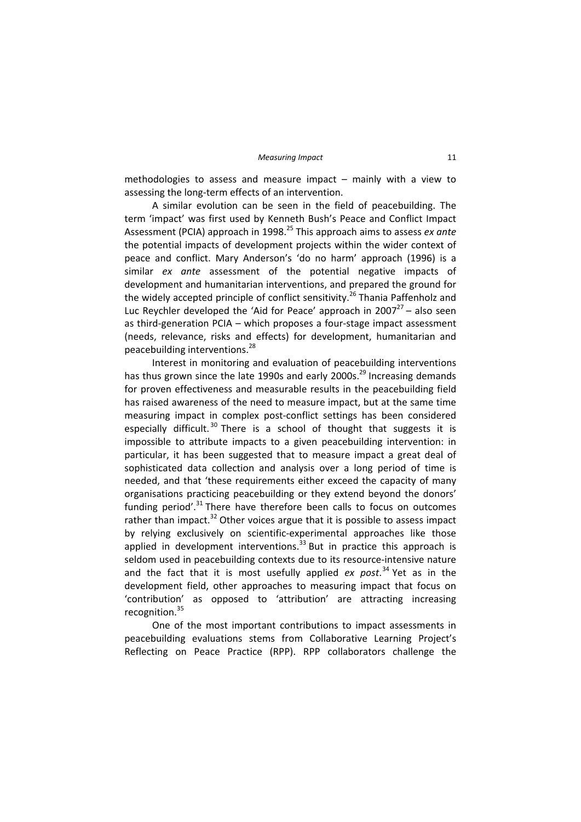methodologies to assess and measure impact – mainly with a view to assessing the long‐term effects of an intervention.

A similar evolution can be seen in the field of peacebuilding. The term 'impact' was first used by Kenneth Bush's Peace and Conflict Impact Assessment (PCIA) approach in 1998.25 This approach aims to assess *ex ante* the potential impacts of development projects within the wider context of peace and conflict. Mary Anderson's 'do no harm' approach (1996) is a similar *ex ante* assessment of the potential negative impacts of development and humanitarian interventions, and prepared the ground for the widely accepted principle of conflict sensitivity.<sup>26</sup> Thania Paffenholz and Luc Reychler developed the 'Aid for Peace' approach in 2007 $^{27}$  – also seen as third‐generation PCIA – which proposes a four‐stage impact assessment (needs, relevance, risks and effects) for development, humanitarian and peacebuilding interventions.<sup>28</sup>

Interest in monitoring and evaluation of peacebuilding interventions has thus grown since the late 1990s and early 2000s.<sup>29</sup> Increasing demands for proven effectiveness and measurable results in the peacebuilding field has raised awareness of the need to measure impact, but at the same time measuring impact in complex post‐conflict settings has been considered especially difficult.<sup>30</sup> There is a school of thought that suggests it is impossible to attribute impacts to a given peacebuilding intervention: in particular, it has been suggested that to measure impact a great deal of sophisticated data collection and analysis over a long period of time is needed, and that 'these requirements either exceed the capacity of many organisations practicing peacebuilding or they extend beyond the donors' funding period'. $31$  There have therefore been calls to focus on outcomes rather than impact. $32$  Other voices argue that it is possible to assess impact by relying exclusively on scientific‐experimental approaches like those applied in development interventions.<sup>33</sup> But in practice this approach is seldom used in peacebuilding contexts due to its resource-intensive nature and the fact that it is most usefully applied *ex post*. <sup>34</sup> Yet as in the development field, other approaches to measuring impact that focus on 'contribution' as opposed to 'attribution' are attracting increasing recognition.<sup>35</sup>

One of the most important contributions to impact assessments in peacebuilding evaluations stems from Collaborative Learning Project's Reflecting on Peace Practice (RPP). RPP collaborators challenge the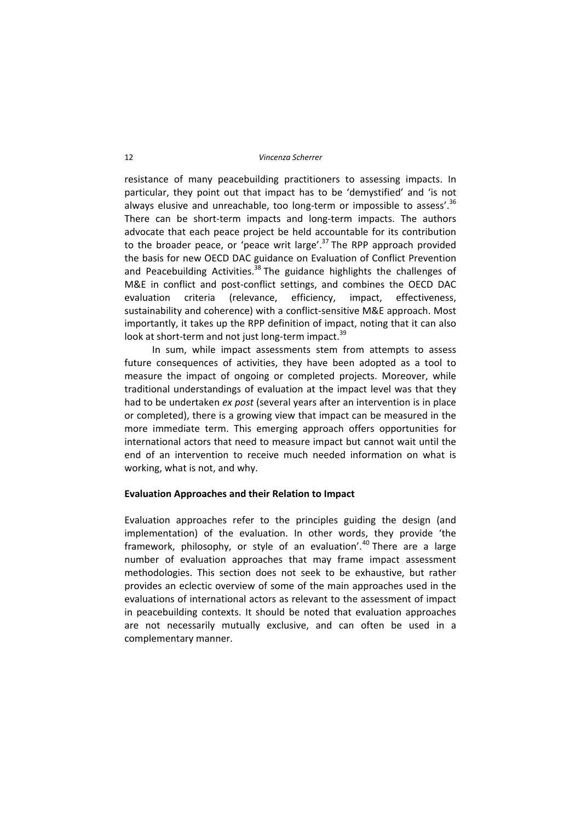resistance of many peacebuilding practitioners to assessing impacts. In particular, they point out that impact has to be 'demystified' and 'is not always elusive and unreachable, too long-term or impossible to assess'.<sup>36</sup> There can be short‐term impacts and long‐term impacts. The authors advocate that each peace project be held accountable for its contribution to the broader peace, or 'peace writ large'. $37$  The RPP approach provided the basis for new OECD DAC guidance on Evaluation of Conflict Prevention and Peacebuilding Activities.<sup>38</sup> The guidance highlights the challenges of M&E in conflict and post-conflict settings, and combines the OECD DAC evaluation criteria (relevance, efficiency, impact, effectiveness, sustainability and coherence) with a conflict-sensitive M&E approach. Most importantly, it takes up the RPP definition of impact, noting that it can also look at short-term and not just long-term impact.<sup>39</sup>

In sum, while impact assessments stem from attempts to assess future consequences of activities, they have been adopted as a tool to measure the impact of ongoing or completed projects. Moreover, while traditional understandings of evaluation at the impact level was that they had to be undertaken *ex post* (several years after an intervention is in place or completed), there is a growing view that impact can be measured in the more immediate term. This emerging approach offers opportunities for international actors that need to measure impact but cannot wait until the end of an intervention to receive much needed information on what is working, what is not, and why.

#### **Evaluation Approaches and their Relation to Impact**

Evaluation approaches refer to the principles guiding the design (and implementation) of the evaluation. In other words, they provide 'the framework, philosophy, or style of an evaluation'.<sup>40</sup> There are a large number of evaluation approaches that may frame impact assessment methodologies. This section does not seek to be exhaustive, but rather provides an eclectic overview of some of the main approaches used in the evaluations of international actors as relevant to the assessment of impact in peacebuilding contexts. It should be noted that evaluation approaches are not necessarily mutually exclusive, and can often be used in a complementary manner.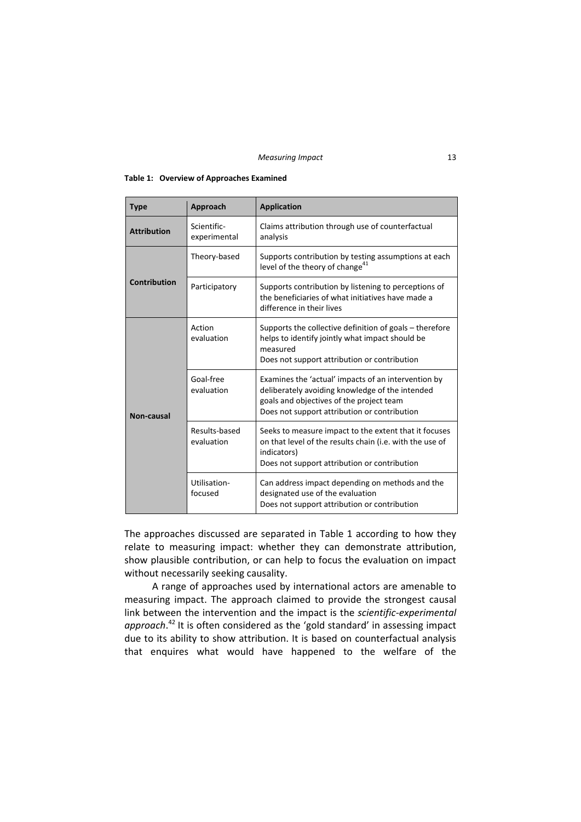#### **Table 1: Overview of Approaches Examined**

| <b>Type</b>         | Approach                    | <b>Application</b>                                                                                                                                                                                 |  |
|---------------------|-----------------------------|----------------------------------------------------------------------------------------------------------------------------------------------------------------------------------------------------|--|
| <b>Attribution</b>  | Scientific-<br>experimental | Claims attribution through use of counterfactual<br>analysis                                                                                                                                       |  |
|                     | Theory-based                | Supports contribution by testing assumptions at each<br>level of the theory of change <sup>41</sup>                                                                                                |  |
| <b>Contribution</b> | Participatory               | Supports contribution by listening to perceptions of<br>the beneficiaries of what initiatives have made a<br>difference in their lives                                                             |  |
| Non-causal          | Action<br>evaluation        | Supports the collective definition of goals – therefore<br>helps to identify jointly what impact should be<br>measured<br>Does not support attribution or contribution                             |  |
|                     | Goal-free<br>evaluation     | Examines the 'actual' impacts of an intervention by<br>deliberately avoiding knowledge of the intended<br>goals and objectives of the project team<br>Does not support attribution or contribution |  |
|                     | Results-based<br>evaluation | Seeks to measure impact to the extent that it focuses<br>on that level of the results chain (i.e. with the use of<br>indicators)<br>Does not support attribution or contribution                   |  |
|                     | Utilisation-<br>focused     | Can address impact depending on methods and the<br>designated use of the evaluation<br>Does not support attribution or contribution                                                                |  |

The approaches discussed are separated in Table 1 according to how they relate to measuring impact: whether they can demonstrate attribution, show plausible contribution, or can help to focus the evaluation on impact without necessarily seeking causality.

A range of approaches used by international actors are amenable to measuring impact. The approach claimed to provide the strongest causal link between the intervention and the impact is the *scientific-experimental approach*. <sup>42</sup> It is often considered as the 'gold standard' in assessing impact due to its ability to show attribution. It is based on counterfactual analysis that enquires what would have happened to the welfare of the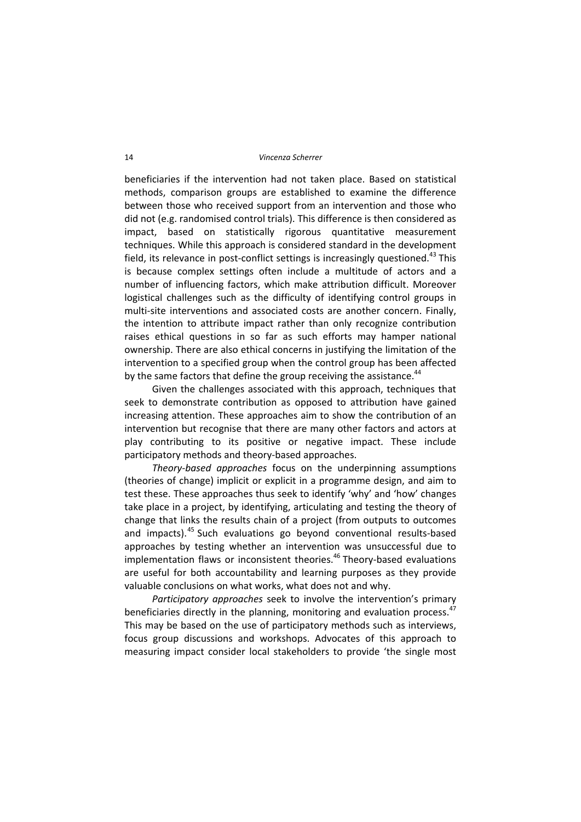beneficiaries if the intervention had not taken place. Based on statistical methods, comparison groups are established to examine the difference between those who received support from an intervention and those who did not (e.g. randomised control trials). This difference is then considered as impact, based on statistically rigorous quantitative measurement techniques. While this approach is considered standard in the development field, its relevance in post-conflict settings is increasingly questioned.<sup>43</sup> This is because complex settings often include a multitude of actors and a number of influencing factors, which make attribution difficult. Moreover logistical challenges such as the difficulty of identifying control groups in multi-site interventions and associated costs are another concern. Finally, the intention to attribute impact rather than only recognize contribution raises ethical questions in so far as such efforts may hamper national ownership. There are also ethical concerns in justifying the limitation of the intervention to a specified group when the control group has been affected by the same factors that define the group receiving the assistance.<sup>44</sup>

Given the challenges associated with this approach, techniques that seek to demonstrate contribution as opposed to attribution have gained increasing attention. These approaches aim to show the contribution of an intervention but recognise that there are many other factors and actors at play contributing to its positive or negative impact. These include participatory methods and theory‐based approaches.

*Theory‐based approaches* focus on the underpinning assumptions (theories of change) implicit or explicit in a programme design, and aim to test these. These approaches thus seek to identify 'why' and 'how' changes take place in a project, by identifying, articulating and testing the theory of change that links the results chain of a project (from outputs to outcomes and impacts).<sup>45</sup> Such evaluations go beyond conventional results-based approaches by testing whether an intervention was unsuccessful due to implementation flaws or inconsistent theories.<sup>46</sup> Theory-based evaluations are useful for both accountability and learning purposes as they provide valuable conclusions on what works, what does not and why.

*Participatory approaches* seek to involve the intervention's primary beneficiaries directly in the planning, monitoring and evaluation process.<sup>47</sup> This may be based on the use of participatory methods such as interviews, focus group discussions and workshops. Advocates of this approach to measuring impact consider local stakeholders to provide 'the single most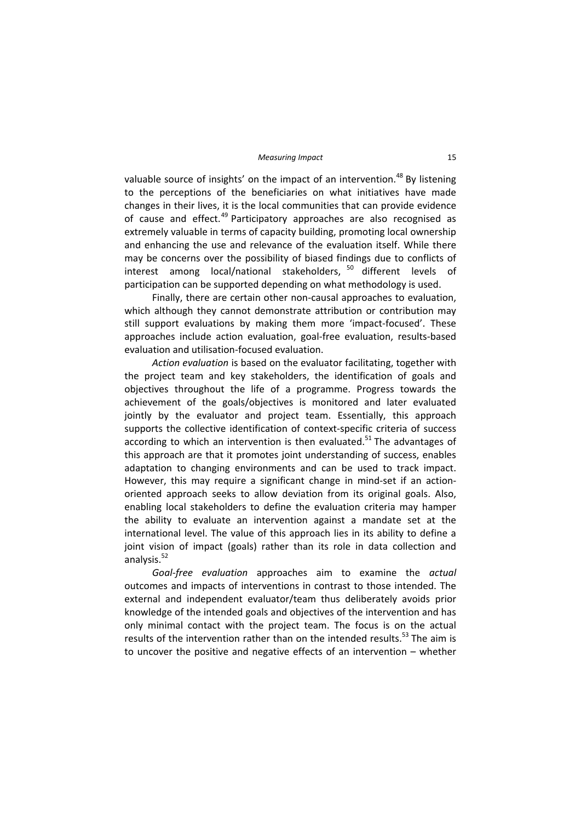valuable source of insights' on the impact of an intervention.<sup>48</sup> By listening to the perceptions of the beneficiaries on what initiatives have made changes in their lives, it is the local communities that can provide evidence of cause and effect. $49$  Participatory approaches are also recognised as extremely valuable in terms of capacity building, promoting local ownership and enhancing the use and relevance of the evaluation itself. While there may be concerns over the possibility of biased findings due to conflicts of interest among local/national stakeholders,  $50$  different levels of participation can be supported depending on what methodology is used.

Finally, there are certain other non‐causal approaches to evaluation, which although they cannot demonstrate attribution or contribution may still support evaluations by making them more 'impact-focused'. These approaches include action evaluation, goal‐free evaluation, results‐based evaluation and utilisation‐focused evaluation.

*Action evaluation* is based on the evaluator facilitating, together with the project team and key stakeholders, the identification of goals and objectives throughout the life of a programme. Progress towards the achievement of the goals/objectives is monitored and later evaluated jointly by the evaluator and project team. Essentially, this approach supports the collective identification of context-specific criteria of success according to which an intervention is then evaluated.<sup>51</sup> The advantages of this approach are that it promotes joint understanding of success, enables adaptation to changing environments and can be used to track impact. However, this may require a significant change in mind‐set if an action‐ oriented approach seeks to allow deviation from its original goals. Also, enabling local stakeholders to define the evaluation criteria may hamper the ability to evaluate an intervention against a mandate set at the international level. The value of this approach lies in its ability to define a joint vision of impact (goals) rather than its role in data collection and analysis. $52$ 

*Goal‐free evaluation* approaches aim to examine the *actual* outcomes and impacts of interventions in contrast to those intended. The external and independent evaluator/team thus deliberately avoids prior knowledge of the intended goals and objectives of the intervention and has only minimal contact with the project team. The focus is on the actual results of the intervention rather than on the intended results. $53$  The aim is to uncover the positive and negative effects of an intervention – whether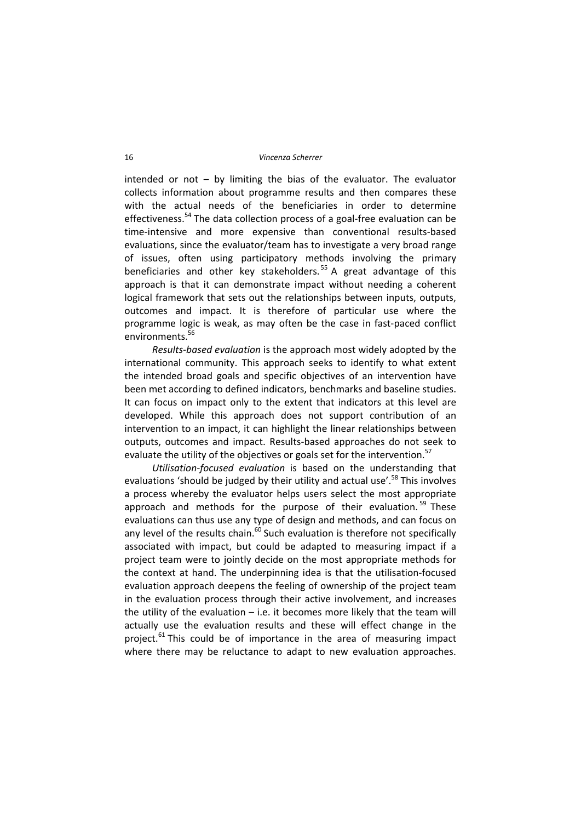intended or not  $-$  by limiting the bias of the evaluator. The evaluator collects information about programme results and then compares these with the actual needs of the beneficiaries in order to determine effectiveness.<sup>54</sup> The data collection process of a goal-free evaluation can be time‐intensive and more expensive than conventional results‐based evaluations, since the evaluator/team has to investigate a very broad range of issues, often using participatory methods involving the primary beneficiaries and other key stakeholders.<sup>55</sup> A great advantage of this approach is that it can demonstrate impact without needing a coherent logical framework that sets out the relationships between inputs, outputs, outcomes and impact. It is therefore of particular use where the programme logic is weak, as may often be the case in fast‐paced conflict environments.<sup>56</sup>

*Results‐based evaluation* is the approach most widely adopted by the international community. This approach seeks to identify to what extent the intended broad goals and specific objectives of an intervention have been met according to defined indicators, benchmarks and baseline studies. It can focus on impact only to the extent that indicators at this level are developed. While this approach does not support contribution of an intervention to an impact, it can highlight the linear relationships between outputs, outcomes and impact. Results‐based approaches do not seek to evaluate the utility of the objectives or goals set for the intervention.<sup>57</sup>

*Utilisation‐focused evaluation* is based on the understanding that evaluations 'should be judged by their utility and actual use'.<sup>58</sup> This involves a process whereby the evaluator helps users select the most appropriate approach and methods for the purpose of their evaluation.<sup>59</sup> These evaluations can thus use any type of design and methods, and can focus on any level of the results chain. $60$  Such evaluation is therefore not specifically associated with impact, but could be adapted to measuring impact if a project team were to jointly decide on the most appropriate methods for the context at hand. The underpinning idea is that the utilisation‐focused evaluation approach deepens the feeling of ownership of the project team in the evaluation process through their active involvement, and increases the utility of the evaluation  $-$  i.e. it becomes more likely that the team will actually use the evaluation results and these will effect change in the project. $61$ <sup>ch</sup> This could be of importance in the area of measuring impact where there may be reluctance to adapt to new evaluation approaches.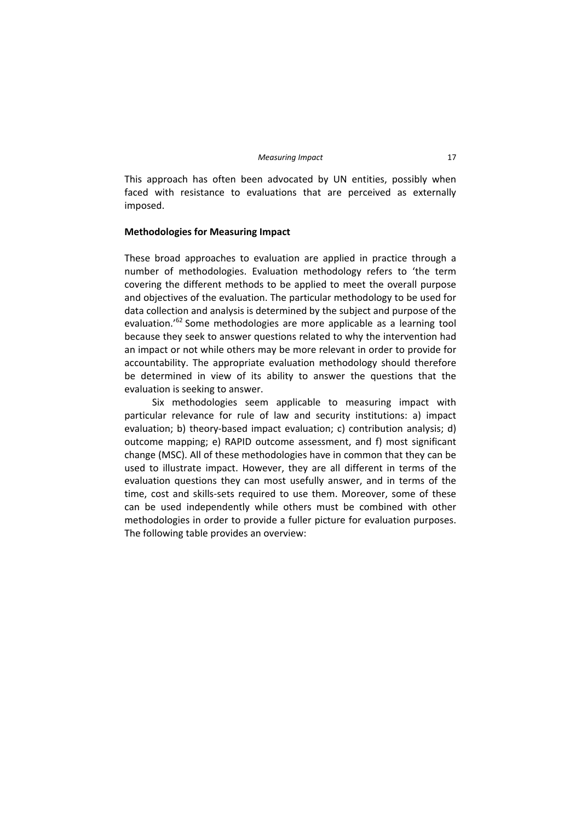This approach has often been advocated by UN entities, possibly when faced with resistance to evaluations that are perceived as externally imposed.

#### **Methodologies for Measuring Impact**

These broad approaches to evaluation are applied in practice through a number of methodologies. Evaluation methodology refers to 'the term covering the different methods to be applied to meet the overall purpose and objectives of the evaluation. The particular methodology to be used for data collection and analysis is determined by the subject and purpose of the evaluation.<sup>'62</sup> Some methodologies are more applicable as a learning tool because they seek to answer questions related to why the intervention had an impact or not while others may be more relevant in order to provide for accountability. The appropriate evaluation methodology should therefore be determined in view of its ability to answer the questions that the evaluation is seeking to answer.

Six methodologies seem applicable to measuring impact with particular relevance for rule of law and security institutions: a) impact evaluation; b) theory-based impact evaluation; c) contribution analysis; d) outcome mapping; e) RAPID outcome assessment, and f) most significant change (MSC). All of these methodologies have in common that they can be used to illustrate impact. However, they are all different in terms of the evaluation questions they can most usefully answer, and in terms of the time, cost and skills‐sets required to use them. Moreover, some of these can be used independently while others must be combined with other methodologies in order to provide a fuller picture for evaluation purposes. The following table provides an overview: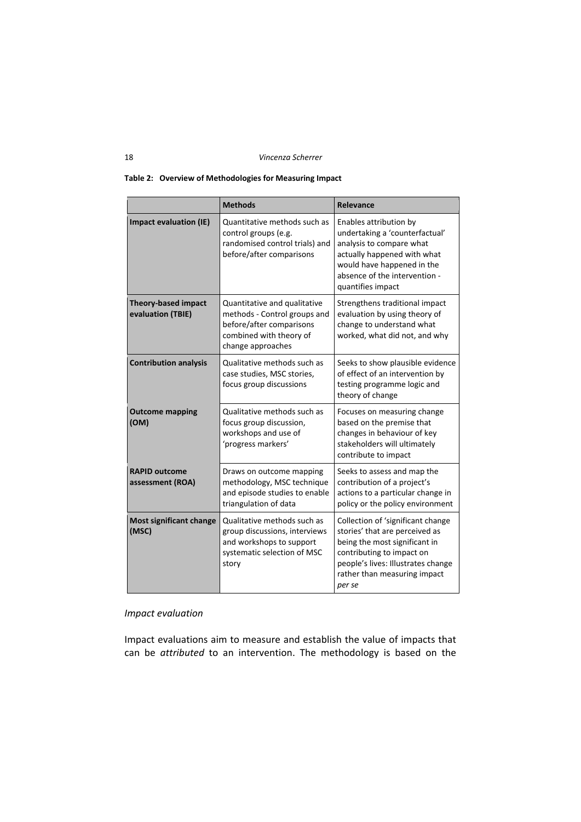#### **Table 2: Overview of Methodologies for Measuring Impact**

|                                                 | <b>Methods</b>                                                                                                                           | Relevance                                                                                                                                                                                                         |
|-------------------------------------------------|------------------------------------------------------------------------------------------------------------------------------------------|-------------------------------------------------------------------------------------------------------------------------------------------------------------------------------------------------------------------|
| <b>Impact evaluation (IE)</b>                   | Quantitative methods such as<br>control groups (e.g.<br>randomised control trials) and<br>before/after comparisons                       | Enables attribution by<br>undertaking a 'counterfactual'<br>analysis to compare what<br>actually happened with what<br>would have happened in the<br>absence of the intervention -<br>quantifies impact           |
| <b>Theory-based impact</b><br>evaluation (TBIE) | Quantitative and qualitative<br>methods - Control groups and<br>before/after comparisons<br>combined with theory of<br>change approaches | Strengthens traditional impact<br>evaluation by using theory of<br>change to understand what<br>worked, what did not, and why                                                                                     |
| <b>Contribution analysis</b>                    | Qualitative methods such as<br>case studies, MSC stories,<br>focus group discussions                                                     | Seeks to show plausible evidence<br>of effect of an intervention by<br>testing programme logic and<br>theory of change                                                                                            |
| <b>Outcome mapping</b><br>(OM)                  | Qualitative methods such as<br>focus group discussion,<br>workshops and use of<br>'progress markers'                                     | Focuses on measuring change<br>based on the premise that<br>changes in behaviour of key<br>stakeholders will ultimately<br>contribute to impact                                                                   |
| <b>RAPID outcome</b><br>assessment (ROA)        | Draws on outcome mapping<br>methodology, MSC technique<br>and episode studies to enable<br>triangulation of data                         | Seeks to assess and map the<br>contribution of a project's<br>actions to a particular change in<br>policy or the policy environment                                                                               |
| Most significant change<br>(MSC)                | Qualitative methods such as<br>group discussions, interviews<br>and workshops to support<br>systematic selection of MSC<br>story         | Collection of 'significant change<br>stories' that are perceived as<br>being the most significant in<br>contributing to impact on<br>people's lives: Illustrates change<br>rather than measuring impact<br>per se |

### *Impact evaluation*

Impact evaluations aim to measure and establish the value of impacts that can be *attributed* to an intervention. The methodology is based on the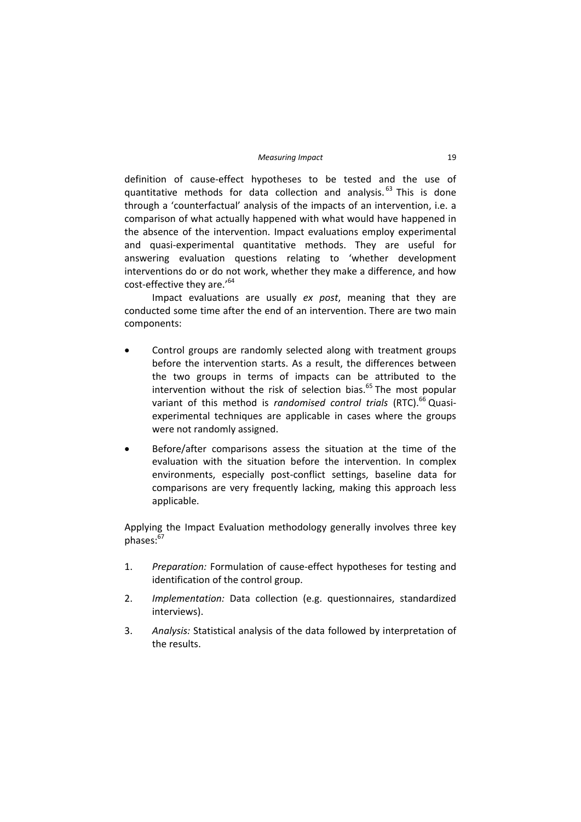definition of cause‐effect hypotheses to be tested and the use of quantitative methods for data collection and analysis.<sup>63</sup> This is done through a 'counterfactual' analysis of the impacts of an intervention, i.e. a comparison of what actually happened with what would have happened in the absence of the intervention. Impact evaluations employ experimental and quasi‐experimental quantitative methods. They are useful for answering evaluation questions relating to 'whether development interventions do or do not work, whether they make a difference, and how cost-effective they are.'<sup>64</sup>

Impact evaluations are usually *ex post*, meaning that they are conducted some time after the end of an intervention. There are two main components:

- Control groups are randomly selected along with treatment groups before the intervention starts. As a result, the differences between the two groups in terms of impacts can be attributed to the intervention without the risk of selection bias. $65$  The most popular variant of this method is *randomised control trials* (RTC).<sup>66</sup> Quasiexperimental techniques are applicable in cases where the groups were not randomly assigned.
- Before/after comparisons assess the situation at the time of the evaluation with the situation before the intervention. In complex environments, especially post-conflict settings, baseline data for comparisons are very frequently lacking, making this approach less applicable.

Applying the Impact Evaluation methodology generally involves three key  $n$ hases: $67$ 

- 1. *Preparation:* Formulation of cause‐effect hypotheses for testing and identification of the control group.
- 2. *Implementation:* Data collection (e.g. questionnaires, standardized interviews).
- 3. *Analysis:* Statistical analysis of the data followed by interpretation of the results.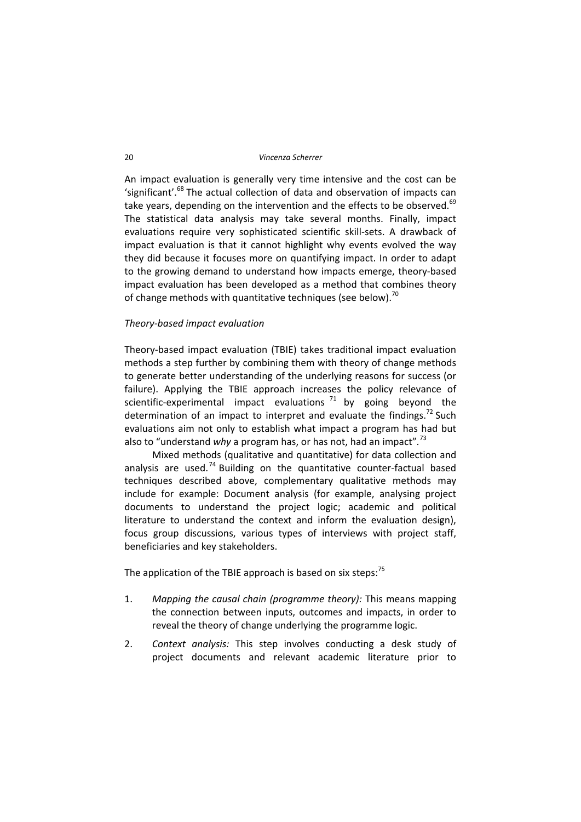An impact evaluation is generally very time intensive and the cost can be 'significant'.<sup>68</sup> The actual collection of data and observation of impacts can take years, depending on the intervention and the effects to be observed. $69$ The statistical data analysis may take several months. Finally, impact evaluations require very sophisticated scientific skill‐sets. A drawback of impact evaluation is that it cannot highlight why events evolved the way they did because it focuses more on quantifying impact. In order to adapt to the growing demand to understand how impacts emerge, theory‐based impact evaluation has been developed as a method that combines theory of change methods with quantitative techniques (see below).<sup>70</sup>

#### *Theory‐based impact evaluation*

Theory‐based impact evaluation (TBIE) takes traditional impact evaluation methods a step further by combining them with theory of change methods to generate better understanding of the underlying reasons for success (or failure). Applying the TBIE approach increases the policy relevance of scientific-experimental impact evaluations  $71$  by going beyond the determination of an impact to interpret and evaluate the findings.<sup>72</sup> Such evaluations aim not only to establish what impact a program has had but also to "understand *why* a program has, or has not, had an impact"*.* 73

Mixed methods (qualitative and quantitative) for data collection and analysis are used.<sup>74</sup> Building on the quantitative counter-factual based techniques described above, complementary qualitative methods may include for example: Document analysis (for example, analysing project documents to understand the project logic; academic and political literature to understand the context and inform the evaluation design), focus group discussions, various types of interviews with project staff, beneficiaries and key stakeholders.

The application of the TBIE approach is based on six steps: $75$ 

- 1. *Mapping the causal chain (programme theory):* This means mapping the connection between inputs, outcomes and impacts, in order to reveal the theory of change underlying the programme logic.
- 2. *Context analysis:* This step involves conducting a desk study of project documents and relevant academic literature prior to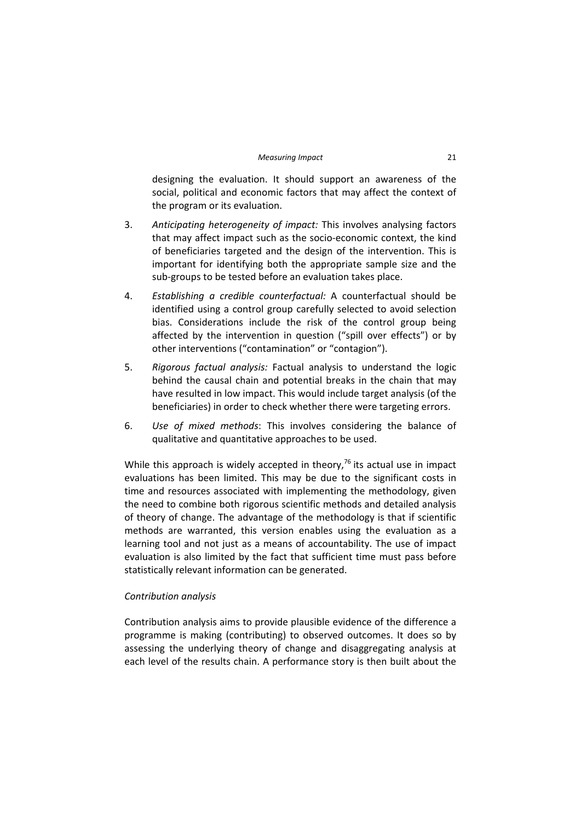designing the evaluation. It should support an awareness of the social, political and economic factors that may affect the context of the program or its evaluation.

- 3. *Anticipating heterogeneity of impact:* This involves analysing factors that may affect impact such as the socio‐economic context, the kind of beneficiaries targeted and the design of the intervention. This is important for identifying both the appropriate sample size and the sub‐groups to be tested before an evaluation takes place.
- 4. *Establishing a credible counterfactual:* A counterfactual should be identified using a control group carefully selected to avoid selection bias. Considerations include the risk of the control group being affected by the intervention in question ("spill over effects") or by other interventions ("contamination" or "contagion").
- 5. *Rigorous factual analysis:* Factual analysis to understand the logic behind the causal chain and potential breaks in the chain that may have resulted in low impact. This would include target analysis (of the beneficiaries) in order to check whether there were targeting errors.
- 6. *Use of mixed methods*: This involves considering the balance of qualitative and quantitative approaches to be used.

While this approach is widely accepted in theory,  $76$  its actual use in impact evaluations has been limited. This may be due to the significant costs in time and resources associated with implementing the methodology, given the need to combine both rigorous scientific methods and detailed analysis of theory of change. The advantage of the methodology is that if scientific methods are warranted, this version enables using the evaluation as a learning tool and not just as a means of accountability. The use of impact evaluation is also limited by the fact that sufficient time must pass before statistically relevant information can be generated.

# *Contribution analysis*

Contribution analysis aims to provide plausible evidence of the difference a programme is making (contributing) to observed outcomes. It does so by assessing the underlying theory of change and disaggregating analysis at each level of the results chain. A performance story is then built about the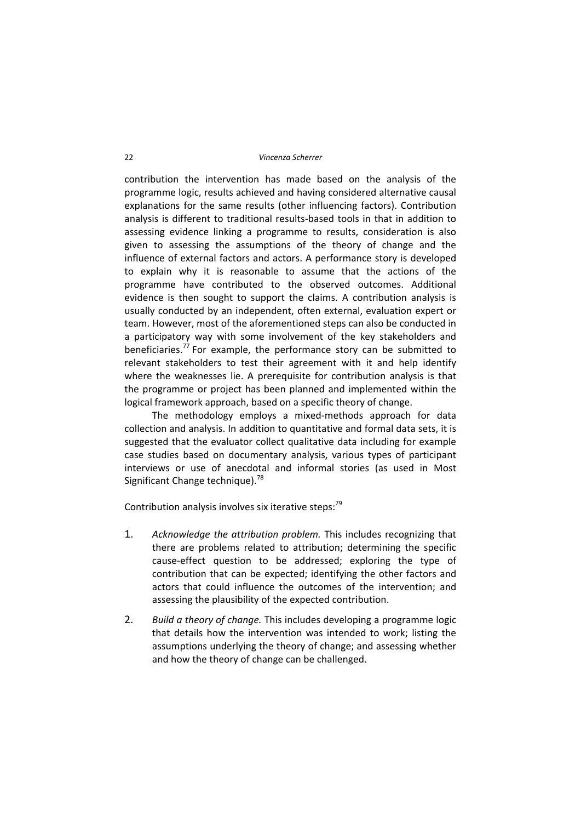#### 22 *Vincenza Scherrer*

contribution the intervention has made based on the analysis of the programme logic, results achieved and having considered alternative causal explanations for the same results (other influencing factors). Contribution analysis is different to traditional results‐based tools in that in addition to assessing evidence linking a programme to results, consideration is also given to assessing the assumptions of the theory of change and the influence of external factors and actors. A performance story is developed to explain why it is reasonable to assume that the actions of the programme have contributed to the observed outcomes. Additional evidence is then sought to support the claims. A contribution analysis is usually conducted by an independent, often external, evaluation expert or team. However, most of the aforementioned steps can also be conducted in a participatory way with some involvement of the key stakeholders and beneficiaries.<sup>77</sup> For example, the performance story can be submitted to relevant stakeholders to test their agreement with it and help identify where the weaknesses lie. A prerequisite for contribution analysis is that the programme or project has been planned and implemented within the logical framework approach, based on a specific theory of change.

The methodology employs a mixed-methods approach for data collection and analysis. In addition to quantitative and formal data sets, it is suggested that the evaluator collect qualitative data including for example case studies based on documentary analysis, various types of participant interviews or use of anecdotal and informal stories (as used in Most Significant Change technique).<sup>78</sup>

Contribution analysis involves six iterative steps: $79$ 

- 1. *Acknowledge the attribution problem.* This includes recognizing that there are problems related to attribution; determining the specific cause‐effect question to be addressed; exploring the type of contribution that can be expected; identifying the other factors and actors that could influence the outcomes of the intervention; and assessing the plausibility of the expected contribution.
- 2. *Build a theory of change.* This includes developing a programme logic that details how the intervention was intended to work; listing the assumptions underlying the theory of change; and assessing whether and how the theory of change can be challenged.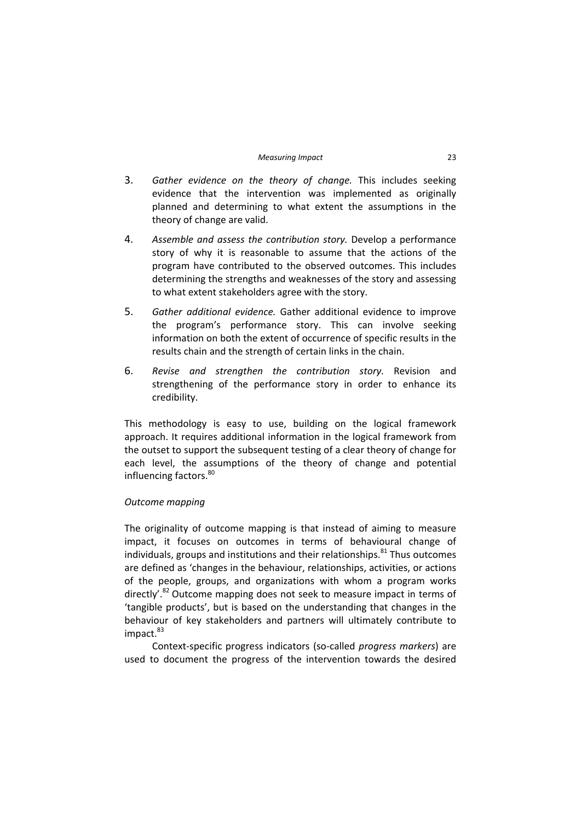- 3. *Gather evidence on the theory of change.* This includes seeking evidence that the intervention was implemented as originally planned and determining to what extent the assumptions in the theory of change are valid.
- 4. *Assemble and assess the contribution story.* Develop a performance story of why it is reasonable to assume that the actions of the program have contributed to the observed outcomes. This includes determining the strengths and weaknesses of the story and assessing to what extent stakeholders agree with the story.
- 5. *Gather additional evidence.* Gather additional evidence to improve the program's performance story. This can involve seeking information on both the extent of occurrence of specific results in the results chain and the strength of certain links in the chain.
- 6. *Revise and strengthen the contribution story.* Revision and strengthening of the performance story in order to enhance its credibility.

This methodology is easy to use, building on the logical framework approach. It requires additional information in the logical framework from the outset to support the subsequent testing of a clear theory of change for each level, the assumptions of the theory of change and potential influencing factors.<sup>80</sup>

# *Outcome mapping*

The originality of outcome mapping is that instead of aiming to measure impact, it focuses on outcomes in terms of behavioural change of individuals, groups and institutions and their relationships. $81$  Thus outcomes are defined as 'changes in the behaviour, relationships, activities, or actions of the people, groups, and organizations with whom a program works directly'.<sup>82</sup> Outcome mapping does not seek to measure impact in terms of 'tangible products', but is based on the understanding that changes in the behaviour of key stakeholders and partners will ultimately contribute to impact.<sup>83</sup>

Context‐specific progress indicators (so‐called *progress markers*) are used to document the progress of the intervention towards the desired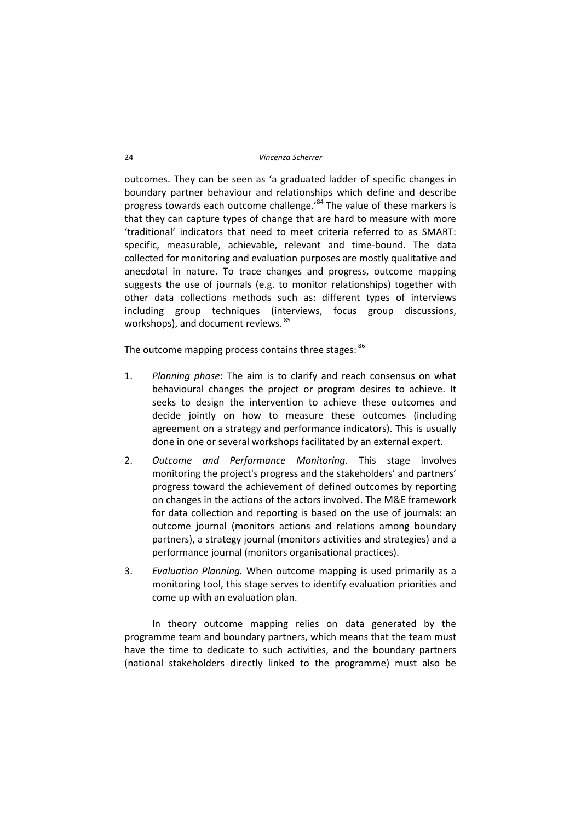outcomes. They can be seen as 'a graduated ladder of specific changes in boundary partner behaviour and relationships which define and describe progress towards each outcome challenge.<sup>84</sup> The value of these markers is that they can capture types of change that are hard to measure with more 'traditional' indicators that need to meet criteria referred to as SMART: specific, measurable, achievable, relevant and time-bound. The data collected for monitoring and evaluation purposes are mostly qualitative and anecdotal in nature. To trace changes and progress, outcome mapping suggests the use of journals (e.g. to monitor relationships) together with other data collections methods such as: different types of interviews including group techniques (interviews, focus group discussions, workshops), and document reviews. <sup>85</sup>

The outcome mapping process contains three stages: 86

- 1. *Planning phase*: The aim is to clarify and reach consensus on what behavioural changes the project or program desires to achieve. It seeks to design the intervention to achieve these outcomes and decide jointly on how to measure these outcomes (including agreement on a strategy and performance indicators). This is usually done in one or several workshops facilitated by an external expert.
- 2. *Outcome and Performance Monitoring.* This stage involves monitoring the project's progress and the stakeholders' and partners' progress toward the achievement of defined outcomes by reporting on changes in the actions of the actors involved. The M&E framework for data collection and reporting is based on the use of journals: an outcome journal (monitors actions and relations among boundary partners), a strategy journal (monitors activities and strategies) and a performance journal (monitors organisational practices).
- 3. *Evaluation Planning.* When outcome mapping is used primarily as a monitoring tool, this stage serves to identify evaluation priorities and come up with an evaluation plan.

In theory outcome mapping relies on data generated by the programme team and boundary partners, which means that the team must have the time to dedicate to such activities, and the boundary partners (national stakeholders directly linked to the programme) must also be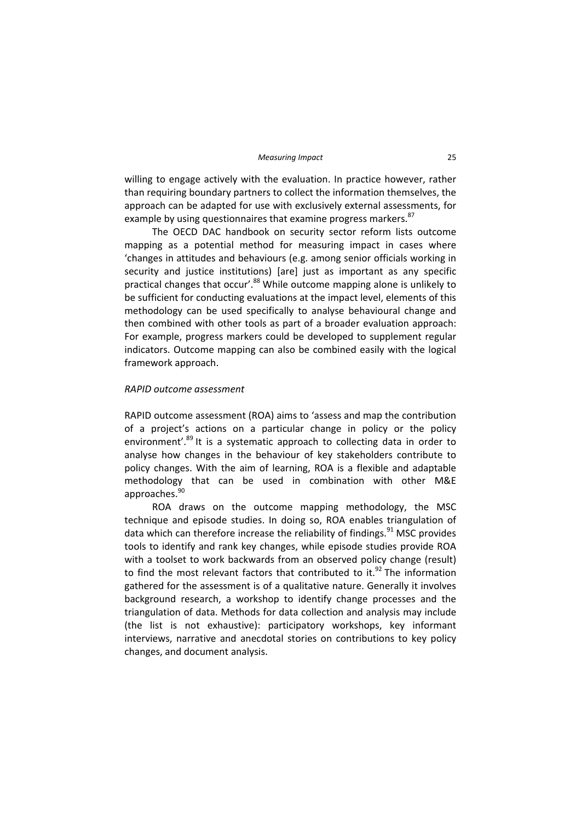willing to engage actively with the evaluation. In practice however, rather than requiring boundary partners to collect the information themselves, the approach can be adapted for use with exclusively external assessments, for example by using questionnaires that examine progress markers.<sup>87</sup>

The OECD DAC handbook on security sector reform lists outcome mapping as a potential method for measuring impact in cases where 'changes in attitudes and behaviours (e.g. among senior officials working in security and justice institutions) [are] just as important as any specific practical changes that occur'.<sup>88</sup> While outcome mapping alone is unlikely to be sufficient for conducting evaluations at the impact level, elements of this methodology can be used specifically to analyse behavioural change and then combined with other tools as part of a broader evaluation approach: For example, progress markers could be developed to supplement regular indicators. Outcome mapping can also be combined easily with the logical framework approach.

#### *RAPID outcome assessment*

RAPID outcome assessment (ROA) aims to 'assess and map the contribution of a project's actions on a particular change in policy or the policy environment'.<sup>89</sup> It is a systematic approach to collecting data in order to analyse how changes in the behaviour of key stakeholders contribute to policy changes. With the aim of learning, ROA is a flexible and adaptable methodology that can be used in combination with other M&E approaches.<sup>90</sup>

ROA draws on the outcome mapping methodology, the MSC technique and episode studies. In doing so, ROA enables triangulation of data which can therefore increase the reliability of findings.<sup>91</sup> MSC provides tools to identify and rank key changes, while episode studies provide ROA with a toolset to work backwards from an observed policy change (result) to find the most relevant factors that contributed to it. $^{92}$  The information gathered for the assessment is of a qualitative nature. Generally it involves background research, a workshop to identify change processes and the triangulation of data. Methods for data collection and analysis may include (the list is not exhaustive): participatory workshops, key informant interviews, narrative and anecdotal stories on contributions to key policy changes, and document analysis.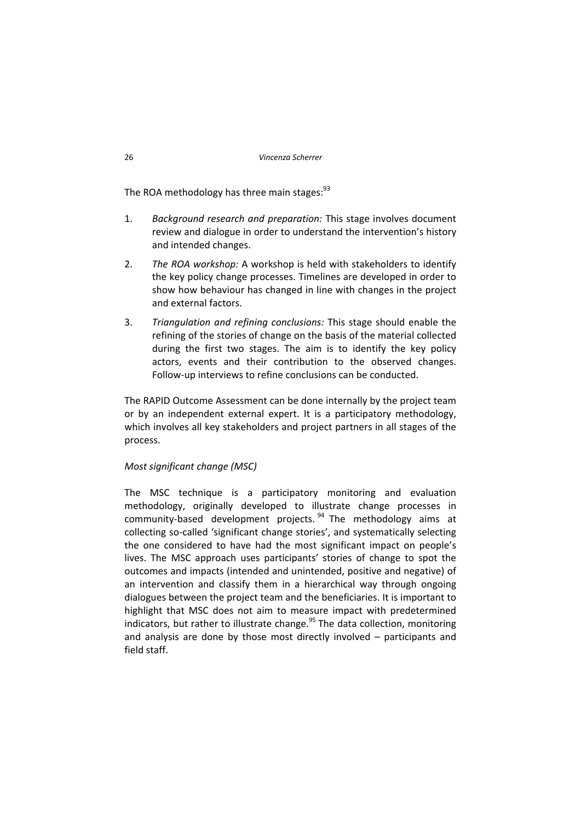The ROA methodology has three main stages: $93$ 

- 1. *Background research and preparation:* This stage involves document review and dialogue in order to understand the intervention's history and intended changes.
- 2. *The ROA workshop:* A workshop is held with stakeholders to identify the key policy change processes. Timelines are developed in order to show how behaviour has changed in line with changes in the project and external factors.
- 3. *Triangulation and refining conclusions:* This stage should enable the refining of the stories of change on the basis of the material collected during the first two stages. The aim is to identify the key policy actors, events and their contribution to the observed changes. Follow‐up interviews to refine conclusions can be conducted.

The RAPID Outcome Assessment can be done internally by the project team or by an independent external expert. It is a participatory methodology, which involves all key stakeholders and project partners in all stages of the process.

# *Most significant change (MSC)*

The MSC technique is a participatory monitoring and evaluation methodology, originally developed to illustrate change processes in community-based development projects. <sup>94</sup> The methodology aims at collecting so‐called 'significant change stories', and systematically selecting the one considered to have had the most significant impact on people's lives. The MSC approach uses participants' stories of change to spot the outcomes and impacts (intended and unintended, positive and negative) of an intervention and classify them in a hierarchical way through ongoing dialogues between the project team and the beneficiaries. It is important to highlight that MSC does not aim to measure impact with predetermined indicators, but rather to illustrate change.<sup>95</sup> The data collection, monitoring and analysis are done by those most directly involved – participants and field staff.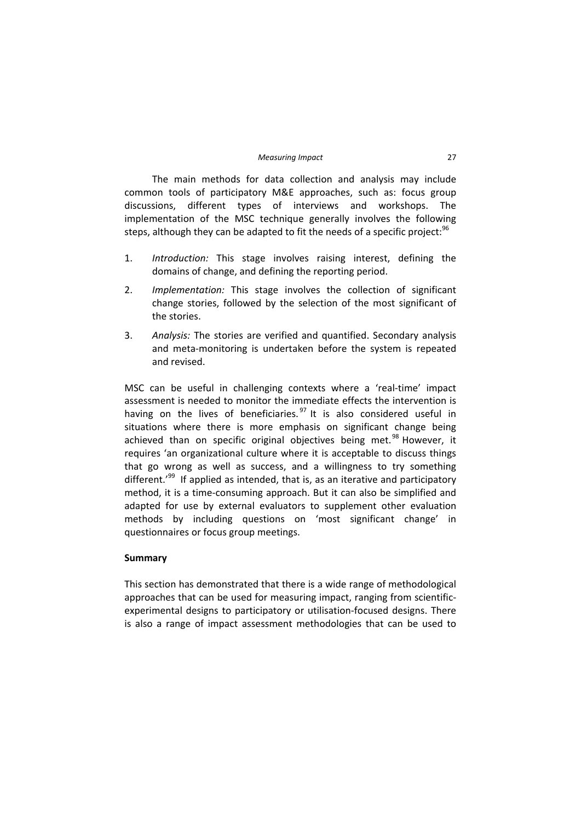The main methods for data collection and analysis may include common tools of participatory M&E approaches, such as: focus group discussions, different types of interviews and workshops. The implementation of the MSC technique generally involves the following steps, although they can be adapted to fit the needs of a specific project: $96$ 

- 1. *Introduction:* This stage involves raising interest, defining the domains of change, and defining the reporting period.
- 2. *Implementation:* This stage involves the collection of significant change stories, followed by the selection of the most significant of the stories.
- 3. *Analysis:* The stories are verified and quantified. Secondary analysis and meta‐monitoring is undertaken before the system is repeated and revised.

MSC can be useful in challenging contexts where a 'real-time' impact assessment is needed to monitor the immediate effects the intervention is having on the lives of beneficiaries.  $97$  It is also considered useful in situations where there is more emphasis on significant change being achieved than on specific original objectives being met. $98$  However, it requires 'an organizational culture where it is acceptable to discuss things that go wrong as well as success, and a willingness to try something different.<sup>'99</sup> If applied as intended, that is, as an iterative and participatory method, it is a time‐consuming approach. But it can also be simplified and adapted for use by external evaluators to supplement other evaluation methods by including questions on 'most significant change' in questionnaires or focus group meetings.

#### **Summary**

This section has demonstrated that there is a wide range of methodological approaches that can be used for measuring impact, ranging from scientificexperimental designs to participatory or utilisation‐focused designs. There is also a range of impact assessment methodologies that can be used to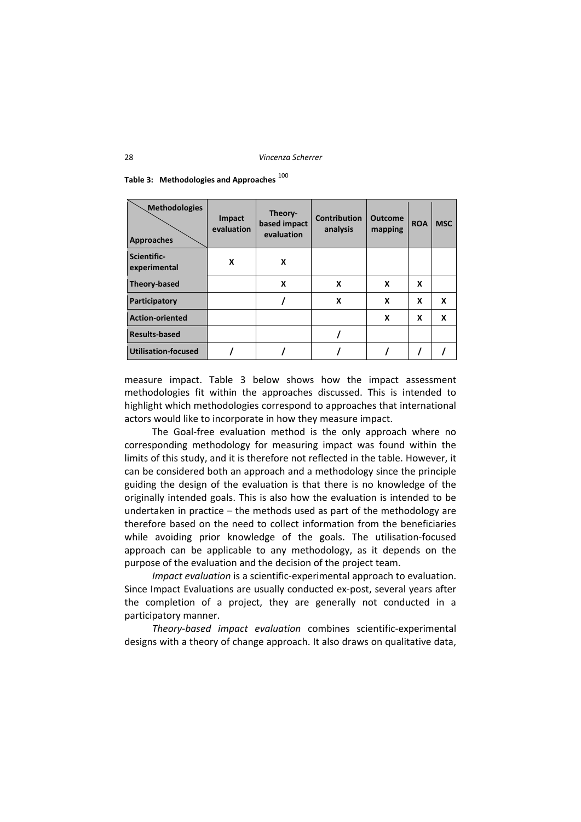| <b>Methodologies</b><br><b>Approaches</b> | Impact<br>evaluation | Theory-<br>based impact<br>evaluation | <b>Contribution</b><br>analysis | <b>Outcome</b><br>mapping | <b>ROA</b> | <b>MSC</b> |
|-------------------------------------------|----------------------|---------------------------------------|---------------------------------|---------------------------|------------|------------|
| Scientific-<br>experimental               | X                    | X                                     |                                 |                           |            |            |
| Theory-based                              |                      | X                                     | X                               | X                         | x          |            |
| Participatory                             |                      |                                       | X                               | X                         | x          | X          |
| <b>Action-oriented</b>                    |                      |                                       |                                 | X                         | X          | X          |
| <b>Results-based</b>                      |                      |                                       |                                 |                           |            |            |
| <b>Utilisation-focused</b>                |                      |                                       |                                 |                           |            |            |

| Table 3: Methodologies and Approaches $^{100}$ |  |
|------------------------------------------------|--|
|------------------------------------------------|--|

measure impact. Table 3 below shows how the impact assessment methodologies fit within the approaches discussed. This is intended to highlight which methodologies correspond to approaches that international actors would like to incorporate in how they measure impact.

The Goal-free evaluation method is the only approach where no corresponding methodology for measuring impact was found within the limits of this study, and it is therefore not reflected in the table. However, it can be considered both an approach and a methodology since the principle guiding the design of the evaluation is that there is no knowledge of the originally intended goals. This is also how the evaluation is intended to be undertaken in practice – the methods used as part of the methodology are therefore based on the need to collect information from the beneficiaries while avoiding prior knowledge of the goals. The utilisation-focused approach can be applicable to any methodology, as it depends on the purpose of the evaluation and the decision of the project team.

*Impact evaluation* is a scientific‐experimental approach to evaluation. Since Impact Evaluations are usually conducted ex‐post, several years after the completion of a project, they are generally not conducted in a participatory manner.

*Theory‐based impact evaluation* combines scientific‐experimental designs with a theory of change approach. It also draws on qualitative data,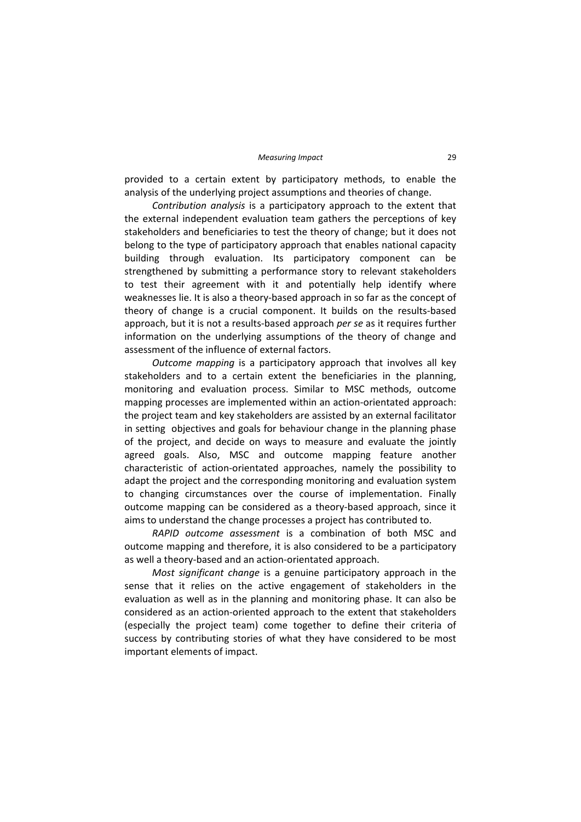provided to a certain extent by participatory methods, to enable the analysis of the underlying project assumptions and theories of change.

*Contribution analysis* is a participatory approach to the extent that the external independent evaluation team gathers the perceptions of key stakeholders and beneficiaries to test the theory of change; but it does not belong to the type of participatory approach that enables national capacity building through evaluation. Its participatory component can be strengthened by submitting a performance story to relevant stakeholders to test their agreement with it and potentially help identify where weaknesses lie. It is also a theory-based approach in so far as the concept of theory of change is a crucial component. It builds on the results‐based approach, but it is not a results‐based approach *per se* as it requires further information on the underlying assumptions of the theory of change and assessment of the influence of external factors.

*Outcome mapping* is a participatory approach that involves all key stakeholders and to a certain extent the beneficiaries in the planning, monitoring and evaluation process. Similar to MSC methods, outcome mapping processes are implemented within an action‐orientated approach: the project team and key stakeholders are assisted by an external facilitator in setting objectives and goals for behaviour change in the planning phase of the project, and decide on ways to measure and evaluate the jointly agreed goals. Also, MSC and outcome mapping feature another characteristic of action‐orientated approaches, namely the possibility to adapt the project and the corresponding monitoring and evaluation system to changing circumstances over the course of implementation. Finally outcome mapping can be considered as a theory‐based approach, since it aims to understand the change processes a project has contributed to.

*RAPID outcome assessment* is a combination of both MSC and outcome mapping and therefore, it is also considered to be a participatory as well a theory‐based and an action‐orientated approach.

*Most significant change* is a genuine participatory approach in the sense that it relies on the active engagement of stakeholders in the evaluation as well as in the planning and monitoring phase. It can also be considered as an action‐oriented approach to the extent that stakeholders (especially the project team) come together to define their criteria of success by contributing stories of what they have considered to be most important elements of impact.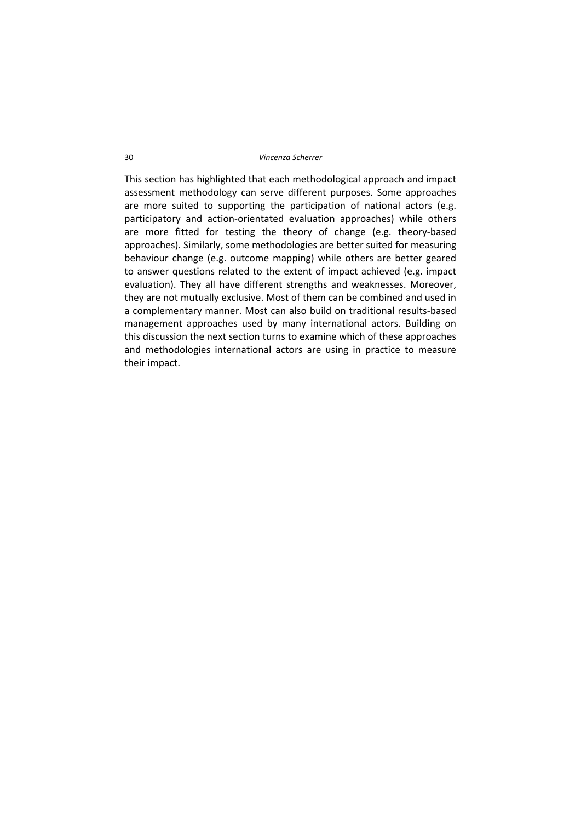#### 30 *Vincenza Scherrer*

This section has highlighted that each methodological approach and impact assessment methodology can serve different purposes. Some approaches are more suited to supporting the participation of national actors (e.g. participatory and action‐orientated evaluation approaches) while others are more fitted for testing the theory of change (e.g. theory‐based approaches). Similarly, some methodologies are better suited for measuring behaviour change (e.g. outcome mapping) while others are better geared to answer questions related to the extent of impact achieved (e.g. impact evaluation). They all have different strengths and weaknesses. Moreover, they are not mutually exclusive. Most of them can be combined and used in a complementary manner. Most can also build on traditional results‐based management approaches used by many international actors. Building on this discussion the next section turns to examine which of these approaches and methodologies international actors are using in practice to measure their impact.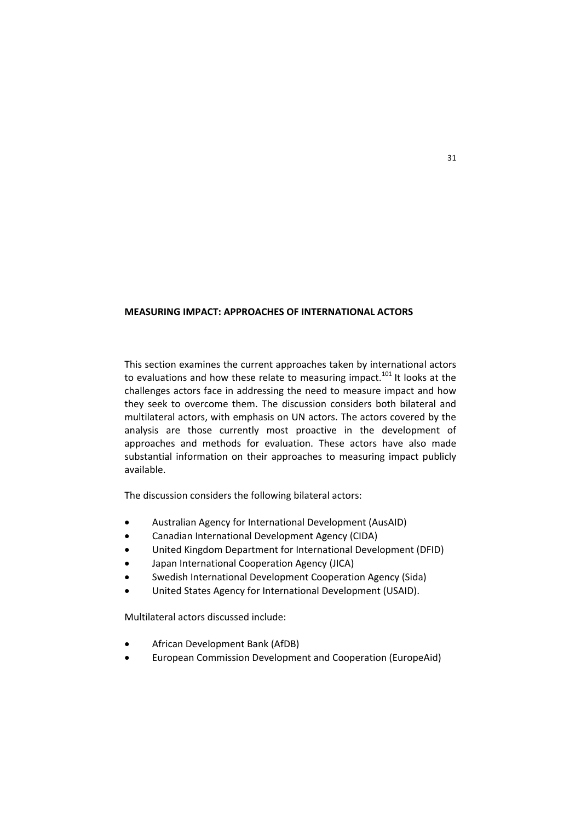## **MEASURING IMPACT: APPROACHES OF INTERNATIONAL ACTORS**

This section examines the current approaches taken by international actors to evaluations and how these relate to measuring impact.<sup>101</sup> It looks at the challenges actors face in addressing the need to measure impact and how they seek to overcome them. The discussion considers both bilateral and multilateral actors, with emphasis on UN actors. The actors covered by the analysis are those currently most proactive in the development of approaches and methods for evaluation. These actors have also made substantial information on their approaches to measuring impact publicly available.

The discussion considers the following bilateral actors:

- Australian Agency for International Development (AusAID)
- Canadian International Development Agency (CIDA)
- United Kingdom Department for International Development (DFID)
- Japan International Cooperation Agency (JICA)
- Swedish International Development Cooperation Agency (Sida)
- United States Agency for International Development (USAID).

Multilateral actors discussed include:

- African Development Bank (AfDB)
- European Commission Development and Cooperation (EuropeAid)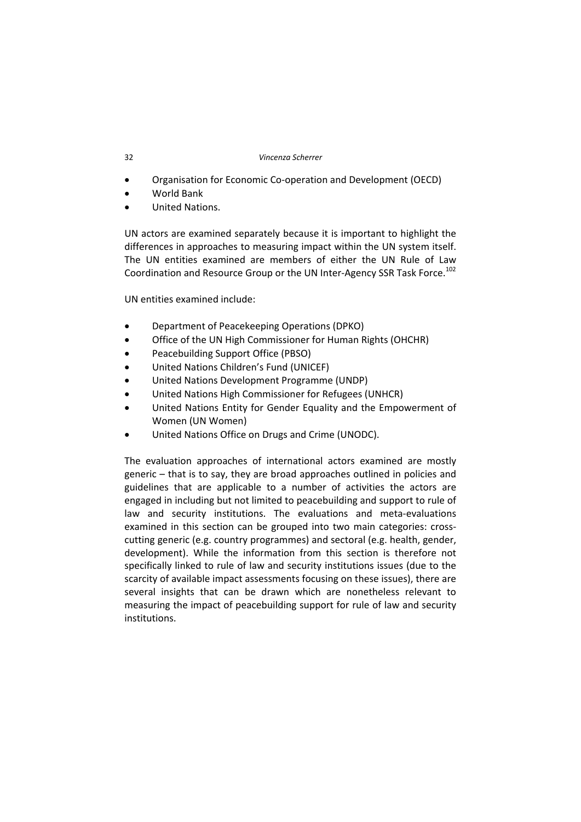#### 32 *Vincenza Scherrer*

- Organisation for Economic Co-operation and Development (OECD)
- World Bank
- United Nations.

UN actors are examined separately because it is important to highlight the differences in approaches to measuring impact within the UN system itself. The UN entities examined are members of either the UN Rule of Law Coordination and Resource Group or the UN Inter-Agency SSR Task Force.<sup>102</sup>

UN entities examined include:

- Department of Peacekeeping Operations (DPKO)
- Office of the UN High Commissioner for Human Rights (OHCHR)
- Peacebuilding Support Office (PBSO)
- United Nations Children's Fund (UNICEF)
- United Nations Development Programme (UNDP)
- United Nations High Commissioner for Refugees (UNHCR)
- United Nations Entity for Gender Equality and the Empowerment of Women (UN Women)
- United Nations Office on Drugs and Crime (UNODC).

The evaluation approaches of international actors examined are mostly generic – that is to say, they are broad approaches outlined in policies and guidelines that are applicable to a number of activities the actors are engaged in including but not limited to peacebuilding and support to rule of law and security institutions. The evaluations and meta‐evaluations examined in this section can be grouped into two main categories: cross‐ cutting generic (e.g. country programmes) and sectoral (e.g. health, gender, development). While the information from this section is therefore not specifically linked to rule of law and security institutions issues (due to the scarcity of available impact assessments focusing on these issues), there are several insights that can be drawn which are nonetheless relevant to measuring the impact of peacebuilding support for rule of law and security institutions.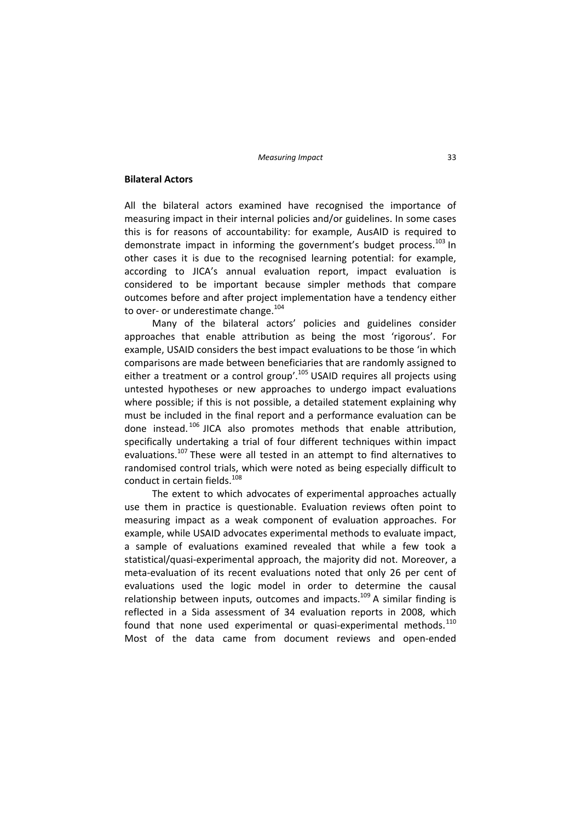#### **Bilateral Actors**

All the bilateral actors examined have recognised the importance of measuring impact in their internal policies and/or guidelines. In some cases this is for reasons of accountability: for example, AusAID is required to demonstrate impact in informing the government's budget process. $^{103}$  In other cases it is due to the recognised learning potential: for example, according to JICA's annual evaluation report, impact evaluation is considered to be important because simpler methods that compare outcomes before and after project implementation have a tendency either to over- or underestimate change.<sup>104</sup>

Many of the bilateral actors' policies and guidelines consider approaches that enable attribution as being the most 'rigorous'. For example, USAID considers the best impact evaluations to be those 'in which comparisons are made between beneficiaries that are randomly assigned to either a treatment or a control group'.<sup>105</sup> USAID requires all projects using untested hypotheses or new approaches to undergo impact evaluations where possible; if this is not possible, a detailed statement explaining why must be included in the final report and a performance evaluation can be done instead. <sup>106</sup> JICA also promotes methods that enable attribution, specifically undertaking a trial of four different techniques within impact evaluations.<sup>107</sup> These were all tested in an attempt to find alternatives to randomised control trials, which were noted as being especially difficult to conduct in certain fields.<sup>108</sup>

The extent to which advocates of experimental approaches actually use them in practice is questionable. Evaluation reviews often point to measuring impact as a weak component of evaluation approaches. For example, while USAID advocates experimental methods to evaluate impact, a sample of evaluations examined revealed that while a few took a statistical/quasi-experimental approach, the majority did not. Moreover, a meta‐evaluation of its recent evaluations noted that only 26 per cent of evaluations used the logic model in order to determine the causal relationship between inputs, outcomes and impacts.<sup>109</sup> A similar finding is reflected in a Sida assessment of 34 evaluation reports in 2008, which found that none used experimental or quasi-experimental methods. $110$ Most of the data came from document reviews and open‐ended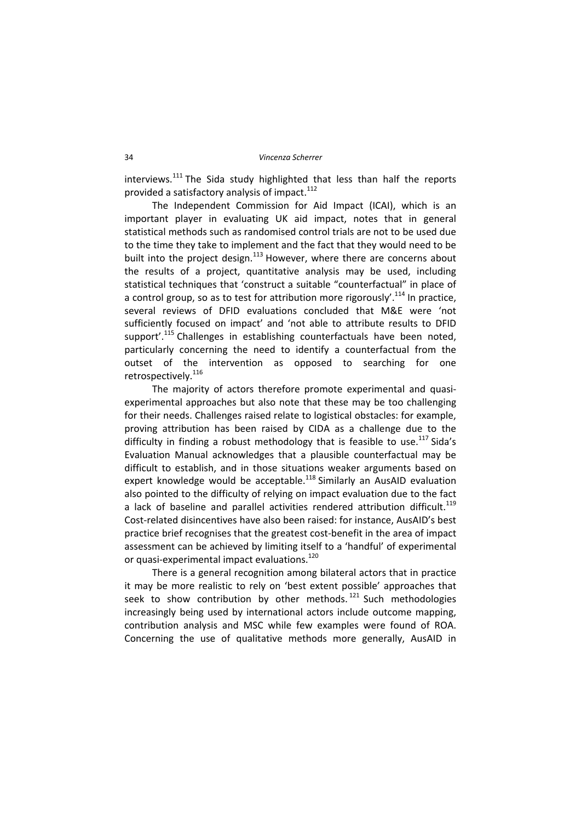interviews. $111$  The Sida study highlighted that less than half the reports provided a satisfactory analysis of impact.<sup>112</sup>

The Independent Commission for Aid Impact (ICAI), which is an important player in evaluating UK aid impact, notes that in general statistical methods such as randomised control trials are not to be used due to the time they take to implement and the fact that they would need to be built into the project design. $113$  However, where there are concerns about the results of a project, quantitative analysis may be used, including statistical techniques that 'construct a suitable "counterfactual" in place of a control group, so as to test for attribution more rigorously'.<sup>114</sup> In practice, several reviews of DFID evaluations concluded that M&E were 'not sufficiently focused on impact' and 'not able to attribute results to DFID support'.<sup>115</sup> Challenges in establishing counterfactuals have been noted, particularly concerning the need to identify a counterfactual from the outset of the intervention as opposed to searching for one retrospectively.<sup>116</sup>

The majority of actors therefore promote experimental and quasiexperimental approaches but also note that these may be too challenging for their needs. Challenges raised relate to logistical obstacles: for example, proving attribution has been raised by CIDA as a challenge due to the difficulty in finding a robust methodology that is feasible to use.<sup>117</sup> Sida's Evaluation Manual acknowledges that a plausible counterfactual may be difficult to establish, and in those situations weaker arguments based on expert knowledge would be acceptable.<sup>118</sup> Similarly an AusAID evaluation also pointed to the difficulty of relying on impact evaluation due to the fact a lack of baseline and parallel activities rendered attribution difficult.<sup>119</sup> Cost‐related disincentives have also been raised: for instance, AusAID's best practice brief recognises that the greatest cost‐benefit in the area of impact assessment can be achieved by limiting itself to a 'handful' of experimental or quasi-experimental impact evaluations.<sup>120</sup>

There is a general recognition among bilateral actors that in practice it may be more realistic to rely on 'best extent possible' approaches that seek to show contribution by other methods.<sup>121</sup> Such methodologies increasingly being used by international actors include outcome mapping, contribution analysis and MSC while few examples were found of ROA. Concerning the use of qualitative methods more generally, AusAID in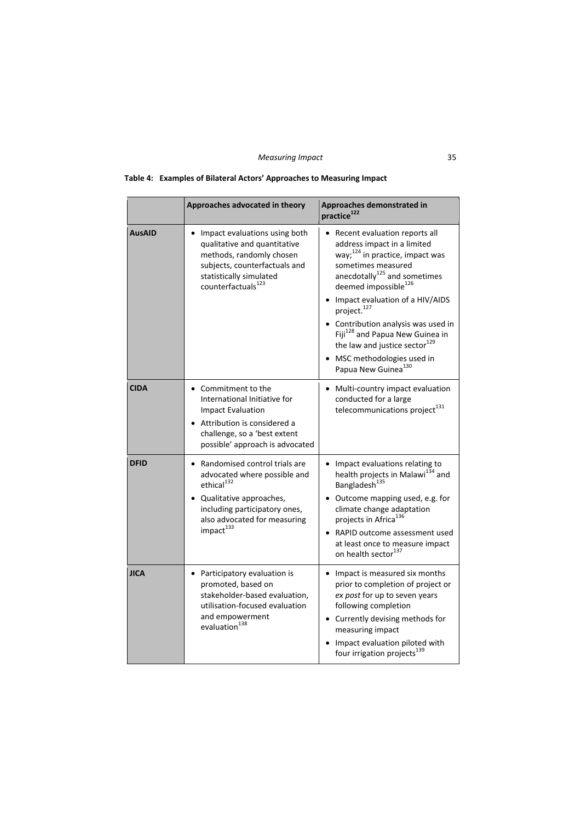|  | Table 4: Examples of Bilateral Actors' Approaches to Measuring Impact |  |  |
|--|-----------------------------------------------------------------------|--|--|
|--|-----------------------------------------------------------------------|--|--|

|               | Approaches advocated in theory                                                                                                                                                                                 | Approaches demonstrated in<br>practice <sup>122</sup>                                                                                                                                                                                                                                                                                                                                                                                                                            |
|---------------|----------------------------------------------------------------------------------------------------------------------------------------------------------------------------------------------------------------|----------------------------------------------------------------------------------------------------------------------------------------------------------------------------------------------------------------------------------------------------------------------------------------------------------------------------------------------------------------------------------------------------------------------------------------------------------------------------------|
| <b>AusAID</b> | Impact evaluations using both<br>qualitative and quantitative<br>methods, randomly chosen<br>subjects, counterfactuals and<br>statistically simulated<br>counterfactuals <sup>123</sup>                        | • Recent evaluation reports all<br>address impact in a limited<br>way; $^{124}$ in practice, impact was<br>sometimes measured<br>anecdotally <sup>125</sup> and sometimes<br>deemed impossible <sup>126</sup><br>Impact evaluation of a HIV/AIDS<br>project. <sup>127</sup><br>• Contribution analysis was used in<br>Fiji <sup>128</sup> and Papua New Guinea in<br>the law and justice sector <sup>129</sup><br>• MSC methodologies used in<br>Papua New Guinea <sup>130</sup> |
| <b>CIDA</b>   | • Commitment to the<br>International Initiative for<br><b>Impact Evaluation</b><br>• Attribution is considered a<br>challenge, so a 'best extent<br>possible' approach is advocated                            | • Multi-country impact evaluation<br>conducted for a large<br>telecommunications project <sup>131</sup>                                                                                                                                                                                                                                                                                                                                                                          |
| <b>DFID</b>   | Randomised control trials are<br>advocated where possible and<br>ethical <sup>132</sup><br>• Qualitative approaches,<br>including participatory ones,<br>also advocated for measuring<br>impact <sup>133</sup> | • Impact evaluations relating to<br>health projects in Malawi <sup>134</sup> and<br>Bangladesh <sup>135</sup><br>• Outcome mapping used, e.g. for<br>climate change adaptation<br>projects in Africa <sup>136</sup><br>RAPID outcome assessment used<br>at least once to measure impact<br>on health sector <sup>137</sup>                                                                                                                                                       |
| <b>JICA</b>   | • Participatory evaluation is<br>promoted, based on<br>stakeholder-based evaluation,<br>utilisation-focused evaluation<br>and empowerment<br>evaluation <sup>138</sup>                                         | Impact is measured six months<br>$\bullet$<br>prior to completion of project or<br>ex post for up to seven years<br>following completion<br>• Currently devising methods for<br>measuring impact<br>• Impact evaluation piloted with<br>four irrigation projects <sup>139</sup>                                                                                                                                                                                                  |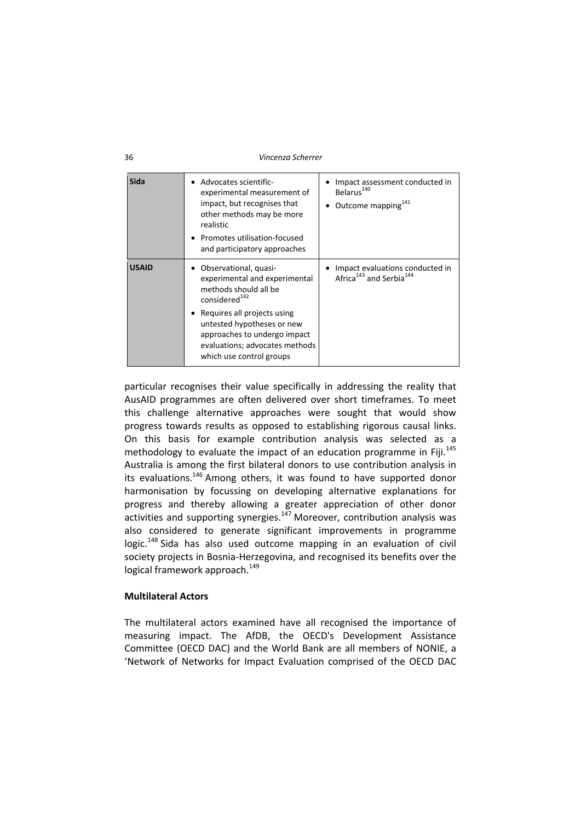| 36 | Vincenza Scherrer |
|----|-------------------|
|    |                   |

| Sida         | Advocates scientific-<br>experimental measurement of<br>impact, but recognises that<br>other methods may be more<br>realistic<br>Promotes utilisation-focused<br>and participatory approaches                                                                           | Impact assessment conducted in<br>Belarus <sup>140</sup><br>Outcome mapping <sup>141</sup> |
|--------------|-------------------------------------------------------------------------------------------------------------------------------------------------------------------------------------------------------------------------------------------------------------------------|--------------------------------------------------------------------------------------------|
| <b>USAID</b> | Observational, quasi-<br>experimental and experimental<br>methods should all be<br>considered <sup>142</sup><br>Requires all projects using<br>untested hypotheses or new<br>approaches to undergo impact<br>evaluations; advocates methods<br>which use control groups | Impact evaluations conducted in<br>Africa <sup>143</sup> and Serbia <sup>144</sup>         |

particular recognises their value specifically in addressing the reality that AusAID programmes are often delivered over short timeframes. To meet this challenge alternative approaches were sought that would show progress towards results as opposed to establishing rigorous causal links. On this basis for example contribution analysis was selected as a methodology to evaluate the impact of an education programme in Fiji. $145$ Australia is among the first bilateral donors to use contribution analysis in its evaluations.<sup>146</sup> Among others, it was found to have supported donor harmonisation by focussing on developing alternative explanations for progress and thereby allowing a greater appreciation of other donor activities and supporting synergies.<sup>147</sup> Moreover, contribution analysis was also considered to generate significant improvements in programme  $logic.<sup>148</sup>$  Sida has also used outcome mapping in an evaluation of civil society projects in Bosnia‐Herzegovina, and recognised its benefits over the logical framework approach.<sup>149</sup>

# **Multilateral Actors**

The multilateral actors examined have all recognised the importance of measuring impact. The AfDB, the OECD's Development Assistance Committee (OECD DAC) and the World Bank are all members of NONIE, a 'Network of Networks for Impact Evaluation comprised of the OECD DAC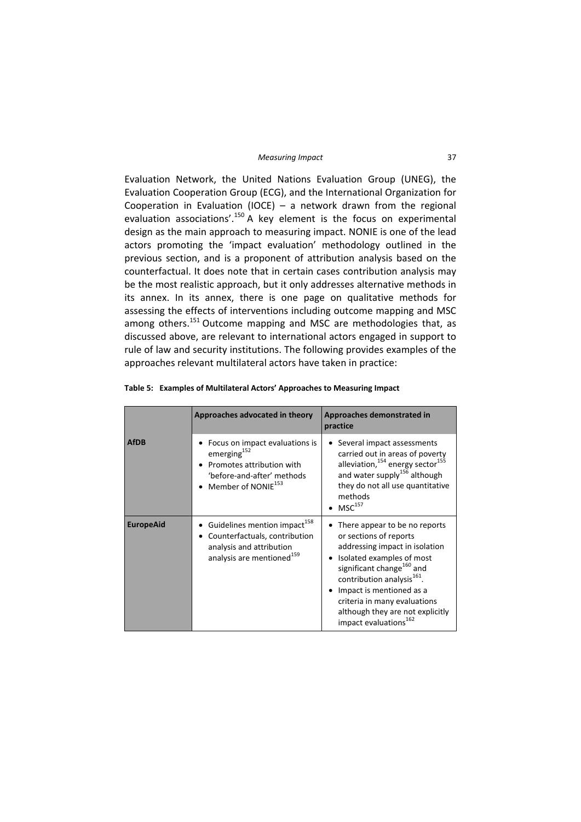#### *Measuring Impact* 37

Evaluation Network, the United Nations Evaluation Group (UNEG), the Evaluation Cooperation Group (ECG), and the International Organization for Cooperation in Evaluation (IOCE) – a network drawn from the regional evaluation associations'.<sup>150</sup> A key element is the focus on experimental design as the main approach to measuring impact. NONIE is one of the lead actors promoting the 'impact evaluation' methodology outlined in the previous section, and is a proponent of attribution analysis based on the counterfactual. It does note that in certain cases contribution analysis may be the most realistic approach, but it only addresses alternative methods in its annex. In its annex, there is one page on qualitative methods for assessing the effects of interventions including outcome mapping and MSC among others.<sup>151</sup> Outcome mapping and MSC are methodologies that, as discussed above, are relevant to international actors engaged in support to rule of law and security institutions. The following provides examples of the approaches relevant multilateral actors have taken in practice:

|                  | Approaches advocated in theory                                                                                                                         | Approaches demonstrated in<br>practice                                                                                                                                                                                                                                                                                                                           |
|------------------|--------------------------------------------------------------------------------------------------------------------------------------------------------|------------------------------------------------------------------------------------------------------------------------------------------------------------------------------------------------------------------------------------------------------------------------------------------------------------------------------------------------------------------|
| <b>AfDB</b>      | Focus on impact evaluations is<br>emerging <sup>152</sup><br>Promotes attribution with<br>'before-and-after' methods<br>Member of NONIE <sup>153</sup> | Several impact assessments<br>٠<br>carried out in areas of poverty<br>alleviation, <sup>154</sup> energy sector <sup>155</sup><br>and water supply <sup>156</sup> although<br>they do not all use quantitative<br>methods<br>$MSC^{157}$                                                                                                                         |
| <b>EuropeAid</b> | Guidelines mention impact <sup>158</sup><br>Counterfactuals, contribution<br>analysis and attribution<br>analysis are mentioned <sup>159</sup>         | There appear to be no reports<br>٠<br>or sections of reports<br>addressing impact in isolation<br>Isolated examples of most<br>$\bullet$<br>significant change <sup>160</sup> and<br>contribution analysis <sup>161</sup> .<br>Impact is mentioned as a<br>criteria in many evaluations<br>although they are not explicitly<br>impact evaluations <sup>162</sup> |

| Table 5: Examples of Multilateral Actors' Approaches to Measuring Impact |  |
|--------------------------------------------------------------------------|--|
|--------------------------------------------------------------------------|--|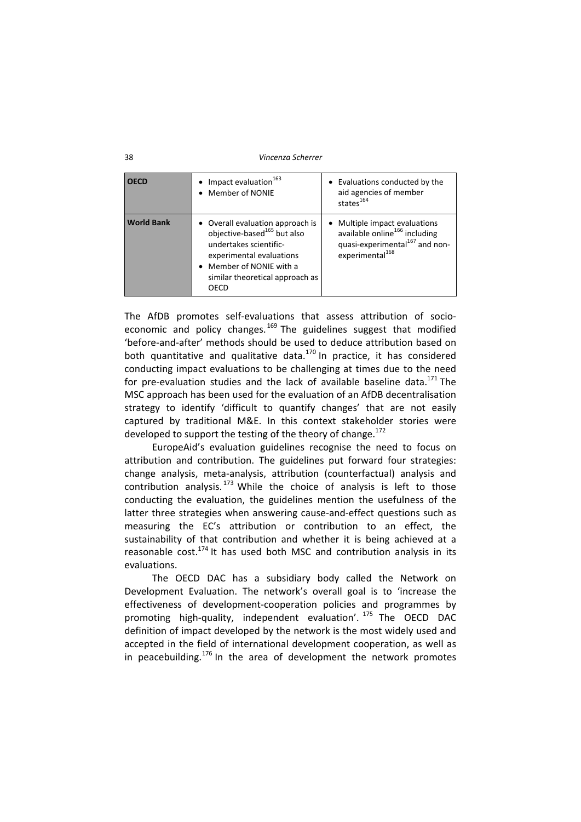#### 38 *Vincenza Scherrer*

| <b>OECD</b>       | Impact evaluation <sup>163</sup><br>Member of NONIE                                                                                                                                                      | Evaluations conducted by the<br>$\bullet$<br>aid agencies of member<br>states <sup>164</sup>                                                                       |
|-------------------|----------------------------------------------------------------------------------------------------------------------------------------------------------------------------------------------------------|--------------------------------------------------------------------------------------------------------------------------------------------------------------------|
| <b>World Bank</b> | • Overall evaluation approach is<br>objective-based <sup>165</sup> but also<br>undertakes scientific-<br>experimental evaluations<br>• Member of NONIE with a<br>similar theoretical approach as<br>OECD | Multiple impact evaluations<br>$\bullet$<br>available online <sup>166</sup> including<br>quasi-experimental <sup>167</sup> and non-<br>experimental <sup>168</sup> |

The AfDB promotes self-evaluations that assess attribution of socioeconomic and policy changes.<sup>169</sup> The guidelines suggest that modified 'before‐and‐after' methods should be used to deduce attribution based on both quantitative and qualitative data.<sup>170</sup> In practice, it has considered conducting impact evaluations to be challenging at times due to the need for pre-evaluation studies and the lack of available baseline data.<sup>171</sup> The MSC approach has been used for the evaluation of an AfDB decentralisation strategy to identify 'difficult to quantify changes' that are not easily captured by traditional M&E. In this context stakeholder stories were developed to support the testing of the theory of change.<sup>172</sup>

EuropeAid's evaluation guidelines recognise the need to focus on attribution and contribution. The guidelines put forward four strategies: change analysis, meta‐analysis, attribution (counterfactual) analysis and contribution analysis.  $173$  While the choice of analysis is left to those conducting the evaluation, the guidelines mention the usefulness of the latter three strategies when answering cause-and-effect questions such as measuring the EC's attribution or contribution to an effect, the sustainability of that contribution and whether it is being achieved at a reasonable  $cost.<sup>174</sup>$  It has used both MSC and contribution analysis in its evaluations.

The OECD DAC has a subsidiary body called the Network on Development Evaluation. The network's overall goal is to 'increase the effectiveness of development‐cooperation policies and programmes by promoting high-quality, independent evaluation'. <sup>175</sup> The OECD DAC definition of impact developed by the network is the most widely used and accepted in the field of international development cooperation, as well as in peacebuilding.<sup>176</sup> In the area of development the network promotes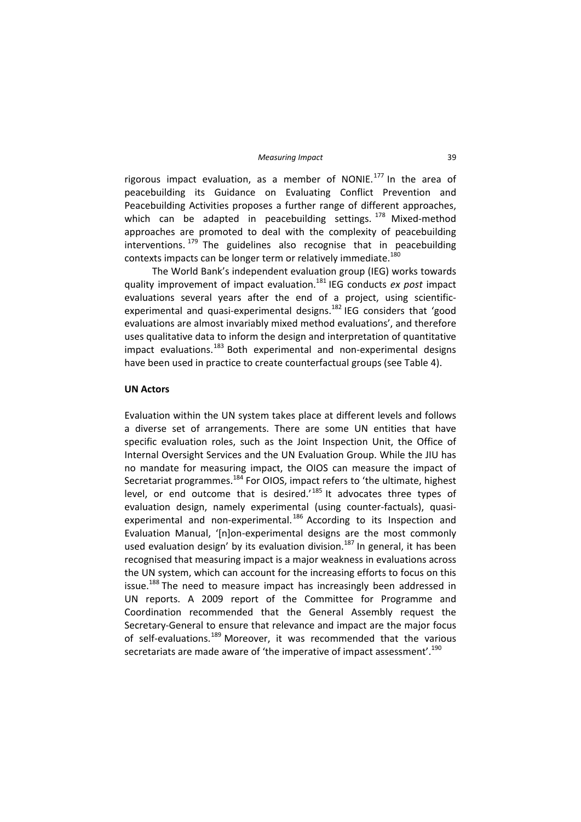rigorous impact evaluation, as a member of NONIE.<sup>177</sup> In the area of peacebuilding its Guidance on Evaluating Conflict Prevention and Peacebuilding Activities proposes a further range of different approaches, which can be adapted in peacebuilding settings. <sup>178</sup> Mixed-method approaches are promoted to deal with the complexity of peacebuilding interventions.  $179$  The guidelines also recognise that in peacebuilding contexts impacts can be longer term or relatively immediate.<sup>180</sup>

The World Bank's independent evaluation group (IEG) works towards quality improvement of impact evaluation.<sup>181</sup> IEG conducts *ex post* impact evaluations several years after the end of a project, using scientificexperimental and quasi-experimental designs.<sup>182</sup> IEG considers that 'good evaluations are almost invariably mixed method evaluations', and therefore uses qualitative data to inform the design and interpretation of quantitative  $impact$  evaluations.<sup>183</sup> Both experimental and non-experimental designs have been used in practice to create counterfactual groups (see Table 4).

### **UN Actors**

Evaluation within the UN system takes place at different levels and follows a diverse set of arrangements. There are some UN entities that have specific evaluation roles, such as the Joint Inspection Unit, the Office of Internal Oversight Services and the UN Evaluation Group. While the JIU has no mandate for measuring impact, the OIOS can measure the impact of Secretariat programmes.<sup>184</sup> For OIOS, impact refers to 'the ultimate, highest level, or end outcome that is desired.<sup>'185</sup> It advocates three types of evaluation design, namely experimental (using counter-factuals), quasiexperimental and non-experimental.<sup>186</sup> According to its Inspection and Evaluation Manual, '[n]on‐experimental designs are the most commonly used evaluation design' by its evaluation division.<sup>187</sup> In general, it has been recognised that measuring impact is a major weakness in evaluations across the UN system, which can account for the increasing efforts to focus on this issue.<sup>188</sup> The need to measure impact has increasingly been addressed in UN reports. A 2009 report of the Committee for Programme and Coordination recommended that the General Assembly request the Secretary‐General to ensure that relevance and impact are the major focus of self-evaluations.<sup>189</sup> Moreover, it was recommended that the various secretariats are made aware of 'the imperative of impact assessment'.<sup>190</sup>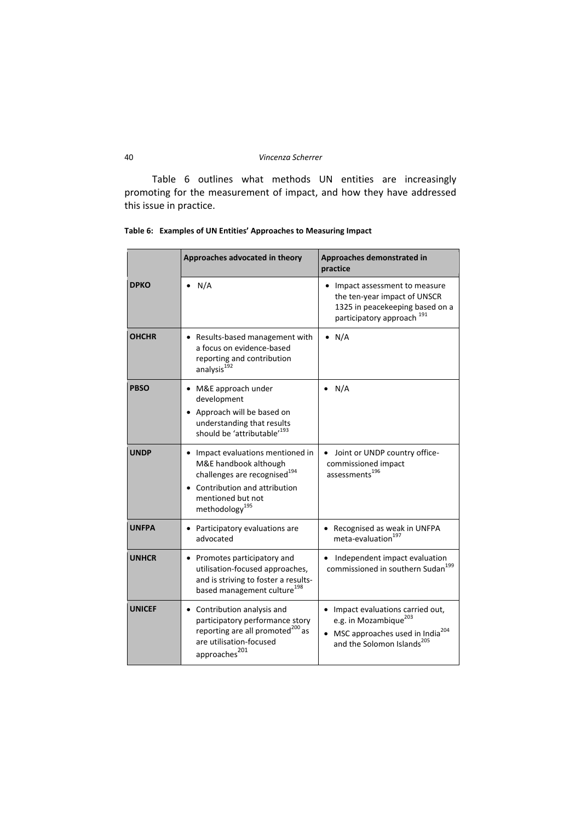Table 6 outlines what methods UN entities are increasingly promoting for the measurement of impact, and how they have addressed this issue in practice.

|              | Approaches advocated in theory                                                                                                                                                            | Approaches demonstrated in<br>practice                                                                                                                                       |  |
|--------------|-------------------------------------------------------------------------------------------------------------------------------------------------------------------------------------------|------------------------------------------------------------------------------------------------------------------------------------------------------------------------------|--|
| <b>DPKO</b>  | N/A                                                                                                                                                                                       | • Impact assessment to measure<br>the ten-year impact of UNSCR<br>1325 in peacekeeping based on a<br>participatory approach <sup>191</sup>                                   |  |
| <b>OHCHR</b> | • Results-based management with<br>a focus on evidence-based<br>reporting and contribution<br>analysis <sup>192</sup>                                                                     | $\bullet$ N/A                                                                                                                                                                |  |
| <b>PBSO</b>  | M&E approach under<br>development<br>• Approach will be based on<br>understanding that results<br>should be 'attributable' <sup>193</sup>                                                 | N/A                                                                                                                                                                          |  |
| <b>UNDP</b>  | • Impact evaluations mentioned in<br>M&E handbook although<br>challenges are recognised <sup>194</sup><br>Contribution and attribution<br>mentioned but not<br>methodology <sup>195</sup> | • Joint or UNDP country office-<br>commissioned impact<br>assessments <sup>196</sup>                                                                                         |  |
| <b>UNFPA</b> | Participatory evaluations are<br>advocated                                                                                                                                                | • Recognised as weak in UNFPA<br>meta-evaluation <sup>197</sup>                                                                                                              |  |
| <b>UNHCR</b> | • Promotes participatory and<br>utilisation-focused approaches,<br>and is striving to foster a results-<br>based management culture <sup>198</sup>                                        | Independent impact evaluation<br>commissioned in southern Sudan <sup>199</sup>                                                                                               |  |
| UNICEF       | • Contribution analysis and<br>participatory performance story<br>reporting are all promoted <sup>200</sup> as<br>are utilisation-focused<br>approaches $^{201}$                          | • Impact evaluations carried out,<br>e.g. in Mozambique <sup>203</sup><br>MSC approaches used in India <sup>204</sup><br>$\bullet$<br>and the Solomon Islands <sup>205</sup> |  |

**Table 6: Examples of UN Entities' Approaches to Measuring Impact**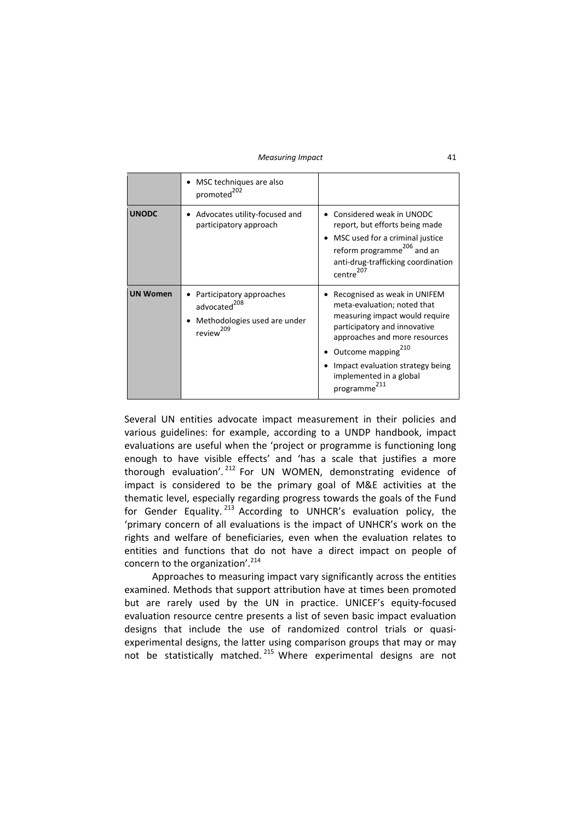|                 | MSC techniques are also<br>promoted <sup>202</sup>                                                            |                                                                                                                                                                                                                                                                              |
|-----------------|---------------------------------------------------------------------------------------------------------------|------------------------------------------------------------------------------------------------------------------------------------------------------------------------------------------------------------------------------------------------------------------------------|
| <b>UNODC</b>    | Advocates utility-focused and<br>participatory approach                                                       | Considered weak in UNODC<br>report, but efforts being made<br>MSC used for a criminal justice<br>reform programme <sup>206</sup> and an<br>anti-drug-trafficking coordination<br>centre <sup>207</sup>                                                                       |
| <b>UN Women</b> | Participatory approaches<br>advocated <sup>208</sup><br>Methodologies used are under<br>review <sup>209</sup> | Recognised as weak in UNIFEM<br>meta-evaluation; noted that<br>measuring impact would require<br>participatory and innovative<br>approaches and more resources<br>Outcome mapping <sup>210</sup><br>Impact evaluation strategy being<br>implemented in a global<br>programme |

Several UN entities advocate impact measurement in their policies and various guidelines: for example, according to a UNDP handbook, impact evaluations are useful when the 'project or programme is functioning long enough to have visible effects' and 'has a scale that justifies a more thorough evaluation'.  $212$  For UN WOMEN, demonstrating evidence of impact is considered to be the primary goal of M&E activities at the thematic level, especially regarding progress towards the goals of the Fund for Gender Equality. <sup>213</sup> According to UNHCR's evaluation policy, the 'primary concern of all evaluations is the impact of UNHCR's work on the rights and welfare of beneficiaries, even when the evaluation relates to entities and functions that do not have a direct impact on people of concern to the organization'.<sup>214</sup>

Approaches to measuring impact vary significantly across the entities examined. Methods that support attribution have at times been promoted but are rarely used by the UN in practice. UNICEF's equity‐focused evaluation resource centre presents a list of seven basic impact evaluation designs that include the use of randomized control trials or quasi‐ experimental designs, the latter using comparison groups that may or may not be statistically matched.<sup>215</sup> Where experimental designs are not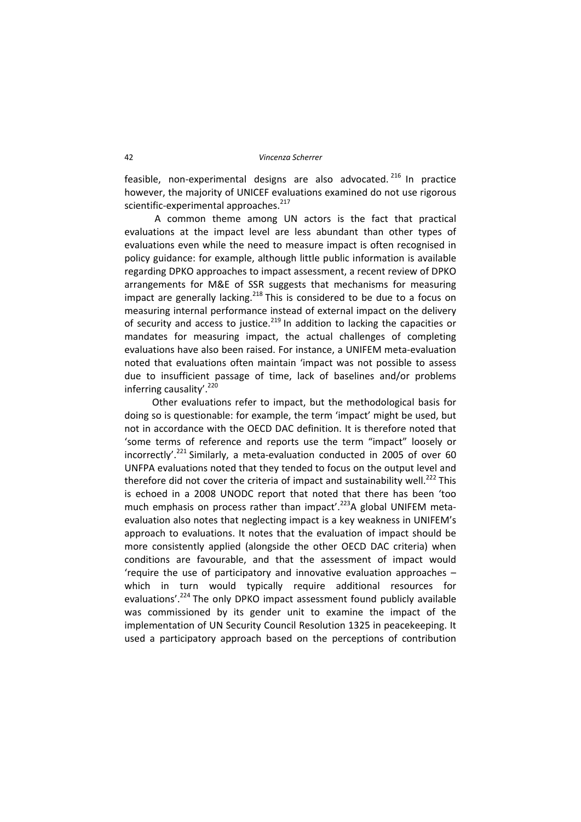feasible, non-experimental designs are also advocated.<sup>216</sup> In practice however, the majority of UNICEF evaluations examined do not use rigorous scientific-experimental approaches.<sup>217</sup>

A common theme among UN actors is the fact that practical evaluations at the impact level are less abundant than other types of evaluations even while the need to measure impact is often recognised in policy guidance: for example, although little public information is available regarding DPKO approaches to impact assessment, a recent review of DPKO arrangements for M&E of SSR suggests that mechanisms for measuring impact are generally lacking.<sup>218</sup> This is considered to be due to a focus on measuring internal performance instead of external impact on the delivery of security and access to justice.<sup>219</sup> In addition to lacking the capacities or mandates for measuring impact, the actual challenges of completing evaluations have also been raised. For instance, a UNIFEM meta‐evaluation noted that evaluations often maintain 'impact was not possible to assess due to insufficient passage of time, lack of baselines and/or problems inferring causality'. $220$ 

Other evaluations refer to impact, but the methodological basis for doing so is questionable: for example, the term 'impact' might be used, but not in accordance with the OECD DAC definition. It is therefore noted that 'some terms of reference and reports use the term "impact" loosely or incorrectly'.<sup>221</sup> Similarly, a meta-evaluation conducted in 2005 of over 60 UNFPA evaluations noted that they tended to focus on the output level and therefore did not cover the criteria of impact and sustainability well.<sup>222</sup> This is echoed in a 2008 UNODC report that noted that there has been 'too much emphasis on process rather than impact'.<sup>223</sup>A global UNIFEM metaevaluation also notes that neglecting impact is a key weakness in UNIFEM's approach to evaluations. It notes that the evaluation of impact should be more consistently applied (alongside the other OECD DAC criteria) when conditions are favourable, and that the assessment of impact would 'require the use of participatory and innovative evaluation approaches – which in turn would typically require additional resources for evaluations'.<sup>224</sup> The only DPKO impact assessment found publicly available was commissioned by its gender unit to examine the impact of the implementation of UN Security Council Resolution 1325 in peacekeeping. It used a participatory approach based on the perceptions of contribution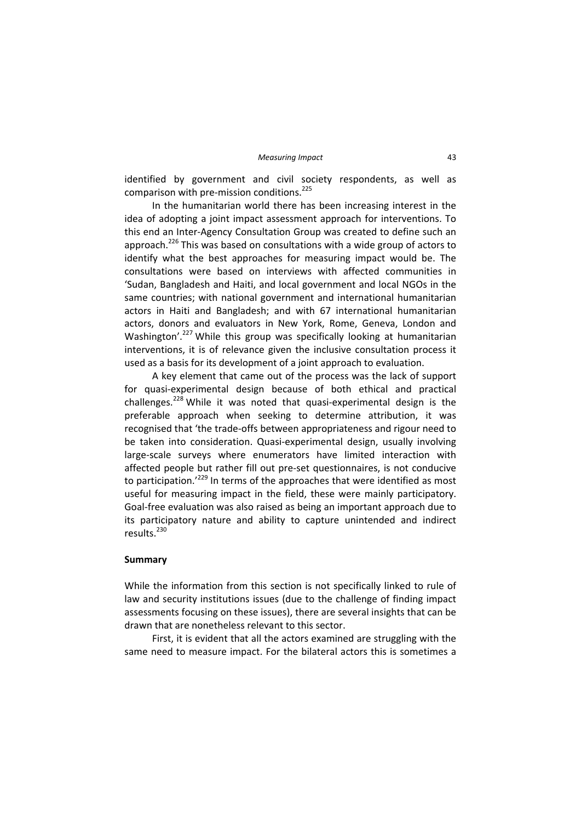identified by government and civil society respondents, as well as comparison with pre-mission conditions.<sup>225</sup>

In the humanitarian world there has been increasing interest in the idea of adopting a joint impact assessment approach for interventions. To this end an Inter‐Agency Consultation Group was created to define such an approach.<sup>226</sup> This was based on consultations with a wide group of actors to identify what the best approaches for measuring impact would be. The consultations were based on interviews with affected communities in 'Sudan, Bangladesh and Haiti, and local government and local NGOs in the same countries; with national government and international humanitarian actors in Haiti and Bangladesh; and with 67 international humanitarian actors, donors and evaluators in New York, Rome, Geneva, London and Washington'.<sup>227</sup> While this group was specifically looking at humanitarian interventions, it is of relevance given the inclusive consultation process it used as a basis for its development of a joint approach to evaluation.

A key element that came out of the process was the lack of support for quasi-experimental design because of both ethical and practical challenges.<sup>228</sup> While it was noted that quasi-experimental design is the preferable approach when seeking to determine attribution, it was recognised that 'the trade‐offs between appropriateness and rigour need to be taken into consideration. Quasi-experimental design, usually involving large‐scale surveys where enumerators have limited interaction with affected people but rather fill out pre‐set questionnaires, is not conducive to participation.<sup>'229</sup> In terms of the approaches that were identified as most useful for measuring impact in the field, these were mainly participatory. Goal‐free evaluation was also raised as being an important approach due to its participatory nature and ability to capture unintended and indirect results.<sup>230</sup>

### **Summary**

While the information from this section is not specifically linked to rule of law and security institutions issues (due to the challenge of finding impact assessments focusing on these issues), there are several insights that can be drawn that are nonetheless relevant to this sector.

First, it is evident that all the actors examined are struggling with the same need to measure impact. For the bilateral actors this is sometimes a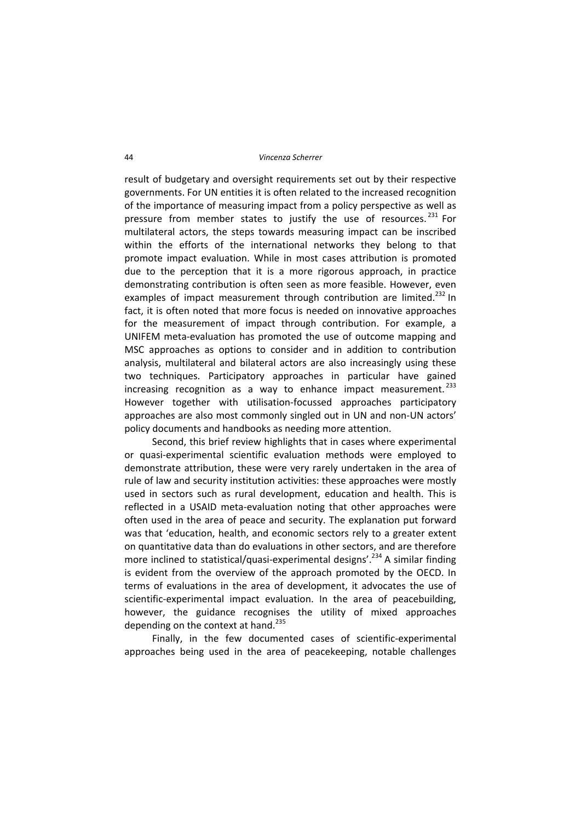#### 44 *Vincenza Scherrer*

result of budgetary and oversight requirements set out by their respective governments. For UN entities it is often related to the increased recognition of the importance of measuring impact from a policy perspective as well as pressure from member states to justify the use of resources.<sup>231</sup> For multilateral actors, the steps towards measuring impact can be inscribed within the efforts of the international networks they belong to that promote impact evaluation. While in most cases attribution is promoted due to the perception that it is a more rigorous approach, in practice demonstrating contribution is often seen as more feasible. However, even examples of impact measurement through contribution are limited.<sup>232</sup> In fact, it is often noted that more focus is needed on innovative approaches for the measurement of impact through contribution. For example, a UNIFEM meta‐evaluation has promoted the use of outcome mapping and MSC approaches as options to consider and in addition to contribution analysis, multilateral and bilateral actors are also increasingly using these two techniques. Participatory approaches in particular have gained increasing recognition as a way to enhance impact measurement.<sup>233</sup> However together with utilisation‐focussed approaches participatory approaches are also most commonly singled out in UN and non‐UN actors' policy documents and handbooks as needing more attention.

Second, this brief review highlights that in cases where experimental or quasi‐experimental scientific evaluation methods were employed to demonstrate attribution, these were very rarely undertaken in the area of rule of law and security institution activities: these approaches were mostly used in sectors such as rural development, education and health. This is reflected in a USAID meta‐evaluation noting that other approaches were often used in the area of peace and security. The explanation put forward was that 'education, health, and economic sectors rely to a greater extent on quantitative data than do evaluations in other sectors, and are therefore more inclined to statistical/quasi-experimental designs'.<sup>234</sup> A similar finding is evident from the overview of the approach promoted by the OECD. In terms of evaluations in the area of development, it advocates the use of scientific-experimental impact evaluation. In the area of peacebuilding, however, the guidance recognises the utility of mixed approaches depending on the context at hand. $^{235}$ 

Finally, in the few documented cases of scientific-experimental approaches being used in the area of peacekeeping, notable challenges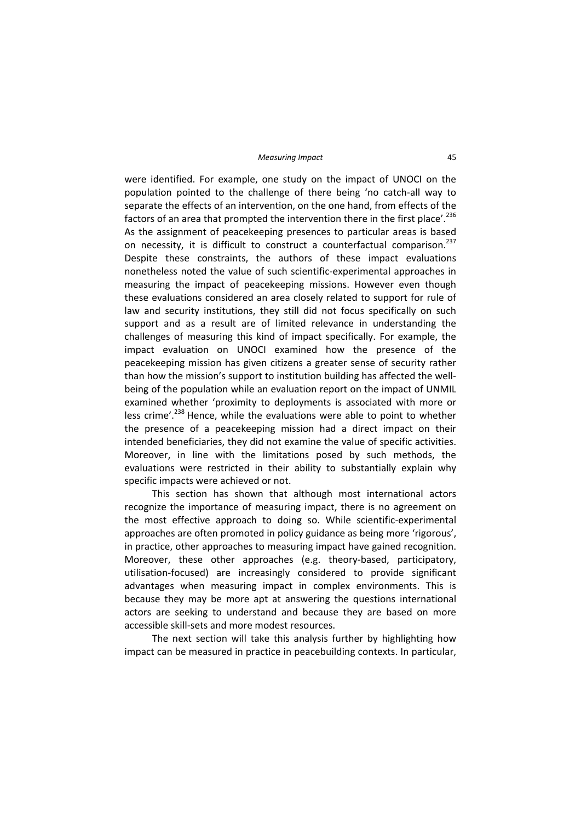were identified. For example, one study on the impact of UNOCI on the population pointed to the challenge of there being 'no catch‐all way to separate the effects of an intervention, on the one hand, from effects of the factors of an area that prompted the intervention there in the first place'.<sup>236</sup> As the assignment of peacekeeping presences to particular areas is based on necessity, it is difficult to construct a counterfactual comparison.<sup>237</sup> Despite these constraints, the authors of these impact evaluations nonetheless noted the value of such scientific‐experimental approaches in measuring the impact of peacekeeping missions. However even though these evaluations considered an area closely related to support for rule of law and security institutions, they still did not focus specifically on such support and as a result are of limited relevance in understanding the challenges of measuring this kind of impact specifically. For example, the impact evaluation on UNOCI examined how the presence of the peacekeeping mission has given citizens a greater sense of security rather than how the mission's support to institution building has affected the well‐ being of the population while an evaluation report on the impact of UNMIL examined whether 'proximity to deployments is associated with more or less crime'.<sup>238</sup> Hence, while the evaluations were able to point to whether the presence of a peacekeeping mission had a direct impact on their intended beneficiaries, they did not examine the value of specific activities. Moreover, in line with the limitations posed by such methods, the evaluations were restricted in their ability to substantially explain why specific impacts were achieved or not.

This section has shown that although most international actors recognize the importance of measuring impact, there is no agreement on the most effective approach to doing so. While scientific‐experimental approaches are often promoted in policy guidance as being more 'rigorous', in practice, other approaches to measuring impact have gained recognition. Moreover, these other approaches (e.g. theory-based, participatory, utilisation‐focused) are increasingly considered to provide significant advantages when measuring impact in complex environments. This is because they may be more apt at answering the questions international actors are seeking to understand and because they are based on more accessible skill‐sets and more modest resources.

The next section will take this analysis further by highlighting how impact can be measured in practice in peacebuilding contexts. In particular,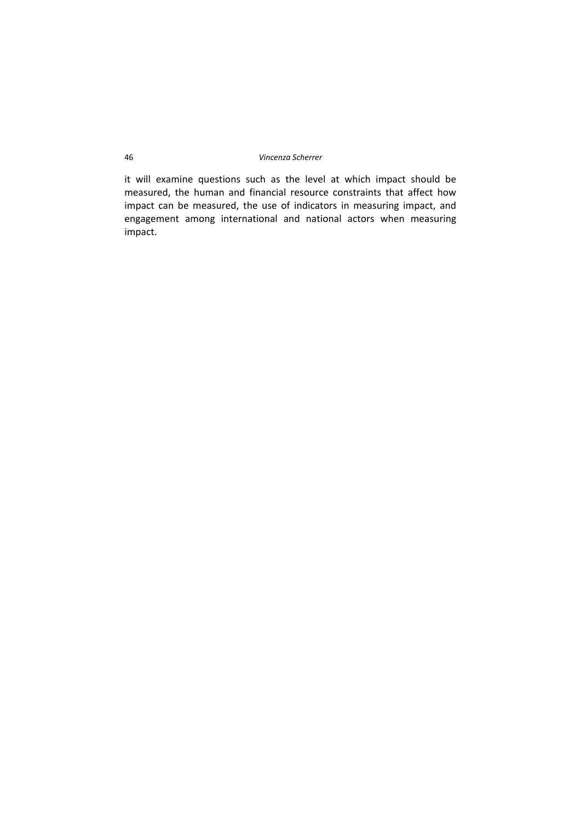it will examine questions such as the level at which impact should be measured, the human and financial resource constraints that affect how impact can be measured, the use of indicators in measuring impact, and engagement among international and national actors when measuring impact.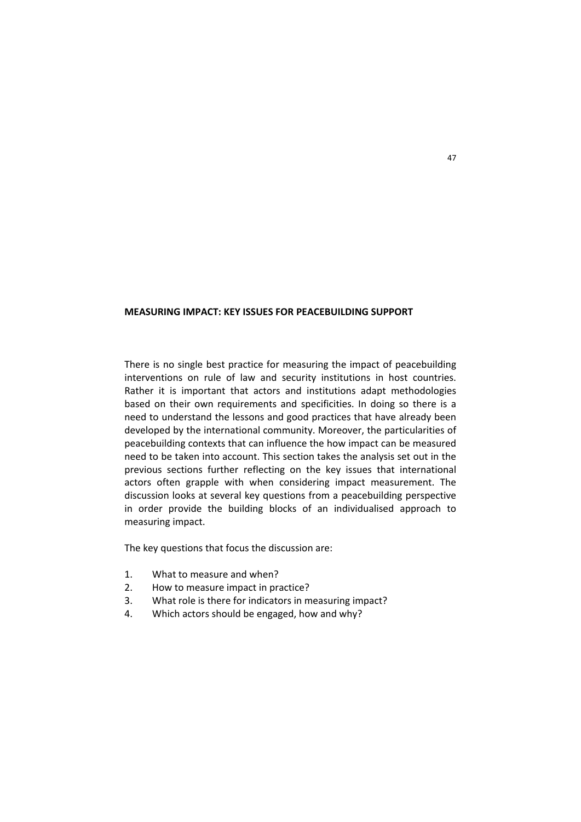### **MEASURING IMPACT: KEY ISSUES FOR PEACEBUILDING SUPPORT**

There is no single best practice for measuring the impact of peacebuilding interventions on rule of law and security institutions in host countries. Rather it is important that actors and institutions adapt methodologies based on their own requirements and specificities. In doing so there is a need to understand the lessons and good practices that have already been developed by the international community. Moreover, the particularities of peacebuilding contexts that can influence the how impact can be measured need to be taken into account. This section takes the analysis set out in the previous sections further reflecting on the key issues that international actors often grapple with when considering impact measurement. The discussion looks at several key questions from a peacebuilding perspective in order provide the building blocks of an individualised approach to measuring impact.

The key questions that focus the discussion are:

- 1. What to measure and when?
- 2. How to measure impact in practice?
- 3. What role is there for indicators in measuring impact?
- 4. Which actors should be engaged, how and why?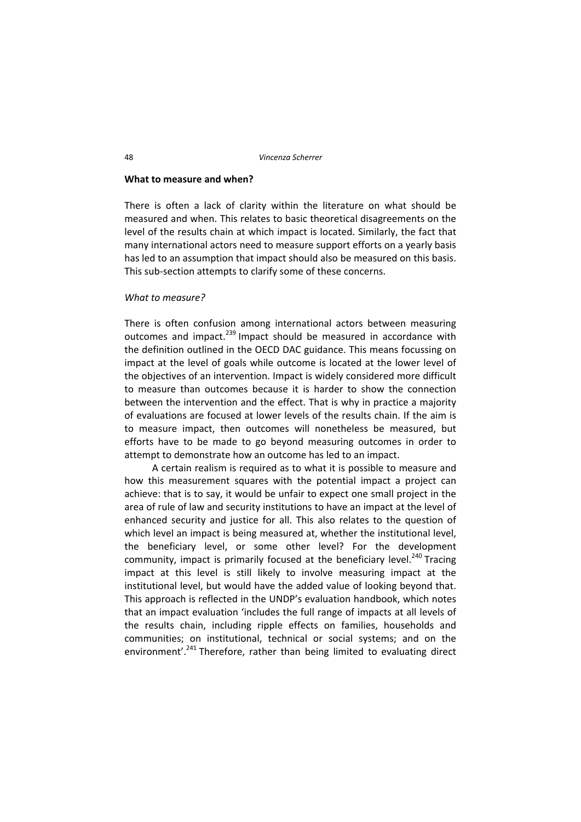#### **What to measure and when?**

There is often a lack of clarity within the literature on what should be measured and when. This relates to basic theoretical disagreements on the level of the results chain at which impact is located. Similarly, the fact that many international actors need to measure support efforts on a yearly basis has led to an assumption that impact should also be measured on this basis. This sub-section attempts to clarify some of these concerns.

### *What to measure?*

There is often confusion among international actors between measuring outcomes and impact.<sup>239</sup> Impact should be measured in accordance with the definition outlined in the OECD DAC guidance. This means focussing on impact at the level of goals while outcome is located at the lower level of the objectives of an intervention. Impact is widely considered more difficult to measure than outcomes because it is harder to show the connection between the intervention and the effect. That is why in practice a majority of evaluations are focused at lower levels of the results chain. If the aim is to measure impact, then outcomes will nonetheless be measured, but efforts have to be made to go beyond measuring outcomes in order to attempt to demonstrate how an outcome has led to an impact.

A certain realism is required as to what it is possible to measure and how this measurement squares with the potential impact a project can achieve: that is to say, it would be unfair to expect one small project in the area of rule of law and security institutions to have an impact at the level of enhanced security and justice for all. This also relates to the question of which level an impact is being measured at, whether the institutional level, the beneficiary level, or some other level? For the development community, impact is primarily focused at the beneficiary level.<sup>240</sup> Tracing impact at this level is still likely to involve measuring impact at the institutional level, but would have the added value of looking beyond that. This approach is reflected in the UNDP's evaluation handbook, which notes that an impact evaluation 'includes the full range of impacts at all levels of the results chain, including ripple effects on families, households and communities; on institutional, technical or social systems; and on the environment'.<sup>241</sup> Therefore, rather than being limited to evaluating direct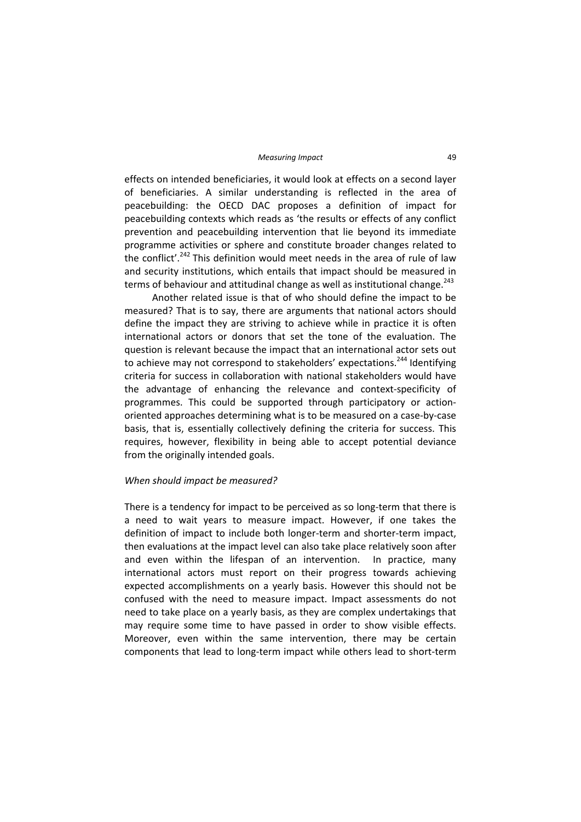#### *Measuring Impact* 49

effects on intended beneficiaries, it would look at effects on a second layer of beneficiaries. A similar understanding is reflected in the area of peacebuilding: the OECD DAC proposes a definition of impact for peacebuilding contexts which reads as 'the results or effects of any conflict prevention and peacebuilding intervention that lie beyond its immediate programme activities or sphere and constitute broader changes related to the conflict'.<sup>242</sup> This definition would meet needs in the area of rule of law and security institutions, which entails that impact should be measured in terms of behaviour and attitudinal change as well as institutional change.<sup>243</sup>

Another related issue is that of who should define the impact to be measured? That is to say, there are arguments that national actors should define the impact they are striving to achieve while in practice it is often international actors or donors that set the tone of the evaluation. The question is relevant because the impact that an international actor sets out to achieve may not correspond to stakeholders' expectations.<sup>244</sup> Identifying criteria for success in collaboration with national stakeholders would have the advantage of enhancing the relevance and context‐specificity of programmes. This could be supported through participatory or action‐ oriented approaches determining what is to be measured on a case‐by‐case basis, that is, essentially collectively defining the criteria for success. This requires, however, flexibility in being able to accept potential deviance from the originally intended goals.

### *When should impact be measured?*

There is a tendency for impact to be perceived as so long-term that there is a need to wait years to measure impact. However, if one takes the definition of impact to include both longer‐term and shorter‐term impact, then evaluations at the impact level can also take place relatively soon after and even within the lifespan of an intervention. In practice, many international actors must report on their progress towards achieving expected accomplishments on a yearly basis. However this should not be confused with the need to measure impact. Impact assessments do not need to take place on a yearly basis, as they are complex undertakings that may require some time to have passed in order to show visible effects. Moreover, even within the same intervention, there may be certain components that lead to long‐term impact while others lead to short‐term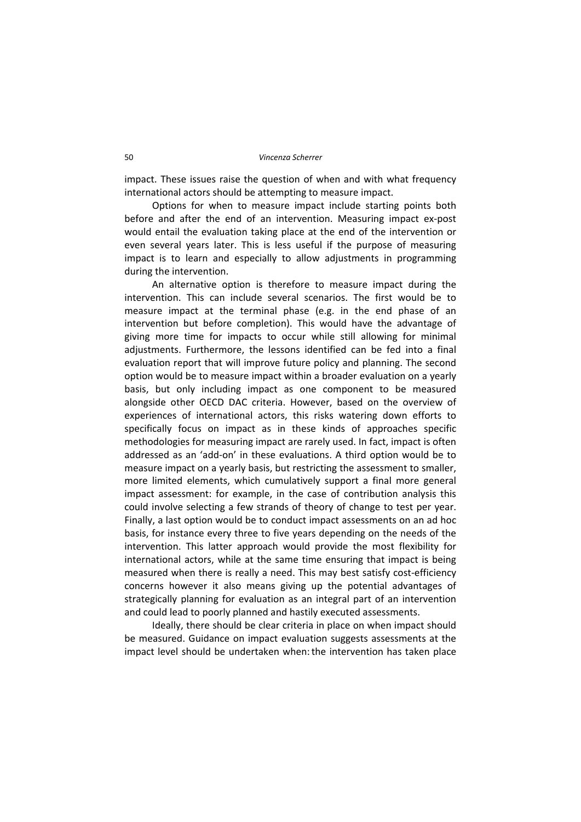impact. These issues raise the question of when and with what frequency international actors should be attempting to measure impact.

Options for when to measure impact include starting points both before and after the end of an intervention. Measuring impact ex‐post would entail the evaluation taking place at the end of the intervention or even several years later. This is less useful if the purpose of measuring impact is to learn and especially to allow adjustments in programming during the intervention.

An alternative option is therefore to measure impact during the intervention. This can include several scenarios. The first would be to measure impact at the terminal phase (e.g. in the end phase of an intervention but before completion). This would have the advantage of giving more time for impacts to occur while still allowing for minimal adjustments. Furthermore, the lessons identified can be fed into a final evaluation report that will improve future policy and planning. The second option would be to measure impact within a broader evaluation on a yearly basis, but only including impact as one component to be measured alongside other OECD DAC criteria. However, based on the overview of experiences of international actors, this risks watering down efforts to specifically focus on impact as in these kinds of approaches specific methodologies for measuring impact are rarely used. In fact, impact is often addressed as an 'add‐on' in these evaluations. A third option would be to measure impact on a yearly basis, but restricting the assessment to smaller, more limited elements, which cumulatively support a final more general impact assessment: for example, in the case of contribution analysis this could involve selecting a few strands of theory of change to test per year. Finally, a last option would be to conduct impact assessments on an ad hoc basis, for instance every three to five years depending on the needs of the intervention. This latter approach would provide the most flexibility for international actors, while at the same time ensuring that impact is being measured when there is really a need. This may best satisfy cost‐efficiency concerns however it also means giving up the potential advantages of strategically planning for evaluation as an integral part of an intervention and could lead to poorly planned and hastily executed assessments.

Ideally, there should be clear criteria in place on when impact should be measured. Guidance on impact evaluation suggests assessments at the impact level should be undertaken when:the intervention has taken place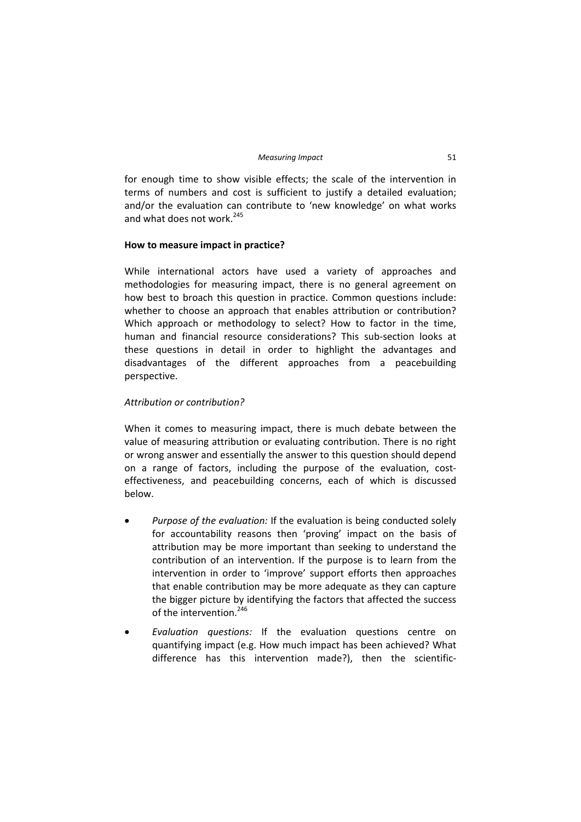for enough time to show visible effects; the scale of the intervention in terms of numbers and cost is sufficient to justify a detailed evaluation; and/or the evaluation can contribute to 'new knowledge' on what works and what does not work  $245$ 

# **How to measure impact in practice?**

While international actors have used a variety of approaches and methodologies for measuring impact, there is no general agreement on how best to broach this question in practice. Common questions include: whether to choose an approach that enables attribution or contribution? Which approach or methodology to select? How to factor in the time, human and financial resource considerations? This sub-section looks at these questions in detail in order to highlight the advantages and disadvantages of the different approaches from a peacebuilding perspective.

# *Attribution or contribution?*

When it comes to measuring impact, there is much debate between the value of measuring attribution or evaluating contribution. There is no right or wrong answer and essentially the answer to this question should depend on a range of factors, including the purpose of the evaluation, costeffectiveness, and peacebuilding concerns, each of which is discussed below.

- *Purpose of the evaluation:* If the evaluation is being conducted solely for accountability reasons then 'proving' impact on the basis of attribution may be more important than seeking to understand the contribution of an intervention. If the purpose is to learn from the intervention in order to 'improve' support efforts then approaches that enable contribution may be more adequate as they can capture the bigger picture by identifying the factors that affected the success of the intervention.<sup>246</sup>
- *Evaluation questions:* If the evaluation questions centre on quantifying impact (e.g. How much impact has been achieved? What difference has this intervention made?), then the scientific-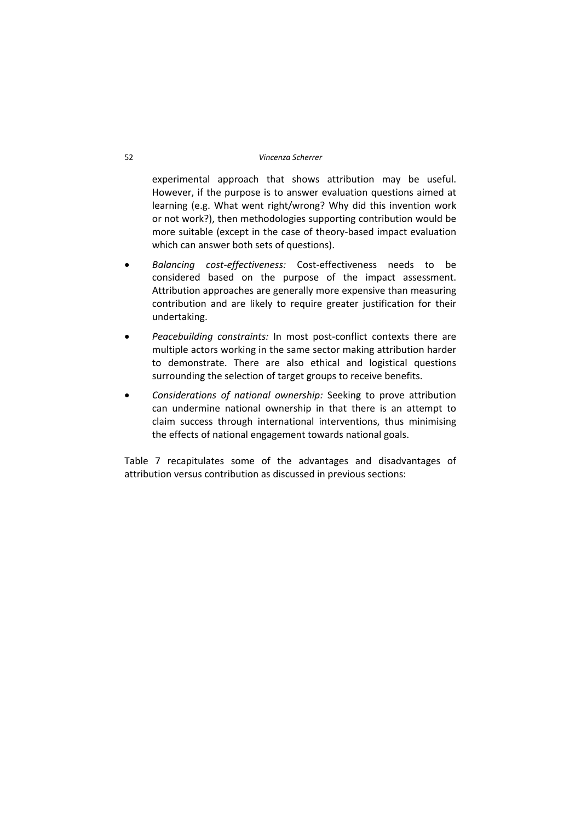experimental approach that shows attribution may be useful. However, if the purpose is to answer evaluation questions aimed at learning (e.g. What went right/wrong? Why did this invention work or not work?), then methodologies supporting contribution would be more suitable (except in the case of theory‐based impact evaluation which can answer both sets of questions).

- *Balancing cost‐effectiveness:* Cost‐effectiveness needs to be considered based on the purpose of the impact assessment. Attribution approaches are generally more expensive than measuring contribution and are likely to require greater justification for their undertaking.
- *Peacebuilding constraints:* In most post‐conflict contexts there are multiple actors working in the same sector making attribution harder to demonstrate. There are also ethical and logistical questions surrounding the selection of target groups to receive benefits.
- *Considerations of national ownership:* Seeking to prove attribution can undermine national ownership in that there is an attempt to claim success through international interventions, thus minimising the effects of national engagement towards national goals.

Table 7 recapitulates some of the advantages and disadvantages of attribution versus contribution as discussed in previous sections: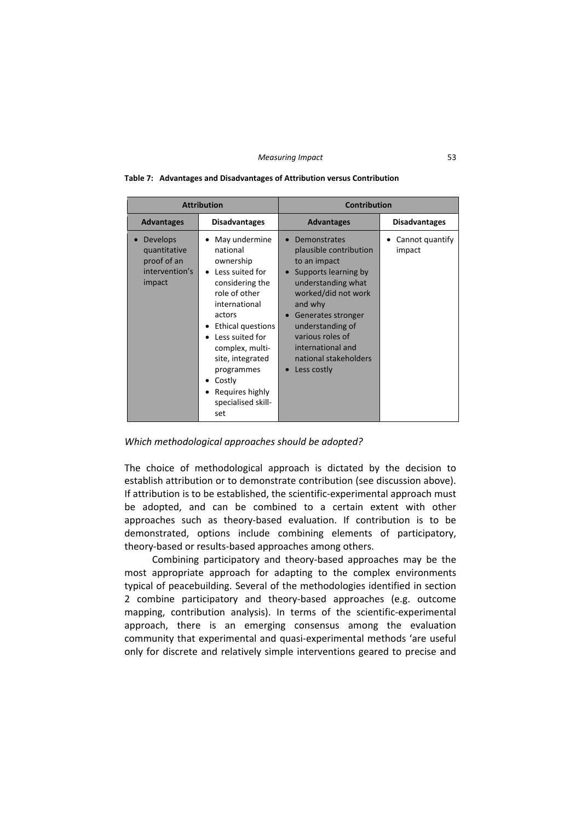#### *Measuring Impact* 53

|                                                                            | <b>Attribution</b>                                                                                                                                                                                                                                                              | <b>Contribution</b>                                                                                                                                                                                                                                               |                           |
|----------------------------------------------------------------------------|---------------------------------------------------------------------------------------------------------------------------------------------------------------------------------------------------------------------------------------------------------------------------------|-------------------------------------------------------------------------------------------------------------------------------------------------------------------------------------------------------------------------------------------------------------------|---------------------------|
| <b>Advantages</b>                                                          | <b>Disadvantages</b>                                                                                                                                                                                                                                                            | <b>Advantages</b>                                                                                                                                                                                                                                                 | <b>Disadvantages</b>      |
| <b>Develops</b><br>quantitative<br>proof of an<br>intervention's<br>impact | May undermine<br>national<br>ownership<br>Less suited for<br>considering the<br>role of other<br>international<br>actors<br>Ethical questions<br>Less suited for<br>complex, multi-<br>site, integrated<br>programmes<br>Costly<br>Requires highly<br>specialised skill-<br>set | Demonstrates<br>plausible contribution<br>to an impact<br>Supports learning by<br>understanding what<br>worked/did not work<br>and why<br>Generates stronger<br>understanding of<br>various roles of<br>international and<br>national stakeholders<br>Less costly | Cannot quantify<br>impact |

#### **Table 7: Advantages and Disadvantages of Attribution versus Contribution**

*Which methodological approaches should be adopted?*

The choice of methodological approach is dictated by the decision to establish attribution or to demonstrate contribution (see discussion above). If attribution is to be established, the scientific-experimental approach must be adopted, and can be combined to a certain extent with other approaches such as theory‐based evaluation. If contribution is to be demonstrated, options include combining elements of participatory, theory‐based or results‐based approaches among others.

Combining participatory and theory‐based approaches may be the most appropriate approach for adapting to the complex environments typical of peacebuilding. Several of the methodologies identified in section 2 combine participatory and theory‐based approaches (e.g. outcome mapping, contribution analysis). In terms of the scientific-experimental approach, there is an emerging consensus among the evaluation community that experimental and quasi‐experimental methods 'are useful only for discrete and relatively simple interventions geared to precise and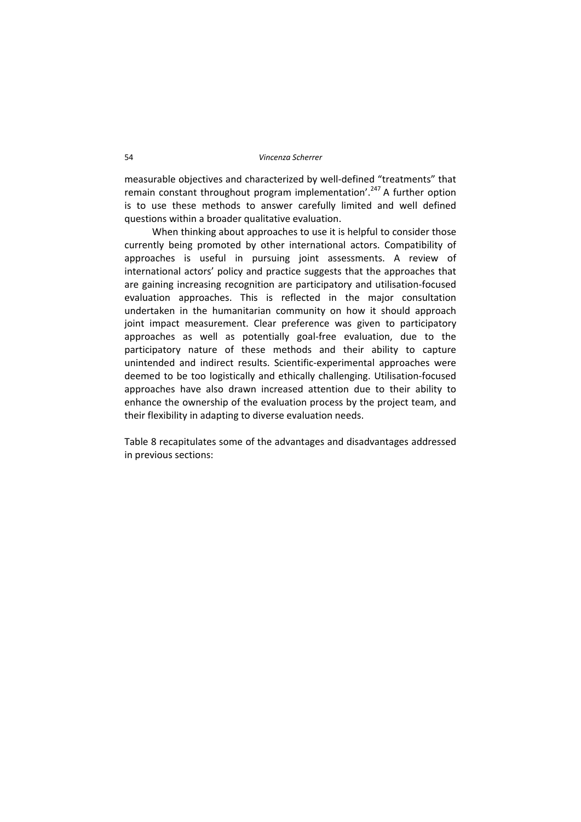measurable objectives and characterized by well‐defined "treatments" that remain constant throughout program implementation'.<sup>247</sup> A further option is to use these methods to answer carefully limited and well defined questions within a broader qualitative evaluation.

When thinking about approaches to use it is helpful to consider those currently being promoted by other international actors. Compatibility of approaches is useful in pursuing joint assessments. A review of international actors' policy and practice suggests that the approaches that are gaining increasing recognition are participatory and utilisation‐focused evaluation approaches. This is reflected in the major consultation undertaken in the humanitarian community on how it should approach joint impact measurement. Clear preference was given to participatory approaches as well as potentially goal‐free evaluation, due to the participatory nature of these methods and their ability to capture unintended and indirect results. Scientific‐experimental approaches were deemed to be too logistically and ethically challenging. Utilisation‐focused approaches have also drawn increased attention due to their ability to enhance the ownership of the evaluation process by the project team, and their flexibility in adapting to diverse evaluation needs.

Table 8 recapitulates some of the advantages and disadvantages addressed in previous sections: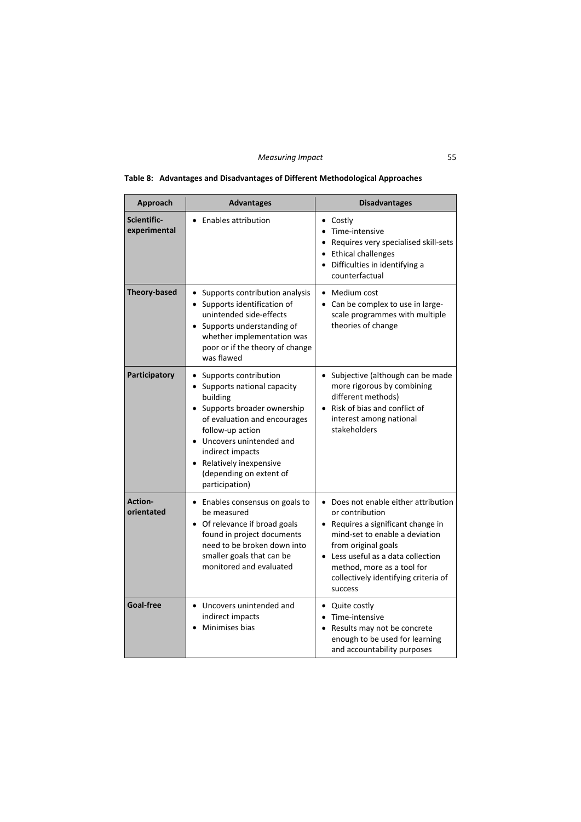| Approach                     | <b>Advantages</b>                                                                                                                                                                                                                                                       | <b>Disadvantages</b>                                                                                                                                                                                                                                                          |  |
|------------------------------|-------------------------------------------------------------------------------------------------------------------------------------------------------------------------------------------------------------------------------------------------------------------------|-------------------------------------------------------------------------------------------------------------------------------------------------------------------------------------------------------------------------------------------------------------------------------|--|
| Scientific-<br>experimental  | <b>Enables attribution</b>                                                                                                                                                                                                                                              | • Costly<br>• Time-intensive<br>• Requires very specialised skill-sets<br>• Ethical challenges<br>Difficulties in identifying a<br>counterfactual                                                                                                                             |  |
| <b>Theory-based</b>          | Supports contribution analysis<br>Supports identification of<br>$\bullet$<br>unintended side-effects<br>Supports understanding of<br>whether implementation was<br>poor or if the theory of change<br>was flawed                                                        | • Medium cost<br>Can be complex to use in large-<br>$\bullet$<br>scale programmes with multiple<br>theories of change                                                                                                                                                         |  |
| Participatory                | Supports contribution<br>Supports national capacity<br>building<br>Supports broader ownership<br>of evaluation and encourages<br>follow-up action<br>Uncovers unintended and<br>indirect impacts<br>Relatively inexpensive<br>(depending on extent of<br>participation) | • Subjective (although can be made<br>more rigorous by combining<br>different methods)<br>• Risk of bias and conflict of<br>interest among national<br>stakeholders                                                                                                           |  |
| <b>Action-</b><br>orientated | • Enables consensus on goals to<br>be measured<br>• Of relevance if broad goals<br>found in project documents<br>need to be broken down into<br>smaller goals that can be<br>monitored and evaluated                                                                    | • Does not enable either attribution<br>or contribution<br>• Requires a significant change in<br>mind-set to enable a deviation<br>from original goals<br>• Less useful as a data collection<br>method, more as a tool for<br>collectively identifying criteria of<br>success |  |
| Goal-free                    | • Uncovers unintended and<br>indirect impacts<br>Minimises bias                                                                                                                                                                                                         | • Quite costly<br>• Time-intensive<br>Results may not be concrete<br>enough to be used for learning<br>and accountability purposes                                                                                                                                            |  |

# **Table 8: Advantages and Disadvantages of Different Methodological Approaches**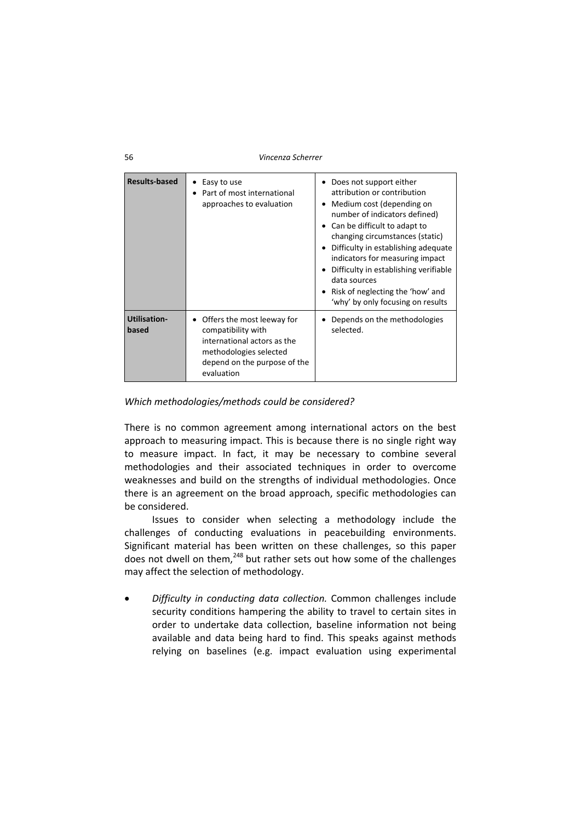| <b>Results-based</b>         | Easy to use<br>Part of most international<br>approaches to evaluation                                                                                   | Does not support either<br>attribution or contribution<br>Medium cost (depending on<br>number of indicators defined)<br>Can be difficult to adapt to<br>$\bullet$<br>changing circumstances (static)<br>Difficulty in establishing adequate<br>indicators for measuring impact<br>Difficulty in establishing verifiable<br>data sources<br>Risk of neglecting the 'how' and<br>'why' by only focusing on results |
|------------------------------|---------------------------------------------------------------------------------------------------------------------------------------------------------|------------------------------------------------------------------------------------------------------------------------------------------------------------------------------------------------------------------------------------------------------------------------------------------------------------------------------------------------------------------------------------------------------------------|
| <b>Utilisation-</b><br>based | Offers the most leeway for<br>compatibility with<br>international actors as the<br>methodologies selected<br>depend on the purpose of the<br>evaluation | Depends on the methodologies<br>selected.                                                                                                                                                                                                                                                                                                                                                                        |

# *Which methodologies/methods could be considered?*

There is no common agreement among international actors on the best approach to measuring impact. This is because there is no single right way to measure impact. In fact, it may be necessary to combine several methodologies and their associated techniques in order to overcome weaknesses and build on the strengths of individual methodologies. Once there is an agreement on the broad approach, specific methodologies can be considered.

Issues to consider when selecting a methodology include the challenges of conducting evaluations in peacebuilding environments. Significant material has been written on these challenges, so this paper does not dwell on them,<sup>248</sup> but rather sets out how some of the challenges may affect the selection of methodology.

 *Difficulty in conducting data collection.* Common challenges include security conditions hampering the ability to travel to certain sites in order to undertake data collection, baseline information not being available and data being hard to find. This speaks against methods relying on baselines (e.g. impact evaluation using experimental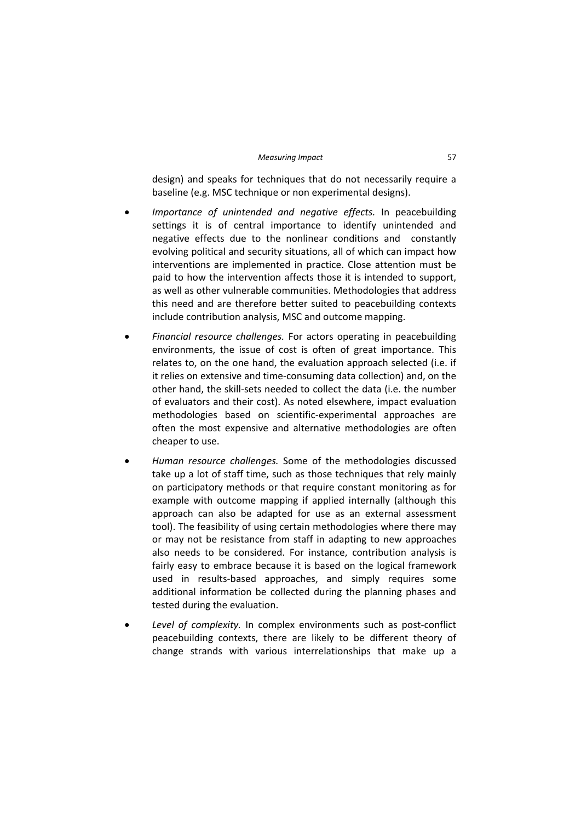design) and speaks for techniques that do not necessarily require a baseline (e.g. MSC technique or non experimental designs).

- *Importance of unintended and negative effects.* In peacebuilding settings it is of central importance to identify unintended and negative effects due to the nonlinear conditions and constantly evolving political and security situations, all of which can impact how interventions are implemented in practice. Close attention must be paid to how the intervention affects those it is intended to support, as well as other vulnerable communities. Methodologies that address this need and are therefore better suited to peacebuilding contexts include contribution analysis, MSC and outcome mapping.
- *Financial resource challenges.* For actors operating in peacebuilding environments, the issue of cost is often of great importance. This relates to, on the one hand, the evaluation approach selected (i.e. if it relies on extensive and time‐consuming data collection) and, on the other hand, the skill‐sets needed to collect the data (i.e. the number of evaluators and their cost). As noted elsewhere, impact evaluation methodologies based on scientific‐experimental approaches are often the most expensive and alternative methodologies are often cheaper to use.
- *Human resource challenges.* Some of the methodologies discussed take up a lot of staff time, such as those techniques that rely mainly on participatory methods or that require constant monitoring as for example with outcome mapping if applied internally (although this approach can also be adapted for use as an external assessment tool). The feasibility of using certain methodologies where there may or may not be resistance from staff in adapting to new approaches also needs to be considered. For instance, contribution analysis is fairly easy to embrace because it is based on the logical framework used in results‐based approaches, and simply requires some additional information be collected during the planning phases and tested during the evaluation.
- *Level of complexity.* In complex environments such as post‐conflict peacebuilding contexts, there are likely to be different theory of change strands with various interrelationships that make up a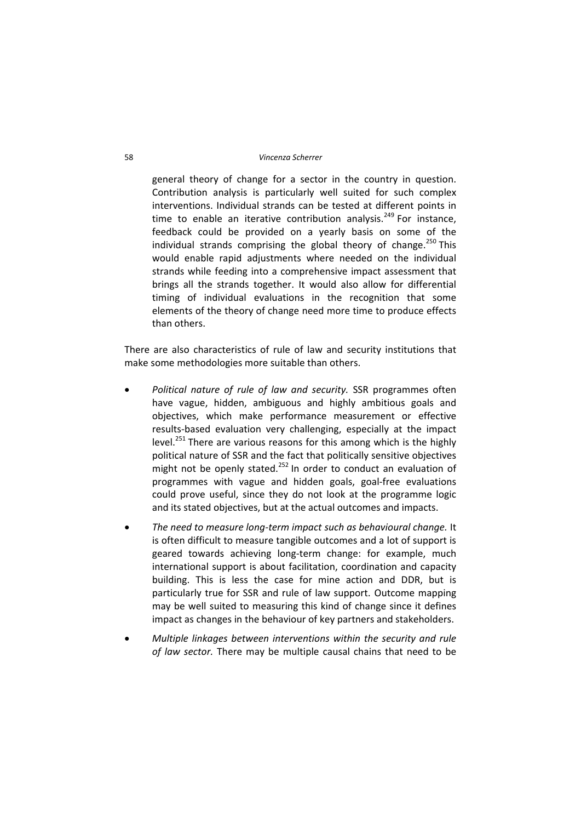general theory of change for a sector in the country in question. Contribution analysis is particularly well suited for such complex interventions. Individual strands can be tested at different points in time to enable an iterative contribution analysis.<sup>249</sup> For instance, feedback could be provided on a yearly basis on some of the individual strands comprising the global theory of change.<sup>250</sup> This would enable rapid adjustments where needed on the individual strands while feeding into a comprehensive impact assessment that brings all the strands together. It would also allow for differential timing of individual evaluations in the recognition that some elements of the theory of change need more time to produce effects than others.

There are also characteristics of rule of law and security institutions that make some methodologies more suitable than others.

- *Political nature of rule of law and security.* SSR programmes often have vague, hidden, ambiguous and highly ambitious goals and objectives, which make performance measurement or effective results‐based evaluation very challenging, especially at the impact level.<sup>251</sup> There are various reasons for this among which is the highly political nature of SSR and the fact that politically sensitive objectives might not be openly stated.<sup>252</sup> In order to conduct an evaluation of programmes with vague and hidden goals, goal‐free evaluations could prove useful, since they do not look at the programme logic and its stated objectives, but at the actual outcomes and impacts.
- *The need to measure long‐term impact such as behavioural change.* It is often difficult to measure tangible outcomes and a lot of support is geared towards achieving long-term change: for example, much international support is about facilitation, coordination and capacity building. This is less the case for mine action and DDR, but is particularly true for SSR and rule of law support. Outcome mapping may be well suited to measuring this kind of change since it defines impact as changes in the behaviour of key partners and stakeholders.
- *Multiple linkages between interventions within the security and rule of law sector.* There may be multiple causal chains that need to be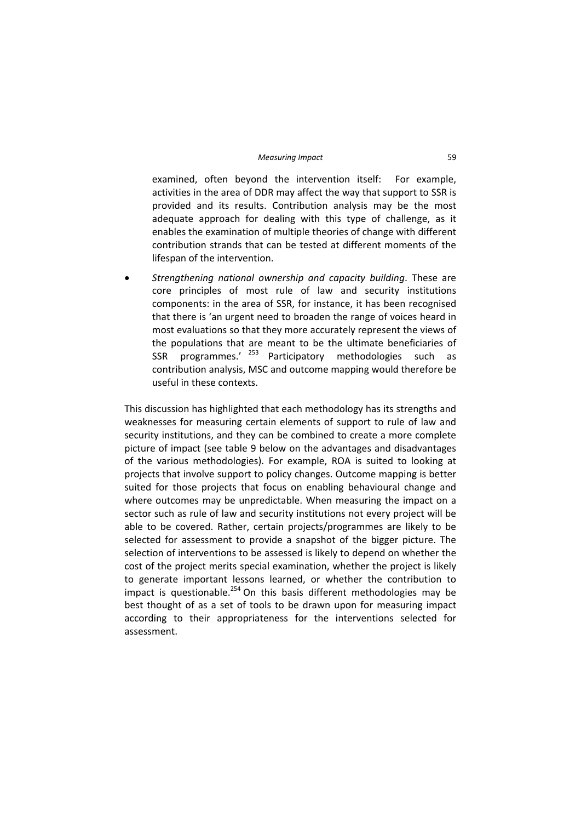#### *Measuring Impact* 59

examined, often beyond the intervention itself: For example, activities in the area of DDR may affect the way that support to SSR is provided and its results. Contribution analysis may be the most adequate approach for dealing with this type of challenge, as it enables the examination of multiple theories of change with different contribution strands that can be tested at different moments of the lifespan of the intervention.

 *Strengthening national ownership and capacity building*. These are core principles of most rule of law and security institutions components: in the area of SSR, for instance, it has been recognised that there is 'an urgent need to broaden the range of voices heard in most evaluations so that they more accurately represent the views of the populations that are meant to be the ultimate beneficiaries of SSR programmes.'  $253$  Participatory methodologies such as contribution analysis, MSC and outcome mapping would therefore be useful in these contexts.

This discussion has highlighted that each methodology has its strengths and weaknesses for measuring certain elements of support to rule of law and security institutions, and they can be combined to create a more complete picture of impact (see table 9 below on the advantages and disadvantages of the various methodologies). For example, ROA is suited to looking at projects that involve support to policy changes. Outcome mapping is better suited for those projects that focus on enabling behavioural change and where outcomes may be unpredictable. When measuring the impact on a sector such as rule of law and security institutions not every project will be able to be covered. Rather, certain projects/programmes are likely to be selected for assessment to provide a snapshot of the bigger picture. The selection of interventions to be assessed is likely to depend on whether the cost of the project merits special examination, whether the project is likely to generate important lessons learned, or whether the contribution to impact is questionable.<sup>254</sup> On this basis different methodologies may be best thought of as a set of tools to be drawn upon for measuring impact according to their appropriateness for the interventions selected for assessment.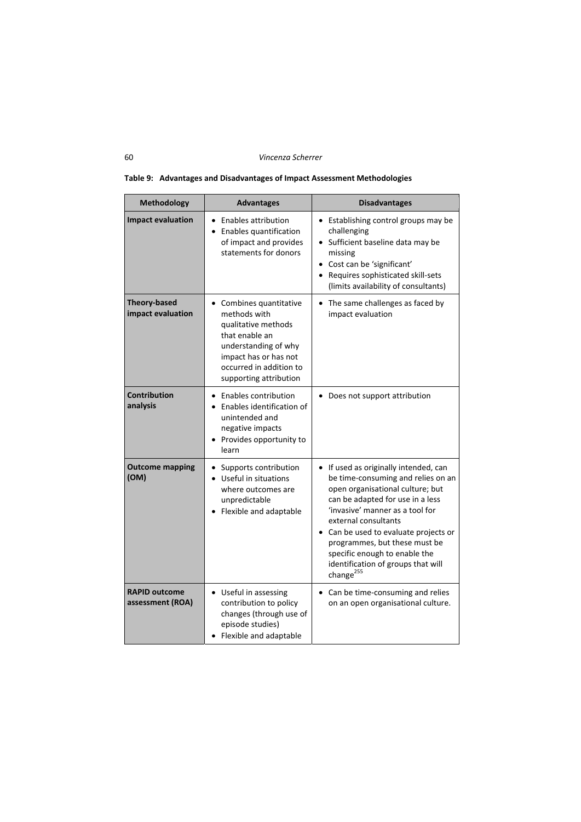| <b>Methodology</b>                       | <b>Advantages</b>                                                                                                                                                                    | <b>Disadvantages</b>                                                                                                                                                                                                                                                                                                                                                                 |
|------------------------------------------|--------------------------------------------------------------------------------------------------------------------------------------------------------------------------------------|--------------------------------------------------------------------------------------------------------------------------------------------------------------------------------------------------------------------------------------------------------------------------------------------------------------------------------------------------------------------------------------|
| <b>Impact evaluation</b>                 | • Enables attribution<br>Enables quantification<br>of impact and provides<br>statements for donors                                                                                   | Establishing control groups may be<br>$\bullet$<br>challenging<br>Sufficient baseline data may be<br>missing<br>• Cost can be 'significant'<br>Requires sophisticated skill-sets<br>(limits availability of consultants)                                                                                                                                                             |
| <b>Theory-based</b><br>impact evaluation | Combines quantitative<br>methods with<br>qualitative methods<br>that enable an<br>understanding of why<br>impact has or has not<br>occurred in addition to<br>supporting attribution | The same challenges as faced by<br>impact evaluation                                                                                                                                                                                                                                                                                                                                 |
| <b>Contribution</b><br>analysis          | Enables contribution<br>$\bullet$<br>Enables identification of<br>unintended and<br>negative impacts<br>Provides opportunity to<br>learn                                             | Does not support attribution                                                                                                                                                                                                                                                                                                                                                         |
| <b>Outcome mapping</b><br>(OM)           | Supports contribution<br>Useful in situations<br>where outcomes are<br>unpredictable<br>Flexible and adaptable                                                                       | If used as originally intended, can<br>be time-consuming and relies on an<br>open organisational culture; but<br>can be adapted for use in a less<br>'invasive' manner as a tool for<br>external consultants<br>Can be used to evaluate projects or<br>programmes, but these must be<br>specific enough to enable the<br>identification of groups that will<br>change <sup>255</sup> |
| <b>RAPID outcome</b><br>assessment (ROA) | • Useful in assessing<br>contribution to policy<br>changes (through use of<br>episode studies)<br>Flexible and adaptable                                                             | Can be time-consuming and relies<br>$\bullet$<br>on an open organisational culture.                                                                                                                                                                                                                                                                                                  |

### **Table 9: Advantages and Disadvantages of Impact Assessment Methodologies**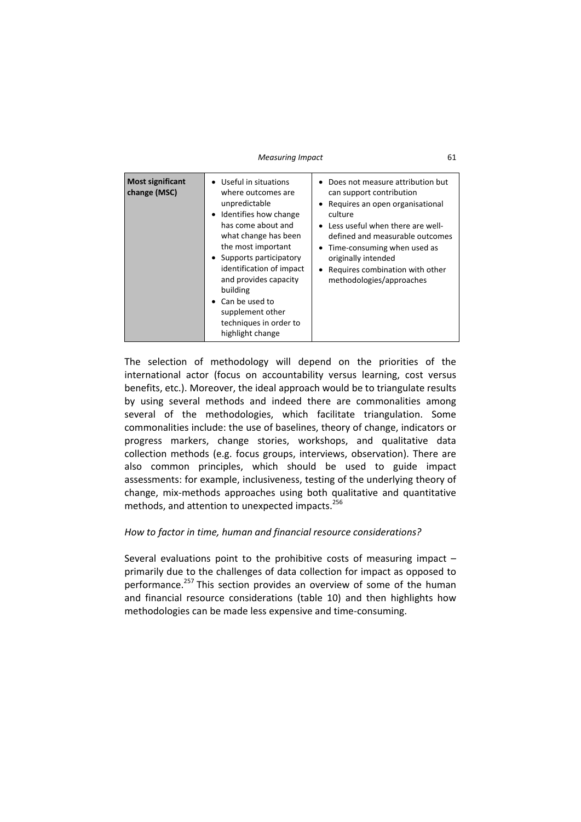*Measuring Impact* 61

| <b>Most significant</b><br>change (MSC)<br>building | • Useful in situations<br>where outcomes are<br>unpredictable<br>Identifies how change<br>has come about and<br>what change has been<br>the most important<br>Supports participatory<br>identification of impact<br>and provides capacity<br>Can be used to<br>supplement other<br>techniques in order to<br>highlight change | Does not measure attribution but<br>can support contribution<br>• Requires an open organisational<br>culture<br>• Less useful when there are well-<br>defined and measurable outcomes<br>Time-consuming when used as<br>originally intended<br>Requires combination with other<br>methodologies/approaches |
|-----------------------------------------------------|-------------------------------------------------------------------------------------------------------------------------------------------------------------------------------------------------------------------------------------------------------------------------------------------------------------------------------|------------------------------------------------------------------------------------------------------------------------------------------------------------------------------------------------------------------------------------------------------------------------------------------------------------|
|-----------------------------------------------------|-------------------------------------------------------------------------------------------------------------------------------------------------------------------------------------------------------------------------------------------------------------------------------------------------------------------------------|------------------------------------------------------------------------------------------------------------------------------------------------------------------------------------------------------------------------------------------------------------------------------------------------------------|

The selection of methodology will depend on the priorities of the international actor (focus on accountability versus learning, cost versus benefits, etc.). Moreover, the ideal approach would be to triangulate results by using several methods and indeed there are commonalities among several of the methodologies, which facilitate triangulation. Some commonalities include: the use of baselines, theory of change, indicators or progress markers, change stories, workshops, and qualitative data collection methods (e.g. focus groups, interviews, observation). There are also common principles, which should be used to guide impact assessments: for example, inclusiveness, testing of the underlying theory of change, mix‐methods approaches using both qualitative and quantitative methods, and attention to unexpected impacts.<sup>256</sup>

# *How to factor in time, human and financial resource considerations?*

Several evaluations point to the prohibitive costs of measuring impact  $$ primarily due to the challenges of data collection for impact as opposed to performance.<sup>257</sup> This section provides an overview of some of the human and financial resource considerations (table 10) and then highlights how methodologies can be made less expensive and time‐consuming.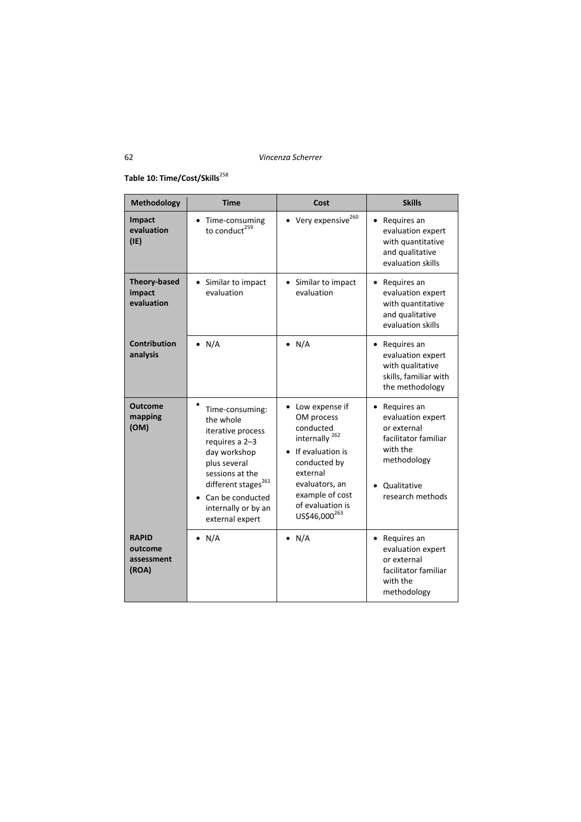# **Table 10: Time/Cost/Skills**<sup>258</sup>

| <b>Methodology</b>                             | <b>Time</b>                                                                                                                                                                                                             | Cost                                                                                                                                                                                                   | <b>Skills</b>                                                                                                                                      |
|------------------------------------------------|-------------------------------------------------------------------------------------------------------------------------------------------------------------------------------------------------------------------------|--------------------------------------------------------------------------------------------------------------------------------------------------------------------------------------------------------|----------------------------------------------------------------------------------------------------------------------------------------------------|
| Impact<br>evaluation<br>(IE)                   | Time-consuming<br>$\bullet$<br>to conduct <sup>259</sup>                                                                                                                                                                | Very expensive <sup>260</sup>                                                                                                                                                                          | Requires an<br>$\bullet$<br>evaluation expert<br>with quantitative<br>and qualitative<br>evaluation skills                                         |
| <b>Theory-based</b><br>impact<br>evaluation    | • Similar to impact<br>evaluation                                                                                                                                                                                       | Similar to impact<br>evaluation                                                                                                                                                                        | Requires an<br>evaluation expert<br>with quantitative<br>and qualitative<br>evaluation skills                                                      |
| <b>Contribution</b><br>analysis                | $\bullet$ N/A                                                                                                                                                                                                           | $\bullet$ N/A                                                                                                                                                                                          | Requires an<br>evaluation expert<br>with qualitative<br>skills, familiar with<br>the methodology                                                   |
| <b>Outcome</b><br>mapping<br>(OM)              | Time-consuming:<br>the whole<br>iterative process<br>requires a 2-3<br>day workshop<br>plus several<br>sessions at the<br>different stages <sup>261</sup><br>Can be conducted<br>internally or by an<br>external expert | Low expense if<br>OM process<br>conducted<br>internally $^{262}$<br>If evaluation is<br>conducted by<br>external<br>evaluators, an<br>example of cost<br>of evaluation is<br>US\$46,000 <sup>263</sup> | Requires an<br>$\bullet$<br>evaluation expert<br>or external<br>facilitator familiar<br>with the<br>methodology<br>Qualitative<br>research methods |
| <b>RAPID</b><br>outcome<br>assessment<br>(ROA) | $\bullet$ N/A                                                                                                                                                                                                           | $\bullet$ N/A                                                                                                                                                                                          | Requires an<br>evaluation expert<br>or external<br>facilitator familiar<br>with the<br>methodology                                                 |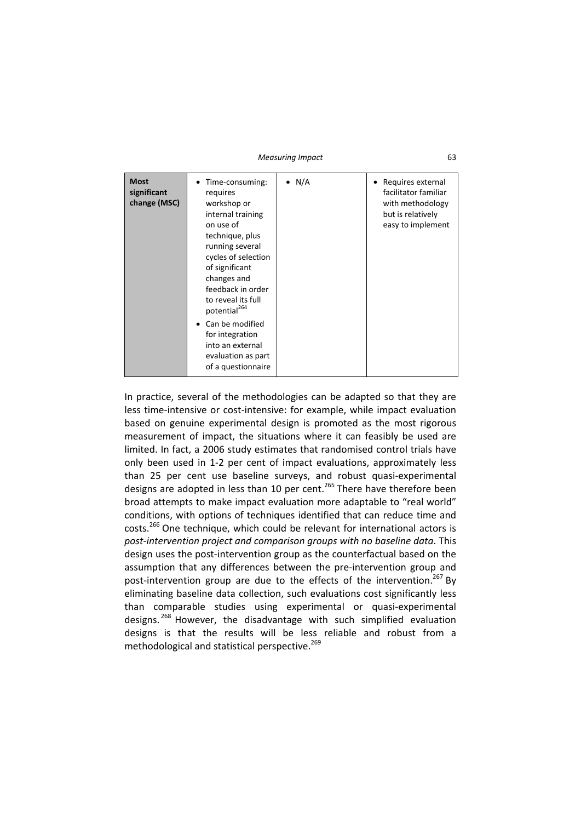*Measuring Impact* 63

| <b>Most</b><br>significant<br>change (MSC) | Time-consuming:<br>requires<br>workshop or<br>internal training<br>on use of<br>technique, plus<br>running several<br>cycles of selection<br>of significant<br>changes and<br>feedback in order<br>to reveal its full<br>potential <sup>264</sup> | $\bullet$ N/A | Requires external<br>facilitator familiar<br>with methodology<br>but is relatively<br>easy to implement |
|--------------------------------------------|---------------------------------------------------------------------------------------------------------------------------------------------------------------------------------------------------------------------------------------------------|---------------|---------------------------------------------------------------------------------------------------------|
|                                            | Can be modified<br>٠<br>for integration<br>into an external<br>evaluation as part<br>of a questionnaire                                                                                                                                           |               |                                                                                                         |

In practice, several of the methodologies can be adapted so that they are less time‐intensive or cost‐intensive: for example, while impact evaluation based on genuine experimental design is promoted as the most rigorous measurement of impact, the situations where it can feasibly be used are limited. In fact, a 2006 study estimates that randomised control trials have only been used in 1‐2 per cent of impact evaluations, approximately less than 25 per cent use baseline surveys, and robust quasi‐experimental designs are adopted in less than 10 per cent.<sup>265</sup> There have therefore been broad attempts to make impact evaluation more adaptable to "real world" conditions, with options of techniques identified that can reduce time and costs.<sup>266</sup> One technique, which could be relevant for international actors is *post‐intervention project and comparison groups with no baseline data*. This design uses the post‐intervention group as the counterfactual based on the assumption that any differences between the pre‐intervention group and post-intervention group are due to the effects of the intervention.<sup>267</sup> Bv eliminating baseline data collection, such evaluations cost significantly less than comparable studies using experimental or quasi‐experimental designs.<sup>268</sup> However, the disadvantage with such simplified evaluation designs is that the results will be less reliable and robust from a methodological and statistical perspective.<sup>269</sup>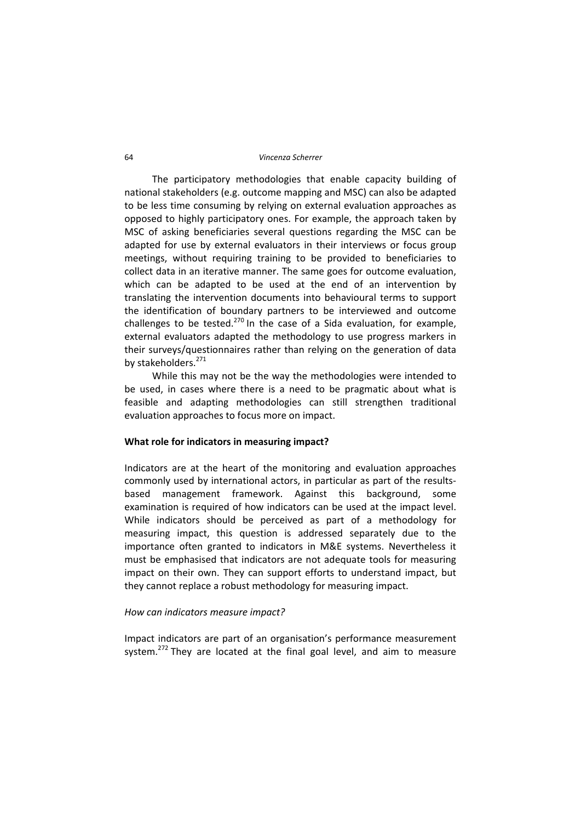#### 64 *Vincenza Scherrer*

The participatory methodologies that enable capacity building of national stakeholders (e.g. outcome mapping and MSC) can also be adapted to be less time consuming by relying on external evaluation approaches as opposed to highly participatory ones. For example, the approach taken by MSC of asking beneficiaries several questions regarding the MSC can be adapted for use by external evaluators in their interviews or focus group meetings, without requiring training to be provided to beneficiaries to collect data in an iterative manner. The same goes for outcome evaluation, which can be adapted to be used at the end of an intervention by translating the intervention documents into behavioural terms to support the identification of boundary partners to be interviewed and outcome challenges to be tested.<sup>270</sup> In the case of a Sida evaluation, for example, external evaluators adapted the methodology to use progress markers in their surveys/questionnaires rather than relying on the generation of data by stakeholders.<sup>271</sup>

While this may not be the way the methodologies were intended to be used, in cases where there is a need to be pragmatic about what is feasible and adapting methodologies can still strengthen traditional evaluation approaches to focus more on impact.

### **What role for indicators in measuring impact?**

Indicators are at the heart of the monitoring and evaluation approaches commonly used by international actors, in particular as part of the results‐ based management framework. Against this background, some examination is required of how indicators can be used at the impact level. While indicators should be perceived as part of a methodology for measuring impact, this question is addressed separately due to the importance often granted to indicators in M&E systems. Nevertheless it must be emphasised that indicators are not adequate tools for measuring impact on their own. They can support efforts to understand impact, but they cannot replace a robust methodology for measuring impact.

### *How can indicators measure impact?*

Impact indicators are part of an organisation's performance measurement system.<sup>272</sup> They are located at the final goal level, and aim to measure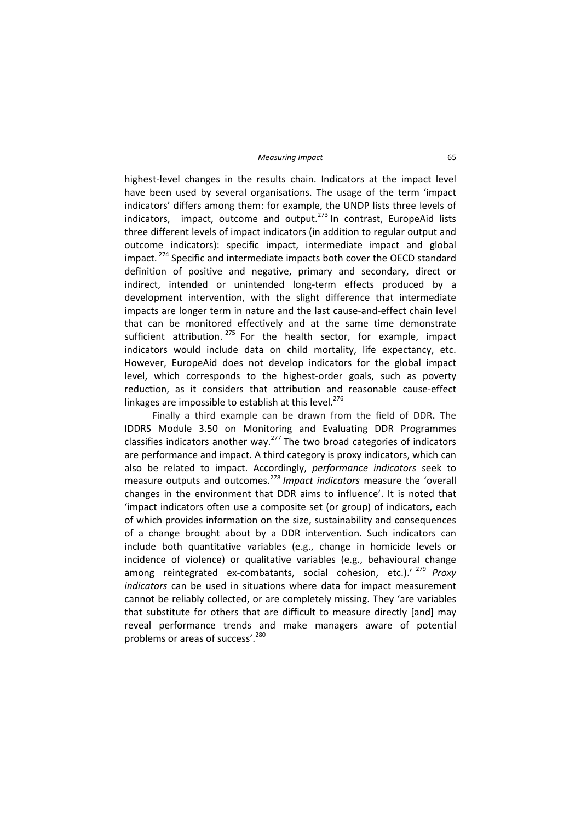highest-level changes in the results chain. Indicators at the impact level have been used by several organisations. The usage of the term 'impact indicators' differs among them: for example, the UNDP lists three levels of indicators, impact, outcome and output. $273$  In contrast, EuropeAid lists three different levels of impact indicators (in addition to regular output and outcome indicators): specific impact, intermediate impact and global impact.<sup>274</sup> Specific and intermediate impacts both cover the OECD standard definition of positive and negative, primary and secondary, direct or indirect, intended or unintended long‐term effects produced by a development intervention, with the slight difference that intermediate impacts are longer term in nature and the last cause-and-effect chain level that can be monitored effectively and at the same time demonstrate sufficient attribution.  $275$  For the health sector, for example, impact indicators would include data on child mortality, life expectancy, etc. However, EuropeAid does not develop indicators for the global impact level, which corresponds to the highest-order goals, such as poverty reduction, as it considers that attribution and reasonable cause-effect linkages are impossible to establish at this level.<sup>276</sup>

Finally a third example can be drawn from the field of DDR**.** The IDDRS Module 3.50 on Monitoring and Evaluating DDR Programmes classifies indicators another way.<sup>277</sup> The two broad categories of indicators are performance and impact. A third category is proxy indicators, which can also be related to impact. Accordingly, *performance indicators* seek to measure outputs and outcomes.<sup>278</sup> *Impact indicators* measure the 'overall changes in the environment that DDR aims to influence'. It is noted that 'impact indicators often use a composite set (or group) of indicators, each of which provides information on the size, sustainability and consequences of a change brought about by a DDR intervention. Such indicators can include both quantitative variables (e.g., change in homicide levels or incidence of violence) or qualitative variables (e.g., behavioural change among reintegrated ex‐combatants, social cohesion, etc.).' <sup>279</sup> *Proxy indicators* can be used in situations where data for impact measurement cannot be reliably collected, or are completely missing. They 'are variables that substitute for others that are difficult to measure directly [and] may reveal performance trends and make managers aware of potential problems or areas of success'.<sup>280</sup>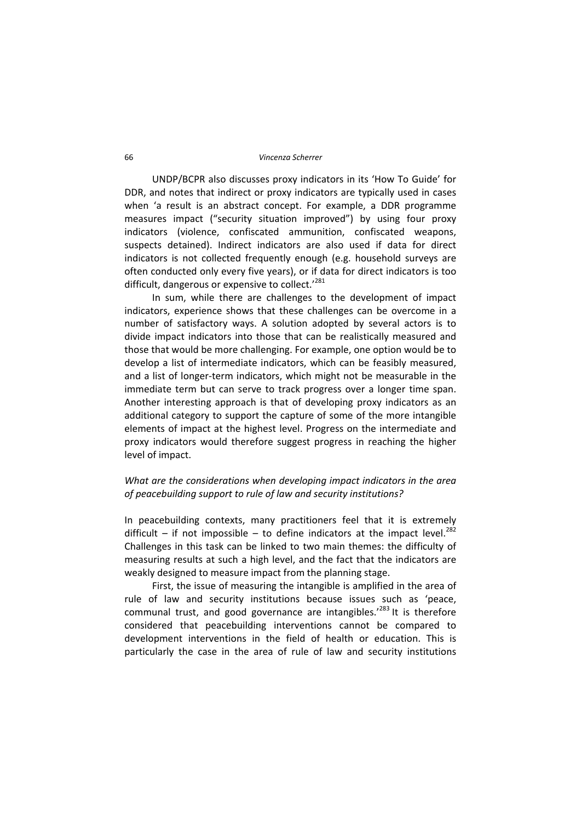UNDP/BCPR also discusses proxy indicators in its 'How To Guide' for DDR, and notes that indirect or proxy indicators are typically used in cases when 'a result is an abstract concept. For example, a DDR programme measures impact ("security situation improved") by using four proxy indicators (violence, confiscated ammunition, confiscated weapons, suspects detained). Indirect indicators are also used if data for direct indicators is not collected frequently enough (e.g. household surveys are often conducted only every five years), or if data for direct indicators is too difficult, dangerous or expensive to collect.<sup>'281</sup>

In sum, while there are challenges to the development of impact indicators, experience shows that these challenges can be overcome in a number of satisfactory ways. A solution adopted by several actors is to divide impact indicators into those that can be realistically measured and those that would be more challenging. For example, one option would be to develop a list of intermediate indicators, which can be feasibly measured, and a list of longer-term indicators, which might not be measurable in the immediate term but can serve to track progress over a longer time span. Another interesting approach is that of developing proxy indicators as an additional category to support the capture of some of the more intangible elements of impact at the highest level. Progress on the intermediate and proxy indicators would therefore suggest progress in reaching the higher level of impact.

# *What are the considerations when developing impact indicators in the area of peacebuilding support to rule of law and security institutions?*

In peacebuilding contexts, many practitioners feel that it is extremely difficult – if not impossible – to define indicators at the impact level.<sup>282</sup> Challenges in this task can be linked to two main themes: the difficulty of measuring results at such a high level, and the fact that the indicators are weakly designed to measure impact from the planning stage.

First, the issue of measuring the intangible is amplified in the area of rule of law and security institutions because issues such as 'peace, communal trust, and good governance are intangibles.<sup>'283</sup> It is therefore considered that peacebuilding interventions cannot be compared to development interventions in the field of health or education. This is particularly the case in the area of rule of law and security institutions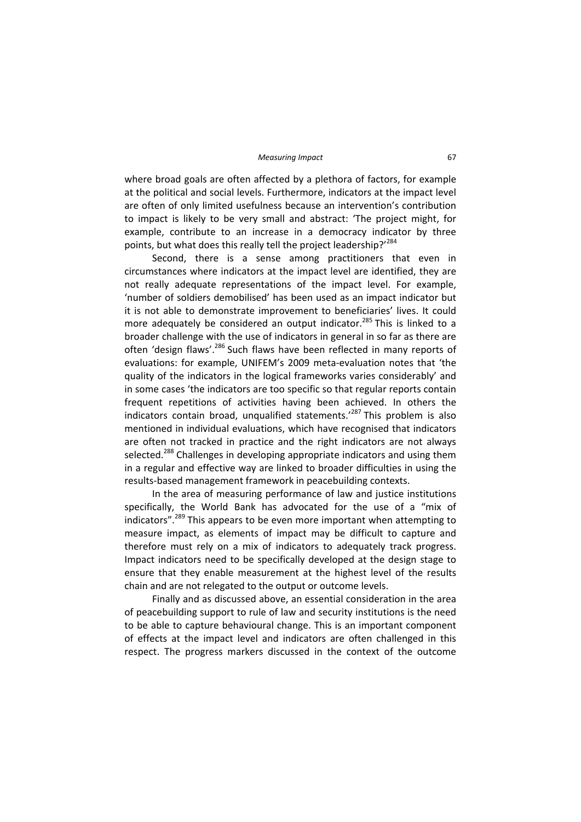where broad goals are often affected by a plethora of factors, for example at the political and social levels. Furthermore, indicators at the impact level are often of only limited usefulness because an intervention's contribution to impact is likely to be very small and abstract: 'The project might, for example, contribute to an increase in a democracy indicator by three points, but what does this really tell the project leadership?'284

Second, there is a sense among practitioners that even in circumstances where indicators at the impact level are identified, they are not really adequate representations of the impact level. For example, 'number of soldiers demobilised' has been used as an impact indicator but it is not able to demonstrate improvement to beneficiaries' lives. It could more adequately be considered an output indicator.<sup>285</sup> This is linked to a broader challenge with the use of indicators in general in so far as there are often 'design flaws'.<sup>286</sup> Such flaws have been reflected in many reports of evaluations: for example, UNIFEM's 2009 meta‐evaluation notes that 'the quality of the indicators in the logical frameworks varies considerably' and in some cases 'the indicators are too specific so that regular reports contain frequent repetitions of activities having been achieved. In others the indicators contain broad, unqualified statements.<sup>'287</sup> This problem is also mentioned in individual evaluations, which have recognised that indicators are often not tracked in practice and the right indicators are not always selected.<sup>288</sup> Challenges in developing appropriate indicators and using them in a regular and effective way are linked to broader difficulties in using the results‐based management framework in peacebuilding contexts.

In the area of measuring performance of law and justice institutions specifically, the World Bank has advocated for the use of a "mix of indicators".<sup>289</sup> This appears to be even more important when attempting to measure impact, as elements of impact may be difficult to capture and therefore must rely on a mix of indicators to adequately track progress. Impact indicators need to be specifically developed at the design stage to ensure that they enable measurement at the highest level of the results chain and are not relegated to the output or outcome levels.

Finally and as discussed above, an essential consideration in the area of peacebuilding support to rule of law and security institutions is the need to be able to capture behavioural change. This is an important component of effects at the impact level and indicators are often challenged in this respect. The progress markers discussed in the context of the outcome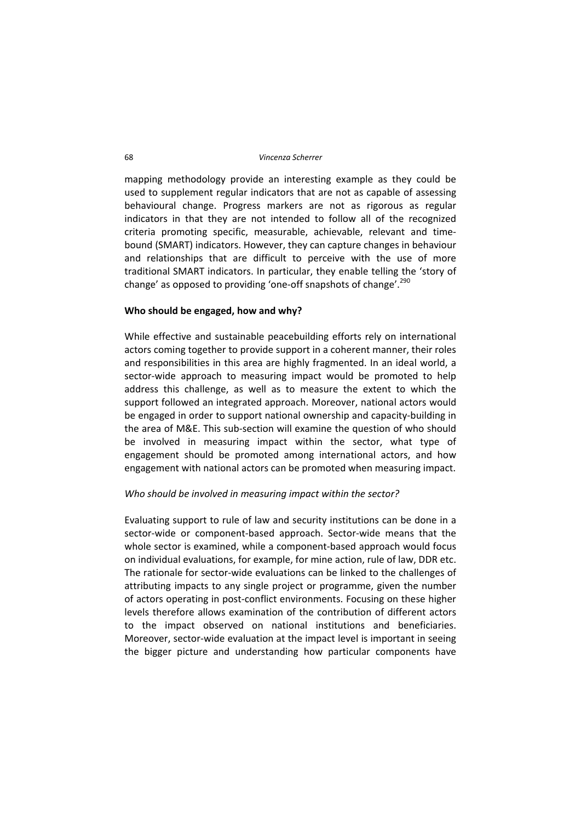#### 68 *Vincenza Scherrer*

mapping methodology provide an interesting example as they could be used to supplement regular indicators that are not as capable of assessing behavioural change. Progress markers are not as rigorous as regular indicators in that they are not intended to follow all of the recognized criteria promoting specific, measurable, achievable, relevant and time‐ bound (SMART) indicators. However, they can capture changes in behaviour and relationships that are difficult to perceive with the use of more traditional SMART indicators. In particular, they enable telling the 'story of change' as opposed to providing 'one-off snapshots of change'.<sup>290</sup>

### **Who should be engaged, how and why?**

While effective and sustainable peacebuilding efforts rely on international actors coming together to provide support in a coherent manner, their roles and responsibilities in this area are highly fragmented. In an ideal world, a sector-wide approach to measuring impact would be promoted to help address this challenge, as well as to measure the extent to which the support followed an integrated approach. Moreover, national actors would be engaged in order to support national ownership and capacity‐building in the area of M&E. This sub‐section will examine the question of who should be involved in measuring impact within the sector, what type of engagement should be promoted among international actors, and how engagement with national actors can be promoted when measuring impact.

# *Who should be involved in measuring impact within the sector?*

Evaluating support to rule of law and security institutions can be done in a sector‐wide or component‐based approach. Sector‐wide means that the whole sector is examined, while a component-based approach would focus on individual evaluations, for example, for mine action, rule of law, DDR etc. The rationale for sector-wide evaluations can be linked to the challenges of attributing impacts to any single project or programme, given the number of actors operating in post‐conflict environments. Focusing on these higher levels therefore allows examination of the contribution of different actors to the impact observed on national institutions and beneficiaries. Moreover, sector‐wide evaluation at the impact level is important in seeing the bigger picture and understanding how particular components have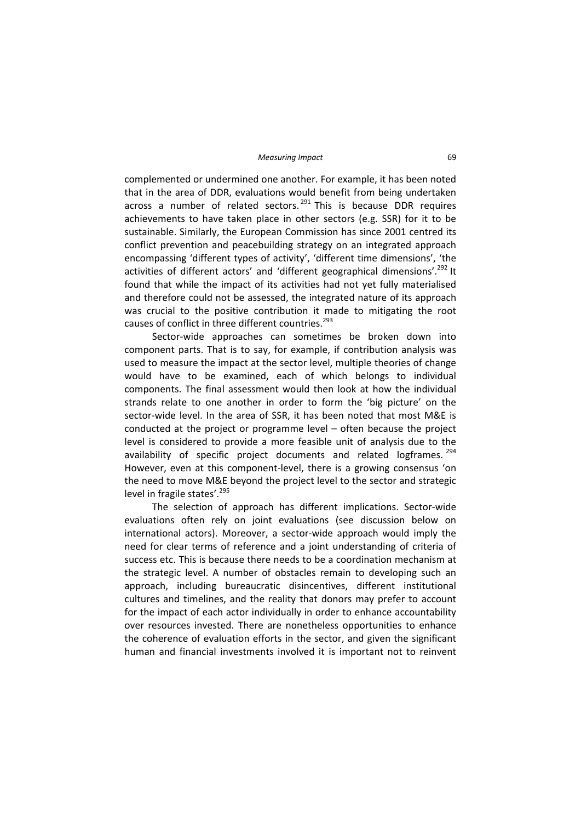complemented or undermined one another. For example, it has been noted that in the area of DDR, evaluations would benefit from being undertaken across a number of related sectors.  $291$  This is because DDR requires achievements to have taken place in other sectors (e.g. SSR) for it to be sustainable. Similarly, the European Commission has since 2001 centred its conflict prevention and peacebuilding strategy on an integrated approach encompassing 'different types of activity', 'different time dimensions', 'the activities of different actors' and 'different geographical dimensions'.<sup>292</sup> It found that while the impact of its activities had not yet fully materialised and therefore could not be assessed, the integrated nature of its approach was crucial to the positive contribution it made to mitigating the root causes of conflict in three different countries.<sup>293</sup>

Sector-wide approaches can sometimes be broken down into component parts. That is to say, for example, if contribution analysis was used to measure the impact at the sector level, multiple theories of change would have to be examined, each of which belongs to individual components. The final assessment would then look at how the individual strands relate to one another in order to form the 'big picture' on the sector-wide level. In the area of SSR, it has been noted that most M&E is conducted at the project or programme level – often because the project level is considered to provide a more feasible unit of analysis due to the availability of specific project documents and related logframes.<sup>294</sup> However, even at this component‐level, there is a growing consensus 'on the need to move M&E beyond the project level to the sector and strategic level in fragile states'.<sup>295</sup>

The selection of approach has different implications. Sector‐wide evaluations often rely on joint evaluations (see discussion below on international actors). Moreover, a sector‐wide approach would imply the need for clear terms of reference and a joint understanding of criteria of success etc. This is because there needs to be a coordination mechanism at the strategic level. A number of obstacles remain to developing such an approach, including bureaucratic disincentives, different institutional cultures and timelines, and the reality that donors may prefer to account for the impact of each actor individually in order to enhance accountability over resources invested. There are nonetheless opportunities to enhance the coherence of evaluation efforts in the sector, and given the significant human and financial investments involved it is important not to reinvent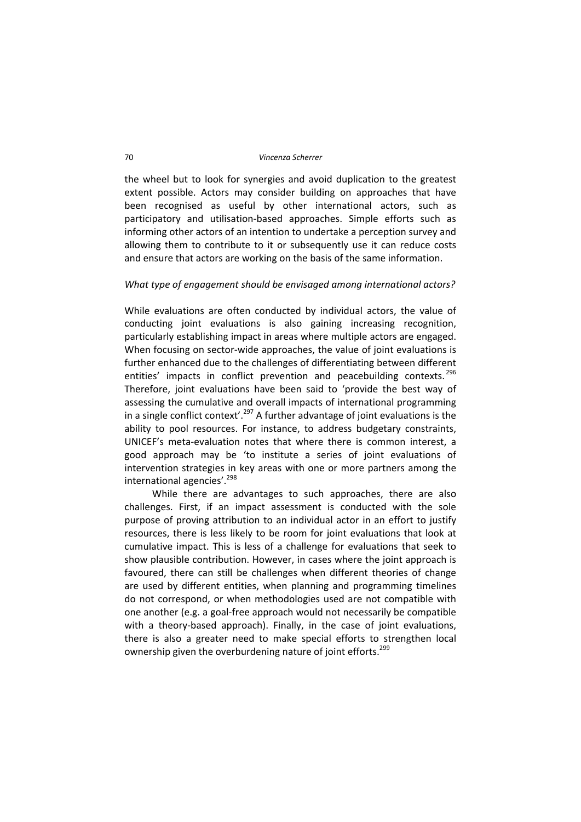the wheel but to look for synergies and avoid duplication to the greatest extent possible. Actors may consider building on approaches that have been recognised as useful by other international actors, such as participatory and utilisation‐based approaches. Simple efforts such as informing other actors of an intention to undertake a perception survey and allowing them to contribute to it or subsequently use it can reduce costs and ensure that actors are working on the basis of the same information.

# *What type of engagement should be envisaged among international actors?*

While evaluations are often conducted by individual actors, the value of conducting joint evaluations is also gaining increasing recognition, particularly establishing impact in areas where multiple actors are engaged. When focusing on sector-wide approaches, the value of joint evaluations is further enhanced due to the challenges of differentiating between different entities' impacts in conflict prevention and peacebuilding contexts.<sup>296</sup> Therefore, joint evaluations have been said to 'provide the best way of assessing the cumulative and overall impacts of international programming in a single conflict context'.<sup>297</sup> A further advantage of joint evaluations is the ability to pool resources. For instance, to address budgetary constraints, UNICEF's meta‐evaluation notes that where there is common interest, a good approach may be 'to institute a series of joint evaluations of intervention strategies in key areas with one or more partners among the international agencies'.<sup>298</sup>

While there are advantages to such approaches, there are also challenges. First, if an impact assessment is conducted with the sole purpose of proving attribution to an individual actor in an effort to justify resources, there is less likely to be room for joint evaluations that look at cumulative impact. This is less of a challenge for evaluations that seek to show plausible contribution. However, in cases where the joint approach is favoured, there can still be challenges when different theories of change are used by different entities, when planning and programming timelines do not correspond, or when methodologies used are not compatible with one another (e.g. a goal‐free approach would not necessarily be compatible with a theory-based approach). Finally, in the case of joint evaluations, there is also a greater need to make special efforts to strengthen local ownership given the overburdening nature of joint efforts.<sup>299</sup>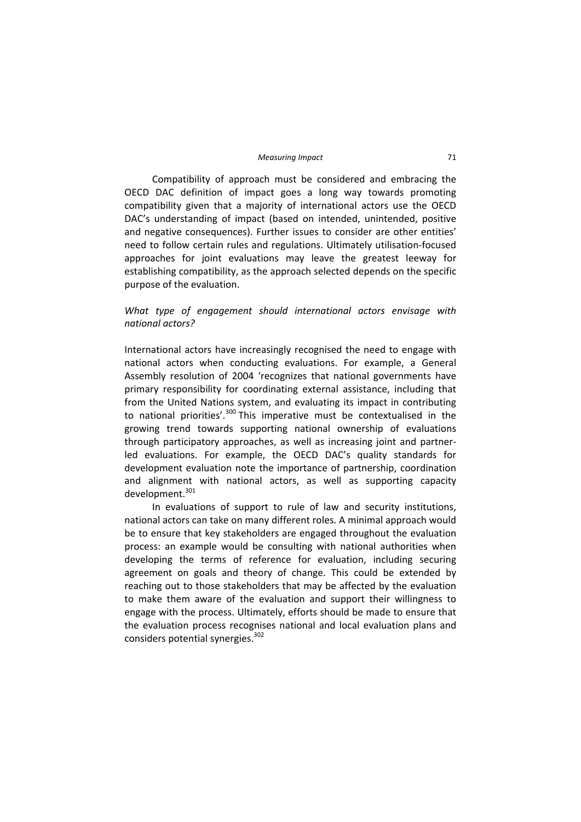Compatibility of approach must be considered and embracing the OECD DAC definition of impact goes a long way towards promoting compatibility given that a majority of international actors use the OECD DAC's understanding of impact (based on intended, unintended, positive and negative consequences). Further issues to consider are other entities' need to follow certain rules and regulations. Ultimately utilisation‐focused approaches for joint evaluations may leave the greatest leeway for establishing compatibility, as the approach selected depends on the specific purpose of the evaluation.

*What type of engagement should international actors envisage with national actors?*

International actors have increasingly recognised the need to engage with national actors when conducting evaluations. For example, a General Assembly resolution of 2004 'recognizes that national governments have primary responsibility for coordinating external assistance, including that from the United Nations system, and evaluating its impact in contributing to national priorities'. $300$  This imperative must be contextualised in the growing trend towards supporting national ownership of evaluations through participatory approaches, as well as increasing joint and partner‐ led evaluations. For example, the OECD DAC's quality standards for development evaluation note the importance of partnership, coordination and alignment with national actors, as well as supporting capacity development.<sup>301</sup>

In evaluations of support to rule of law and security institutions, national actors can take on many different roles. A minimal approach would be to ensure that key stakeholders are engaged throughout the evaluation process: an example would be consulting with national authorities when developing the terms of reference for evaluation, including securing agreement on goals and theory of change. This could be extended by reaching out to those stakeholders that may be affected by the evaluation to make them aware of the evaluation and support their willingness to engage with the process. Ultimately, efforts should be made to ensure that the evaluation process recognises national and local evaluation plans and considers potential synergies.<sup>302</sup>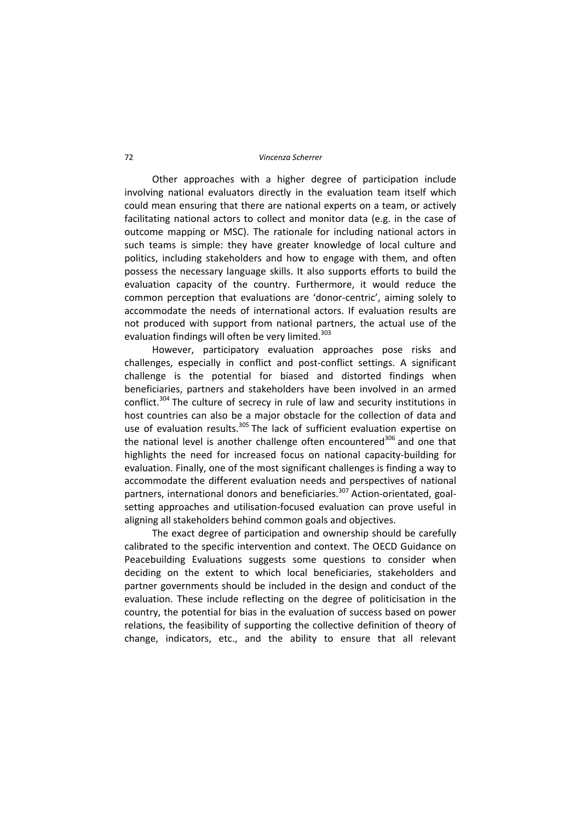Other approaches with a higher degree of participation include involving national evaluators directly in the evaluation team itself which could mean ensuring that there are national experts on a team, or actively facilitating national actors to collect and monitor data (e.g. in the case of outcome mapping or MSC). The rationale for including national actors in such teams is simple: they have greater knowledge of local culture and politics, including stakeholders and how to engage with them, and often possess the necessary language skills. It also supports efforts to build the evaluation capacity of the country. Furthermore, it would reduce the common perception that evaluations are 'donor‐centric', aiming solely to accommodate the needs of international actors. If evaluation results are not produced with support from national partners, the actual use of the evaluation findings will often be very limited.<sup>303</sup>

However, participatory evaluation approaches pose risks and challenges, especially in conflict and post‐conflict settings. A significant challenge is the potential for biased and distorted findings when beneficiaries, partners and stakeholders have been involved in an armed conflict.<sup>304</sup> The culture of secrecy in rule of law and security institutions in host countries can also be a major obstacle for the collection of data and use of evaluation results.<sup>305</sup> The lack of sufficient evaluation expertise on the national level is another challenge often encountered<sup>306</sup> and one that highlights the need for increased focus on national capacity‐building for evaluation. Finally, one of the most significant challenges is finding a way to accommodate the different evaluation needs and perspectives of national partners, international donors and beneficiaries.<sup>307</sup> Action-orientated, goalsetting approaches and utilisation-focused evaluation can prove useful in aligning all stakeholders behind common goals and objectives.

The exact degree of participation and ownership should be carefully calibrated to the specific intervention and context. The OECD Guidance on Peacebuilding Evaluations suggests some questions to consider when deciding on the extent to which local beneficiaries, stakeholders and partner governments should be included in the design and conduct of the evaluation. These include reflecting on the degree of politicisation in the country, the potential for bias in the evaluation of success based on power relations, the feasibility of supporting the collective definition of theory of change, indicators, etc., and the ability to ensure that all relevant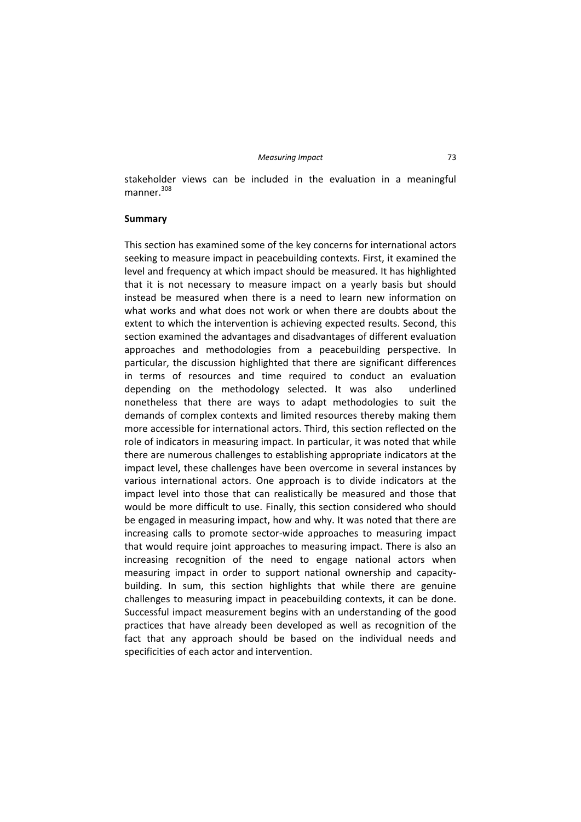stakeholder views can be included in the evaluation in a meaningful manner $308$ 

### **Summary**

This section has examined some of the key concerns for international actors seeking to measure impact in peacebuilding contexts. First, it examined the level and frequency at which impact should be measured. It has highlighted that it is not necessary to measure impact on a yearly basis but should instead be measured when there is a need to learn new information on what works and what does not work or when there are doubts about the extent to which the intervention is achieving expected results. Second, this section examined the advantages and disadvantages of different evaluation approaches and methodologies from a peacebuilding perspective. In particular, the discussion highlighted that there are significant differences in terms of resources and time required to conduct an evaluation depending on the methodology selected. It was also underlined nonetheless that there are ways to adapt methodologies to suit the demands of complex contexts and limited resources thereby making them more accessible for international actors. Third, this section reflected on the role of indicators in measuring impact. In particular, it was noted that while there are numerous challenges to establishing appropriate indicators at the impact level, these challenges have been overcome in several instances by various international actors. One approach is to divide indicators at the impact level into those that can realistically be measured and those that would be more difficult to use. Finally, this section considered who should be engaged in measuring impact, how and why. It was noted that there are increasing calls to promote sector‐wide approaches to measuring impact that would require joint approaches to measuring impact. There is also an increasing recognition of the need to engage national actors when measuring impact in order to support national ownership and capacity‐ building. In sum, this section highlights that while there are genuine challenges to measuring impact in peacebuilding contexts, it can be done. Successful impact measurement begins with an understanding of the good practices that have already been developed as well as recognition of the fact that any approach should be based on the individual needs and specificities of each actor and intervention.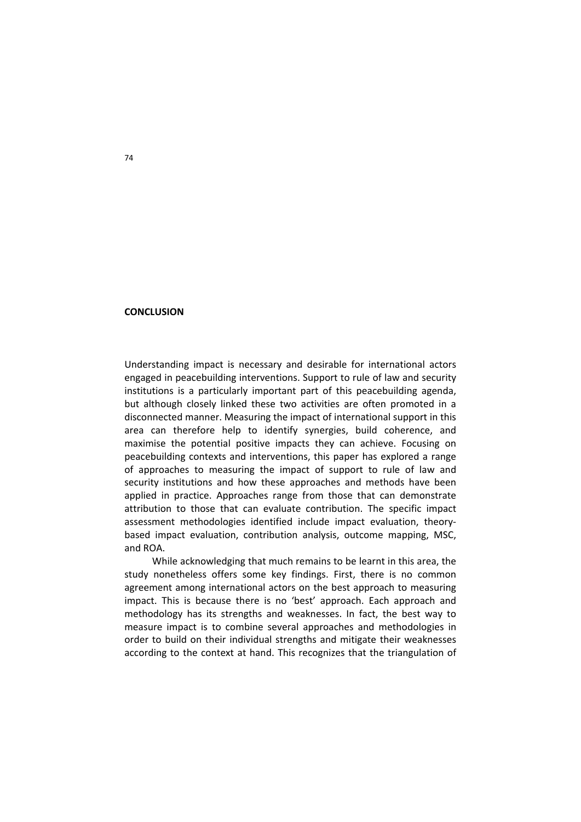## **CONCLUSION**

Understanding impact is necessary and desirable for international actors engaged in peacebuilding interventions. Support to rule of law and security institutions is a particularly important part of this peacebuilding agenda, but although closely linked these two activities are often promoted in a disconnected manner. Measuring the impact of international support in this area can therefore help to identify synergies, build coherence, and maximise the potential positive impacts they can achieve. Focusing on peacebuilding contexts and interventions, this paper has explored a range of approaches to measuring the impact of support to rule of law and security institutions and how these approaches and methods have been applied in practice. Approaches range from those that can demonstrate attribution to those that can evaluate contribution. The specific impact assessment methodologies identified include impact evaluation, theory‐ based impact evaluation, contribution analysis, outcome mapping, MSC, and ROA.

While acknowledging that much remains to be learnt in this area, the study nonetheless offers some key findings. First, there is no common agreement among international actors on the best approach to measuring impact. This is because there is no 'best' approach. Each approach and methodology has its strengths and weaknesses. In fact, the best way to measure impact is to combine several approaches and methodologies in order to build on their individual strengths and mitigate their weaknesses according to the context at hand. This recognizes that the triangulation of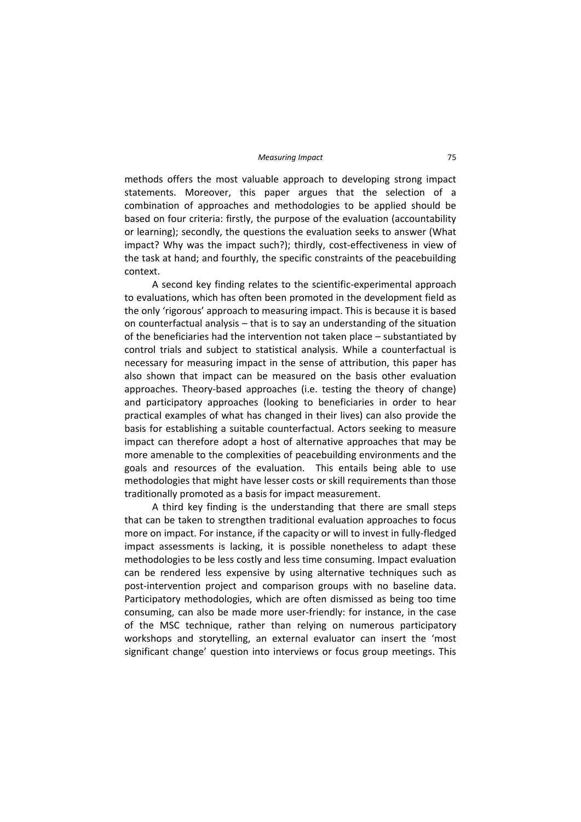#### *Measuring Impact* 75

methods offers the most valuable approach to developing strong impact statements. Moreover, this paper argues that the selection of a combination of approaches and methodologies to be applied should be based on four criteria: firstly, the purpose of the evaluation (accountability or learning); secondly, the questions the evaluation seeks to answer (What impact? Why was the impact such?); thirdly, cost-effectiveness in view of the task at hand; and fourthly, the specific constraints of the peacebuilding context.

A second key finding relates to the scientific‐experimental approach to evaluations, which has often been promoted in the development field as the only 'rigorous' approach to measuring impact. This is because it is based on counterfactual analysis – that is to say an understanding of the situation of the beneficiaries had the intervention not taken place – substantiated by control trials and subject to statistical analysis. While a counterfactual is necessary for measuring impact in the sense of attribution, this paper has also shown that impact can be measured on the basis other evaluation approaches. Theory‐based approaches (i.e. testing the theory of change) and participatory approaches (looking to beneficiaries in order to hear practical examples of what has changed in their lives) can also provide the basis for establishing a suitable counterfactual. Actors seeking to measure impact can therefore adopt a host of alternative approaches that may be more amenable to the complexities of peacebuilding environments and the goals and resources of the evaluation. This entails being able to use methodologies that might have lesser costs or skill requirements than those traditionally promoted as a basis for impact measurement.

A third key finding is the understanding that there are small steps that can be taken to strengthen traditional evaluation approaches to focus more on impact. For instance, if the capacity or will to invest in fully‐fledged impact assessments is lacking, it is possible nonetheless to adapt these methodologies to be less costly and less time consuming. Impact evaluation can be rendered less expensive by using alternative techniques such as post‐intervention project and comparison groups with no baseline data. Participatory methodologies, which are often dismissed as being too time consuming, can also be made more user‐friendly: for instance, in the case of the MSC technique, rather than relying on numerous participatory workshops and storytelling, an external evaluator can insert the 'most significant change' question into interviews or focus group meetings. This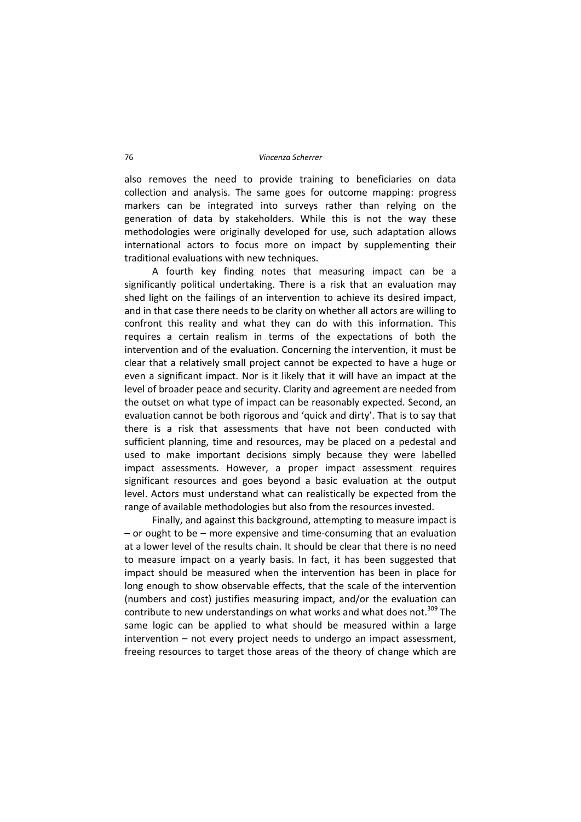also removes the need to provide training to beneficiaries on data collection and analysis. The same goes for outcome mapping: progress markers can be integrated into surveys rather than relying on the generation of data by stakeholders. While this is not the way these methodologies were originally developed for use, such adaptation allows international actors to focus more on impact by supplementing their traditional evaluations with new techniques.

A fourth key finding notes that measuring impact can be a significantly political undertaking. There is a risk that an evaluation may shed light on the failings of an intervention to achieve its desired impact, and in that case there needs to be clarity on whether all actors are willing to confront this reality and what they can do with this information. This requires a certain realism in terms of the expectations of both the intervention and of the evaluation. Concerning the intervention, it must be clear that a relatively small project cannot be expected to have a huge or even a significant impact. Nor is it likely that it will have an impact at the level of broader peace and security. Clarity and agreement are needed from the outset on what type of impact can be reasonably expected. Second, an evaluation cannot be both rigorous and 'quick and dirty'. That is to say that there is a risk that assessments that have not been conducted with sufficient planning, time and resources, may be placed on a pedestal and used to make important decisions simply because they were labelled impact assessments. However, a proper impact assessment requires significant resources and goes beyond a basic evaluation at the output level. Actors must understand what can realistically be expected from the range of available methodologies but also from the resources invested.

Finally, and against this background, attempting to measure impact is – or ought to be – more expensive and time‐consuming that an evaluation at a lower level of the results chain. It should be clear that there is no need to measure impact on a yearly basis. In fact, it has been suggested that impact should be measured when the intervention has been in place for long enough to show observable effects, that the scale of the intervention (numbers and cost) justifies measuring impact, and/or the evaluation can contribute to new understandings on what works and what does not.<sup>309</sup> The same logic can be applied to what should be measured within a large intervention – not every project needs to undergo an impact assessment, freeing resources to target those areas of the theory of change which are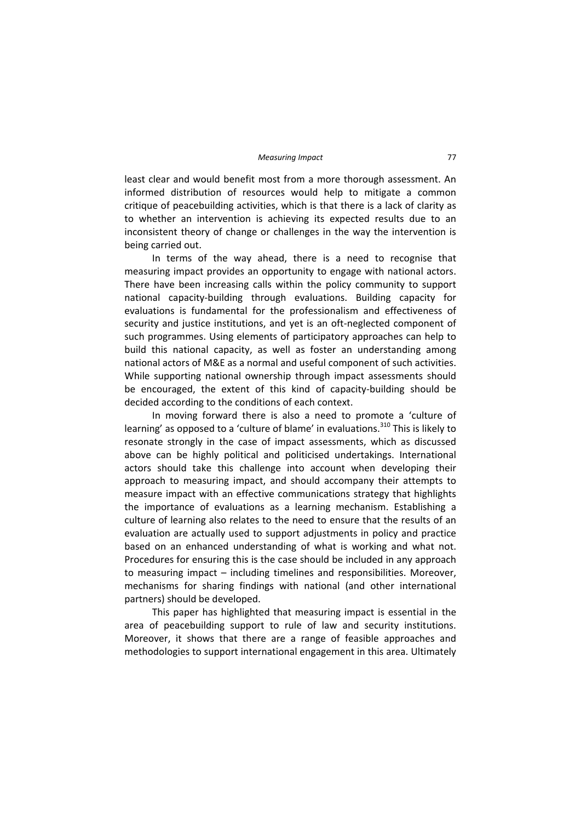least clear and would benefit most from a more thorough assessment. An informed distribution of resources would help to mitigate a common critique of peacebuilding activities, which is that there is a lack of clarity as to whether an intervention is achieving its expected results due to an inconsistent theory of change or challenges in the way the intervention is being carried out.

In terms of the way ahead, there is a need to recognise that measuring impact provides an opportunity to engage with national actors. There have been increasing calls within the policy community to support national capacity‐building through evaluations. Building capacity for evaluations is fundamental for the professionalism and effectiveness of security and justice institutions, and yet is an oft-neglected component of such programmes. Using elements of participatory approaches can help to build this national capacity, as well as foster an understanding among national actors of M&E as a normal and useful component of such activities. While supporting national ownership through impact assessments should be encouraged, the extent of this kind of capacity-building should be decided according to the conditions of each context.

In moving forward there is also a need to promote a 'culture of learning' as opposed to a 'culture of blame' in evaluations.<sup>310</sup> This is likely to resonate strongly in the case of impact assessments, which as discussed above can be highly political and politicised undertakings. International actors should take this challenge into account when developing their approach to measuring impact, and should accompany their attempts to measure impact with an effective communications strategy that highlights the importance of evaluations as a learning mechanism. Establishing a culture of learning also relates to the need to ensure that the results of an evaluation are actually used to support adjustments in policy and practice based on an enhanced understanding of what is working and what not. Procedures for ensuring this is the case should be included in any approach to measuring impact – including timelines and responsibilities. Moreover, mechanisms for sharing findings with national (and other international partners) should be developed.

This paper has highlighted that measuring impact is essential in the area of peacebuilding support to rule of law and security institutions. Moreover, it shows that there are a range of feasible approaches and methodologies to support international engagement in this area. Ultimately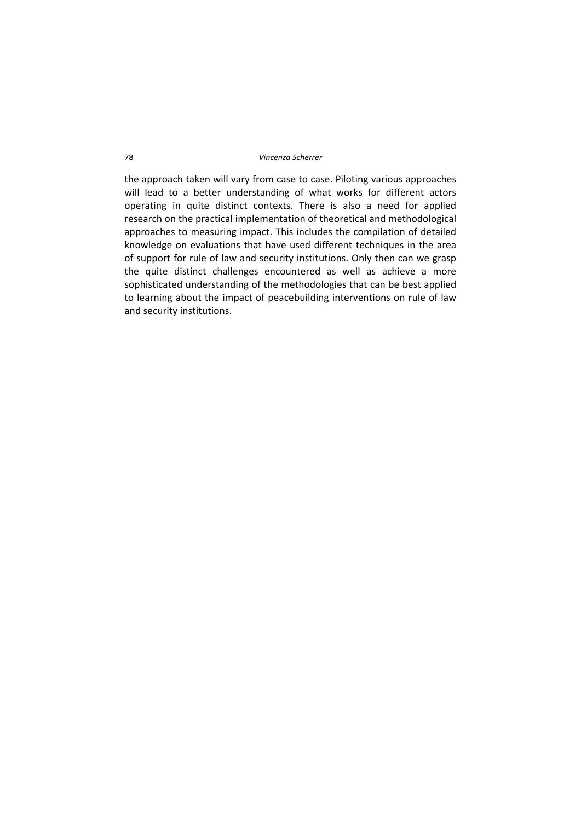the approach taken will vary from case to case. Piloting various approaches will lead to a better understanding of what works for different actors operating in quite distinct contexts. There is also a need for applied research on the practical implementation of theoretical and methodological approaches to measuring impact. This includes the compilation of detailed knowledge on evaluations that have used different techniques in the area of support for rule of law and security institutions. Only then can we grasp the quite distinct challenges encountered as well as achieve a more sophisticated understanding of the methodologies that can be best applied to learning about the impact of peacebuilding interventions on rule of law and security institutions.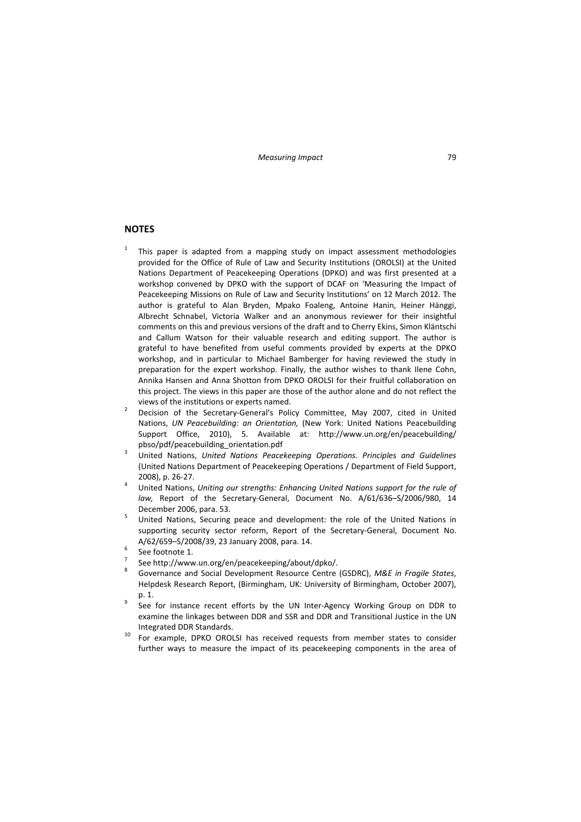## **NOTES**

- <sup>1</sup> This paper is adapted from a mapping study on impact assessment methodologies provided for the Office of Rule of Law and Security Institutions (OROLSI) at the United Nations Department of Peacekeeping Operations (DPKO) and was first presented at a workshop convened by DPKO with the support of DCAF on 'Measuring the Impact of Peacekeeping Missions on Rule of Law and Security Institutions' on 12 March 2012. The author is grateful to Alan Bryden, Mpako Foaleng, Antoine Hanin, Heiner Hänggi, Albrecht Schnabel, Victoria Walker and an anonymous reviewer for their insightful comments on this and previous versions of the draft and to Cherry Ekins, Simon Kläntschi and Callum Watson for their valuable research and editing support. The author is grateful to have benefited from useful comments provided by experts at the DPKO workshop, and in particular to Michael Bamberger for having reviewed the study in preparation for the expert workshop. Finally, the author wishes to thank Ilene Cohn, Annika Hansen and Anna Shotton from DPKO OROLSI for their fruitful collaboration on this project. The views in this paper are those of the author alone and do not reflect the views of the institutions or experts named.<br>
<sup>2</sup> Decision of the Secretary-General's Policy Committee, May 2007, cited in United
- Nations, *UN Peacebuilding: an Orientation,* (New York: United Nations Peacebuilding Support Office, 2010), 5. Available at: http://www.un.org/en/peacebuilding/
- pbso/pdf/peacebuilding\_orientation.pdf <sup>3</sup> United Nations, *United Nations Peacekeeping Operations. Principles and Guidelines* (United Nations Department of Peacekeeping Operations / Department of Field Support,
- 2008), p. <sup>26</sup>‐27. <sup>4</sup> United Nations, *Uniting our strengths: Enhancing United Nations support for the rule of law,* Report of the Secretary‐General, Document No. A/61/636–S/2006/980, 14
- December 2006, para. 53.<br><sup>5</sup> United Nations, Securing peace and development: the role of the United Nations in supporting security sector reform, Report of the Secretary-General, Document No.
- 
- 
- $A/62/659-S/2008/39$ , 23 January 2008, para. 14.<br>
France footnote 1.<br>
See http://www.un.org/en/peacekeeping/about/dpko/.<br>
See http://www.un.org/en/peacekeeping/about/dpko/.<br>
Sovernance and Social Development Resource Centr Helpdesk Research Report, (Birmingham, UK: University of Birmingham, October 2007), p. 1.<br><sup>9</sup> See for instance recent efforts by the UN Inter-Agency Working Group on DDR to
- examine the linkages between DDR and SSR and DDR and Transitional Justice in the UN Integrated DDR Standards.<br><sup>10</sup> For example, DPKO OROLSI has received requests from member states to consider
- further ways to measure the impact of its peacekeeping components in the area of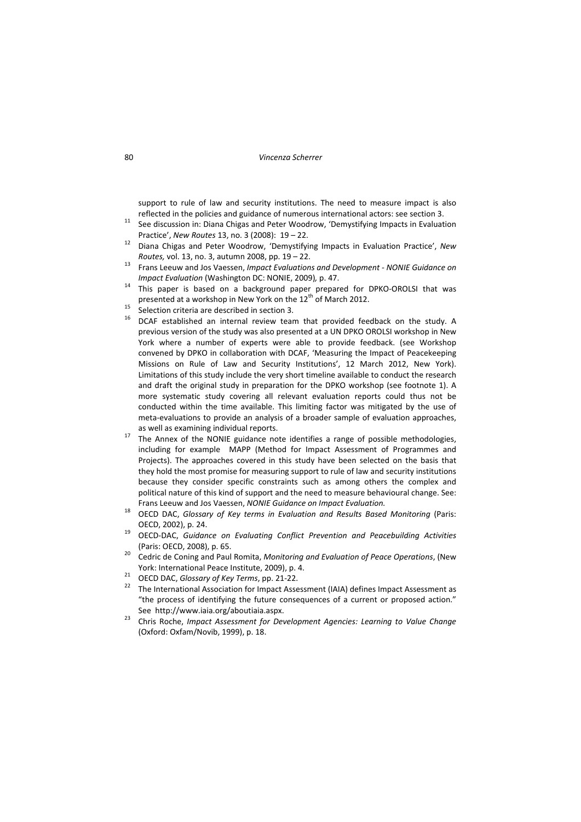support to rule of law and security institutions. The need to measure impact is also reflected in the policies and guidance of numerous international actors: see section 3.<br><sup>11</sup> See discussion in: Diana Chigas and Peter Woodrow, 'Demystifying Impacts in Evaluation

- 
- Practice', *New Routes* 13, no. <sup>3</sup> (2008): <sup>19</sup> 22. <sup>12</sup> Diana Chigas and Peter Woodrow, 'Demystifying Impacts in Evaluation Practice', *New Routes,* vol. 13, no. 3, autumn 2008, pp. <sup>19</sup> – 22. <sup>13</sup> Frans Leeuw and Jos Vaessen, *Impact Evaluations and Development ‐ NONIE Guidance on*
- 
- *Impact Evaluation* (Washington DC: NONIE, 2009), p. 47.<br><sup>14</sup> This paper is based on a background paper prepared for DPKO-OROLSI that was presented at a workshop in New York on the 12<sup>th</sup> of March 2012.
- 
- <sup>15</sup> Selection criteria are described in section 3.<br><sup>16</sup> DCAF established an internal review team that provided feedback on the study. A previous version of the study was also presented at a UN DPKO OROLSI workshop in New York where a number of experts were able to provide feedback. (see Workshop convened by DPKO in collaboration with DCAF, 'Measuring the Impact of Peacekeeping Missions on Rule of Law and Security Institutions', 12 March 2012, New York). Limitations of this study include the very short timeline available to conduct the research and draft the original study in preparation for the DPKO workshop (see footnote 1). A more systematic study covering all relevant evaluation reports could thus not be conducted within the time available. This limiting factor was mitigated by the use of meta‐evaluations to provide an analysis of a broader sample of evaluation approaches,
- as well as examining individual reports.<br><sup>17</sup> The Annex of the NONIE guidance note identifies a range of possible methodologies, including for example MAPP (Method for Impact Assessment of Programmes and Projects). The approaches covered in this study have been selected on the basis that they hold the most promise for measuring support to rule of law and security institutions because they consider specific constraints such as among others the complex and political nature of this kind of support and the need to measure behavioural change. See:
- Frans Leeuw and Jos Vaessen, NONIE Guidance on Impact Evaluation.<br><sup>18</sup> OECD DAC, Glossary of Key terms in Evaluation and Results Based Monitoring (Paris: OECD, 2002), p. 24. <sup>19</sup> OECD‐DAC, *Guidance on Evaluating Conflict Prevention and Peacebuilding Activities*
- (Paris: OECD, 2008), p. 65. <sup>20</sup> Cedric de Coning and Paul Romita, *Monitoring and Evaluation of Peace Operations*, (New
- 
- 
- York: International Peace Institute, 2009), p. 4.<br><sup>21</sup> OECD DAC, *Glossary of Key Terms*, pp. 21-22.<br><sup>22</sup> The International Association for Impact Assessment (IAIA) defines Impact Assessment as "the process of identifying the future consequences of a current or proposed action."
- See http://www.iaia.org/aboutiaia.aspx. <sup>23</sup> Chris Roche, *Impact Assessment for Development Agencies: Learning to Value Change* (Oxford: Oxfam/Novib, 1999), p. 18.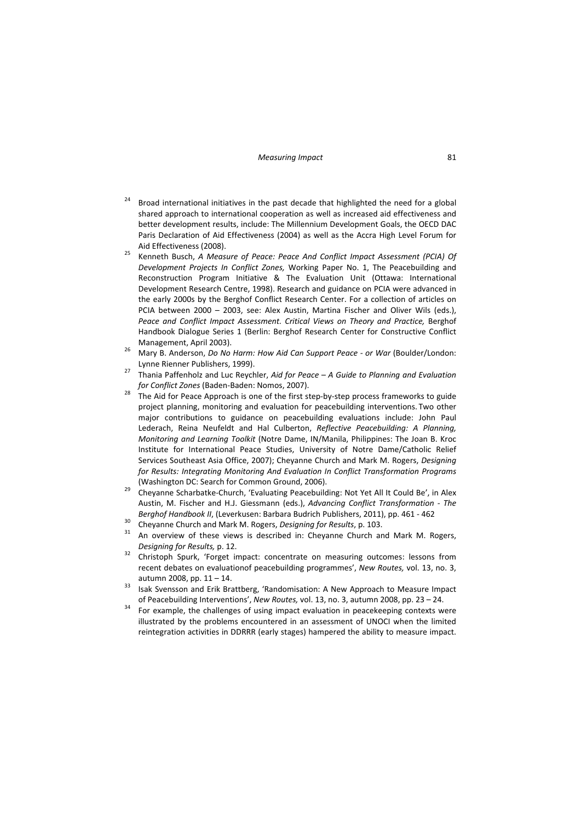- $24$  Broad international initiatives in the past decade that highlighted the need for a global shared approach to international cooperation as well as increased aid effectiveness and better development results, include: The Millennium Development Goals, the OECD DAC Paris Declaration of Aid Effectiveness (2004) as well as the Accra High Level Forum for Aid Effectiveness (2008). <sup>25</sup> Kenneth Busch, *<sup>A</sup> Measure of Peace: Peace And Conflict Impact Assessment (PCIA) Of*
- *Development Projects In Conflict Zones,* Working Paper No. 1, The Peacebuilding and Reconstruction Program Initiative & The Evaluation Unit (Ottawa: International Development Research Centre, 1998). Research and guidance on PCIA were advanced in the early 2000s by the Berghof Conflict Research Center. For a collection of articles on PCIA between 2000 – 2003, see: Alex Austin, Martina Fischer and Oliver Wils (eds.), *Peace and Conflict Impact Assessment. Critical Views on Theory and Practice,* Berghof Handbook Dialogue Series 1 (Berlin: Berghof Research Center for Constructive Conflict
- Management, April 2003). <sup>26</sup> Mary B. Anderson, *Do No Harm: How Aid Can Support Peace ‐ or War* (Boulder/London:
- Lynne Rienner Publishers, 1999). <sup>27</sup> Thania Paffenholz and Luc Reychler, *Aid for Peace – <sup>A</sup> Guide to Planning and Evaluation*
- *for Conflict Zones* (Baden‐Baden: Nomos, 2007). <sup>28</sup> The Aid for Peace Approach is one of the first step‐by‐step process frameworks to guide project planning, monitoring and evaluation for peacebuilding interventions. Two other major contributions to guidance on peacebuilding evaluations include: John Paul Lederach, Reina Neufeldt and Hal Culberton, *Reflective Peacebuilding: A Planning, Monitoring and Learning Toolkit* (Notre Dame, IN/Manila, Philippines: The Joan B. Kroc Institute for International Peace Studies, University of Notre Dame/Catholic Relief Services Southeast Asia Office, 2007); Cheyanne Church and Mark M. Rogers, *Designing for Results: Integrating Monitoring And Evaluation In Conflict Transformation Programs*
- (Washington DC: Search for Common Ground, 2006).<br><sup>29</sup> Cheyanne Scharbatke-Church, 'Evaluating Peacebuilding: Not Yet All It Could Be', in Alex Austin, M. Fischer and H.J. Giessmann (eds.), *Advancing Conflict Transformation ‐ The* Berghof Handbook II, (Leverkusen: Barbara Budrich Publishers, 2011), pp. 461 - 462<br><sup>30</sup> Cheyanne Church and Mark M. Rogers, *Designing for Results*, p. 103.<br><sup>31</sup> An overview of these views is described in: Cheyanne Church
- 
- *Designing for Results,* p. 12. <sup>32</sup> Christoph Spurk, 'Forget impact: concentrate on measuring outcomes: lessons from
- recent debates on evaluationof peacebuilding programmes', *New Routes,* vol. 13, no. 3, autumn 2008, pp. 11 – 14.<br>33 Isak Svensson and Erik Brattberg, 'Randomisation: A New Approach to Measure Impact
- 
- of Peacebuilding Interventions', *New Routes*, vol. 13, no. 3, autumn 2008, pp. 23 24.<br><sup>34</sup> For example, the challenges of using impact evaluation in peacekeeping contexts were illustrated by the problems encountered in an assessment of UNOCI when the limited reintegration activities in DDRRR (early stages) hampered the ability to measure impact.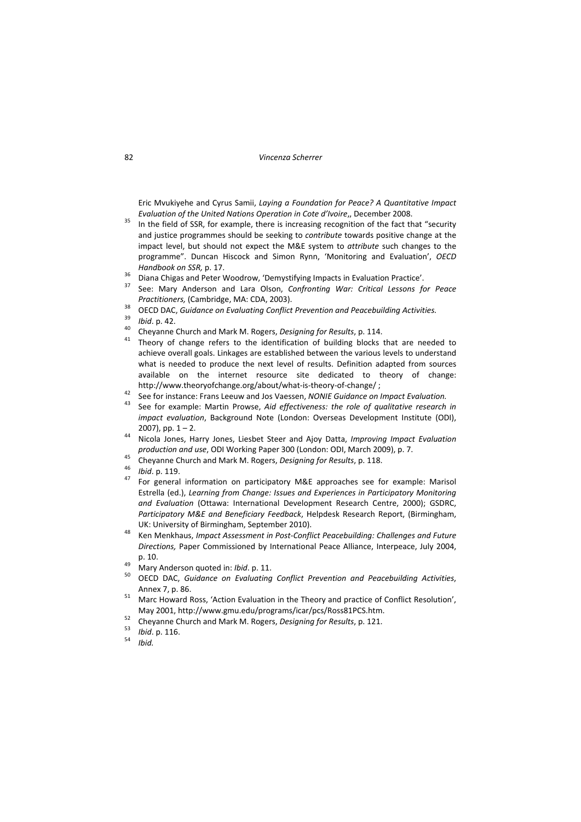Eric Mvukiyehe and Cyrus Samii, *Laying a Foundation for Peace? A Quantitative Impact* Evaluation of the United Nations Operation in Cote d'Ivoire,, December 2008.<br><sup>35</sup> In the field of SSR, for example, there is increasing recognition of the fact that "security

- and justice programmes should be seeking to *contribute* towards positive change at the impact level, but should not expect the M&E system to *attribute* such changes to the programme". Duncan Hiscock and Simon Rynn, 'Monitoring and Evaluation', *OECD* Handbook on SSR, p. 17.<br><sup>36</sup> Diana Chigas and Peter Woodrow, 'Demystifying Impacts in Evaluation Practice'.<br><sup>37</sup> See: Mary Anderson and Lara Olson. *Confronting War: Critical Lessons for Peace*
- 
- 
- Practitioners, (Cambridge, MA: CDA, 2003).<br><sup>38</sup> OECD DAC, *Guidance on Evaluating Conflict Prevention and Peacebuilding Activities.*<br><sup>39</sup> *Ibid.* p. 42.<br><sup>40</sup> Cheyanne Church and Mark M. Rogers, *Designing for Results*, p.
- 
- 
- achieve overall goals. Linkages are established between the various levels to understand what is needed to produce the next level of results. Definition adapted from sources available on the internet resource site dedicated to theory of change:
- http://www.theoryofchange.org/about/what-is-theory-of-change/;<br><sup>42</sup> See for instance: Frans Leeuw and Jos Vaessen, *NONIE Guidance on Impact Evaluation.*<br><sup>43</sup> See for example: Martin Prowse, *Aid effectiveness: the role of*
- *impact evaluation*, Background Note (London: Overseas Development Institute (ODI), 2007), pp. <sup>1</sup> – 2. <sup>44</sup> Nicola Jones, Harry Jones, Liesbet Steer and Ajoy Datta, *Improving Impact Evaluation*
- 
- 
- 
- production and use, ODI Working Paper 300 (London: ODI, March 2009), p. 7.<br><sup>45</sup> Cheyanne Church and Mark M. Rogers, *Designing for Results*, p. 118.<br><sup>46</sup> Ibid. p. 119.<br><sup>47</sup> For general information on participatory M&E appr Estrella (ed.), *Learning from Change: Issues and Experiences in Participatory Monitoring and Evaluation* (Ottawa: International Development Research Centre, 2000); GSDRC, *Participatory M&E and Beneficiary Feedback*, Helpdesk Research Report, (Birmingham,
- UK: University of Birmingham, September 2010). <sup>48</sup> Ken Menkhaus, *Impact Assessment in Post‐Conflict Peacebuilding: Challenges and Future Directions,* Paper Commissioned by International Peace Alliance, Interpeace, July 2004,
- 
- p. 10. <sup>49</sup> Mary Anderson quoted in: *Ibid*. p. 11. <sup>50</sup> OECD DAC, *Guidance on Evaluating Conflict Prevention and Peacebuilding Activities*, Annex 7, p. 86. **51** Marc Howard Ross, 'Action Evaluation in the Theory and practice of Conflict Resolution',
- 
- May 2001, http://www.gmu.edu/programs/icar/pcs/Ross81PCS.htm.<br>
<sup>52</sup> Cheyanne Church and Mark M. Rogers, *Designing for Results*, p. 121.<br>
<sup>53</sup> *Ibid.*<br>
<sup>54</sup> *Ibid.*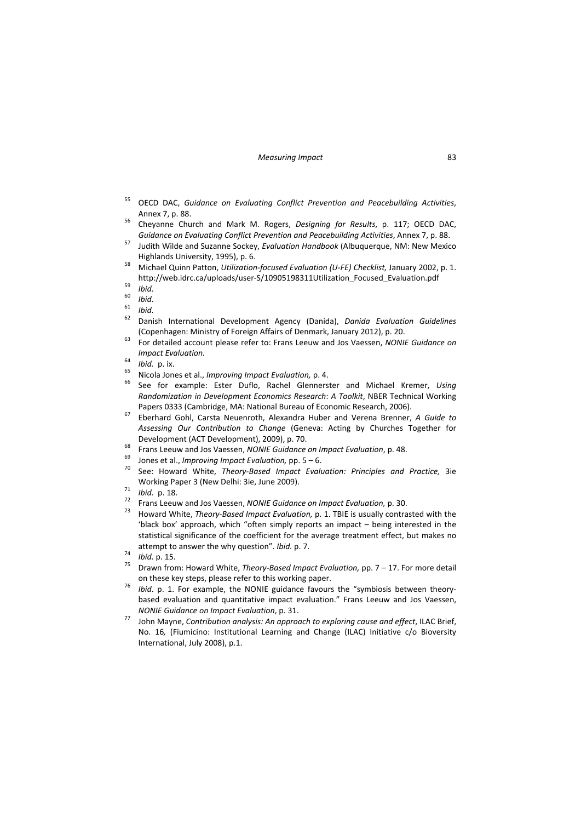- <sup>55</sup> OECD DAC, *Guidance on Evaluating Conflict Prevention and Peacebuilding Activities*,
- Annex 7, p. 88. <sup>56</sup> Cheyanne Church and Mark M. Rogers, *Designing for Results*, p. 117; OECD DAC,
- Guidance on Evaluating Conflict Prevention and Peacebuilding Activities, Annex 7, p. 88.<br><sup>57</sup> Judith Wilde and Suzanne Sockey, Evaluation Handbook (Albuquerque, NM: New Mexico
- Highlands University, 1995), p. 6. <sup>58</sup> Michael Quinn Patton, *Utilization‐focused Evaluation (U‐FE) Checklist,* January 2002, p. 1. http://web.idrc.ca/uploads/user-S/10905198311Utilization\_Focused\_Evaluation.pdf<br>
For thid.<br>
60 Ibid.<br>
61 Ibid.<br>
62 Danish International Development Agency (Danida). *Danida Evaluation Guidelines*
- 
- 
- 
- (Copenhagen: Ministry of Foreign Affairs of Denmark, January 2012), p. 20. <sup>63</sup> For detailed account please refer to: Frans Leeuw and Jos Vaessen, *NONIE Guidance on*
- *Impact Evaluation.*<br>
<sup>64</sup> *Ibid.* p. ix.<br>
<sup>65</sup> Nicola Jones et al., *Improving Impact Evaluation*, p. 4.<br>
<sup>66</sup> See for example: Ester Duflo, Rachel Glennerster and Michael Kremer, *Using*
- 
- 
- *Randomization in Development Economics Research*: *A Toolkit*, NBER Technical Working Papers <sup>0333</sup> (Cambridge, MA: National Bureau of Economic Research, 2006). <sup>67</sup> Eberhard Gohl, Carsta Neuenroth, Alexandra Huber and Verena Brenner, *<sup>A</sup> Guide to*
- *Assessing Our Contribution to Change* (Geneva: Acting by Churches Together for Development (ACT Development), 2009), p. 70.<br>
<sup>68</sup> Frans Leeuw and Jos Vaessen, *NONIE Guidance on Impact Evaluation*, p. 48.<br>
<sup>69</sup> Jones et al., *Improving Impact Evaluation*, pp. 5 – 6.<br>
<sup>70</sup> See: Howard White. *Theory-*
- 
- 
- Working Paper 3 (New Delhi: 3ie, June 2009).<br>
<sup>71</sup> Ibid. p. 18.<br>
<sup>72</sup> Frans Leeuw and Jos Vaessen, *NONIE Guidance on Impact Evaluation*, p. 30.<br>
<sup>73</sup> Howard White, *Theory-Based Impact Evaluation*, p. 1. TBIE is usually c
- 
- 
- 'black box' approach, which "often simply reports an impact being interested in the statistical significance of the coefficient for the average treatment effect, but makes no attempt to answer the why question". *Ibid.* p. 7.<br>
<sup>74</sup> *Ibid.* p. 15.<br>
<sup>75</sup> Drawn from: Howard White, *Theory-Based Impact Evaluation*, pp. 7 – 17. For more detail
- 
- on these key steps, please refer to this working paper. <sup>76</sup> *Ibid*. p. 1. For example, the NONIE guidance favours the "symbiosis between theory‐
- based evaluation and quantitative impact evaluation." Frans Leeuw and Jos Vaessen, NONIE Guidance on Impact Evaluation, p. 31.<br>John Mayne, Contribution analysis: An approach to exploring cause and effect, ILAC Brief,
- No. 16*,* (Fiumicino: Institutional Learning and Change (ILAC) Initiative c/o Bioversity International, July 2008), p.1.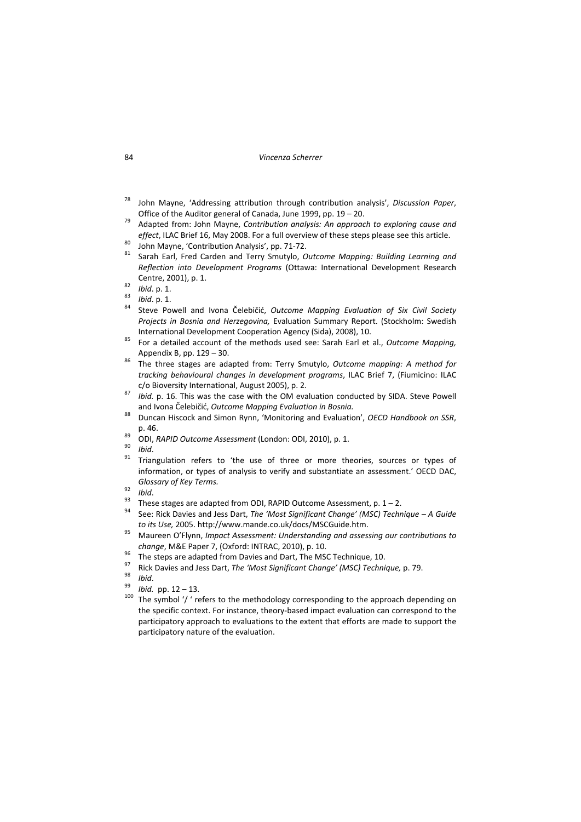- <sup>78</sup> John Mayne, 'Addressing attribution through contribution analysis', *Discussion Paper*,
- Office of the Auditor general of Canada, June 1999, pp. <sup>19</sup> 20. <sup>79</sup> Adapted from: John Mayne, *Contribution analysis: An approach to exploring cause and*
- 
- effect, ILAC Brief 16, May 2008. For a full overview of these steps please see this article.<br><sup>80</sup> John Mayne, 'Contribution Analysis', pp. 71-72.<br><sup>81</sup> Sarah Earl. Fred Carden and Terry Smutylo. *Outcome Mapping: Building L Reflection into Development Programs* (Ottawa: International Development Research
- 
- 
- Centre, 2001), p. 1. <sup>82</sup> *Ibid*. p. 1. <sup>83</sup> *Ibid*. p. 1. <sup>84</sup> Steve Powell and Ivona Čelebičić, *Outcome Mapping Evaluation of Six Civil Society Projects in Bosnia and Herzegovina,* Evaluation Summary Report. (Stockholm: Swedish International Development Cooperation Agency (Sida), 2008), 10. <sup>85</sup> For <sup>a</sup> detailed account of the methods used see: Sarah Earl et al., *Outcome Mapping,*
- Appendix B, pp. 129 30.<br><sup>86</sup> The three stages are adapted from: Terry Smutylo, *Outcome mapping: A method for*
- *tracking behavioural changes in development programs*, ILAC Brief 7, (Fiumicino: ILAC c/o Bioversity International, August 2005), p. 2. <sup>87</sup> *Ibid.* p. 16. This was the case with the OM evaluation conducted by SIDA. Steve Powell
- and Ivona Čelebičić, *Outcome Mapping Evaluation in Bosnia.* <sup>88</sup> Duncan Hiscock and Simon Rynn, 'Monitoring and Evaluation', *OECD Handbook on SSR*,
- 
- 
- 
- p. 46.<br><sup>89</sup> ODI, *RAPID Outcome Assessment* (London: ODI, 2010), p. 1.<br><sup>90</sup> *Ibid*.<br><sup>91</sup> Triangulation refers to 'the use of three or more theories, sources or types of information, or types of analysis to verify and substantiate an assessment.' OECD DAC, Glossary of Key Terms.<br><sup>92</sup> Ibid.<br><sup>93</sup> These stages are adapted from ODI, RAPID Outcome Assessment, p. 1 – 2.<br><sup>94</sup> See: Rick Davies and Jess Dart, *The 'Most Significant Change' (MSC) Technique – A Guide*
- 
- 
- 
- to its Use, 2005. http://www.mande.co.uk/docs/MSCGuide.htm.<br><sup>95</sup> Maureen O'Flynn, *Impact Assessment: Understanding and assessing our contributions to*
- 
- 
- 
- 
- change, M&E Paper 7, (Oxford: INTRAC, 2010), p. 10.<br>
<sup>96</sup> The steps are adapted from Davies and Dart, The MSC Technique, 10.<br>
<sup>97</sup> Rick Davies and Jess Dart, *The 'Most Significant Change' (MSC) Technique,* p. 79.<br>
<sup>98</sup> the specific context. For instance, theory-based impact evaluation can correspond to the participatory approach to evaluations to the extent that efforts are made to support the participatory nature of the evaluation.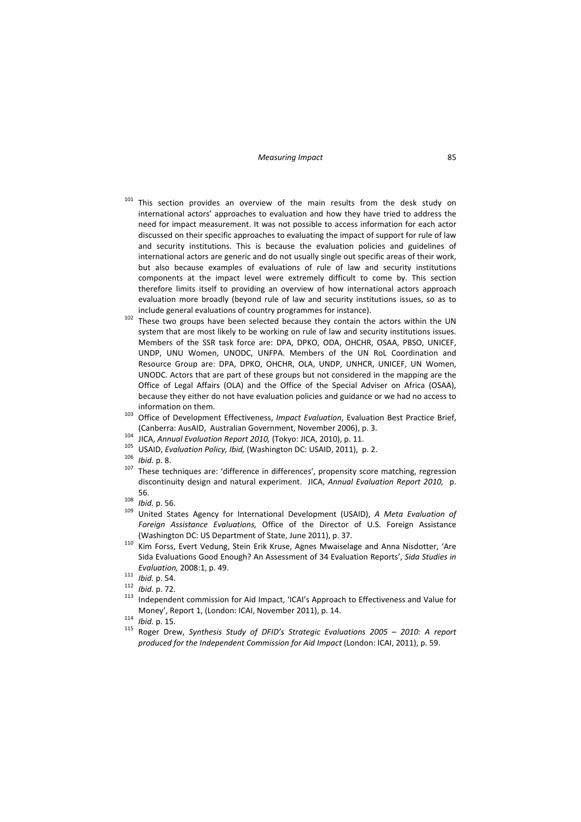- <sup>101</sup> This section provides an overview of the main results from the desk study on international actors' approaches to evaluation and how they have tried to address the need for impact measurement. It was not possible to access information for each actor discussed on their specific approaches to evaluating the impact of support for rule of law and security institutions. This is because the evaluation policies and guidelines of international actors are generic and do not usually single out specific areas of their work, but also because examples of evaluations of rule of law and security institutions components at the impact level were extremely difficult to come by. This section therefore limits itself to providing an overview of how international actors approach evaluation more broadly (beyond rule of law and security institutions issues, so as to
- include general evaluations of country programmes for instance).<br><sup>102</sup> These two groups have been selected because they contain the actors within the UN system that are most likely to be working on rule of law and security institutions issues. Members of the SSR task force are: DPA, DPKO, ODA, OHCHR, OSAA, PBSO, UNICEF, UNDP, UNU Women, UNODC, UNFPA. Members of the UN RoL Coordination and Resource Group are: DPA, DPKO, OHCHR, OLA, UNDP, UNHCR, UNICEF, UN Women, UNODC. Actors that are part of these groups but not considered in the mapping are the Office of Legal Affairs (OLA) and the Office of the Special Adviser on Africa (OSAA), because they either do not have evaluation policies and guidance or we had no access to information on them. <sup>103</sup> Office of Development Effectiveness, *Impact Evaluation*, Evaluation Best Practice Brief,
- 
- 
- 
- 
- (Canberra: AusAID, Australian Government, November 2006), p. 3.<br>
<sup>104</sup> JICA, *Annual Evaluation Report 2010*, (Tokyo: JICA, 2010), p. 11.<br>
<sup>105</sup> USAID, *Evaluation Policy, Ibid,* (Washington DC: USAID, 2011), p. 2.<br>
<sup>106</sup> discontinuity design and natural experiment. JICA, *Annual Evaluation Report 2010,* p. 56. <sup>108</sup> *Ibid.* p. 56. <sup>109</sup> United States Agency for International Development (USAID), *<sup>A</sup> Meta Evaluation of*
- 
- *Foreign Assistance Evaluations,* Office of the Director of U.S. Foreign Assistance (Washington DC: US Department of State, June 2011), p. 37.<br><sup>110</sup> Kim Forss, Evert Vedung, Stein Erik Kruse, Agnes Mwaiselage and Anna Nisdotter, 'Are
- Sida Evaluations Good Enough? An Assessment of 34 Evaluation Reports', *Sida Studies in*
- 
- 
- *Evaluation,* 2008:1, p. 49.<br>
<sup>111</sup> *Ibid.* p. 54.<br>
<sup>112</sup> *Ibid.* p. 72.<br>
<sup>113</sup> Independent commission for Aid Impact, 'ICAI's Approach to Effectiveness and Value for

Money', Report 1, (London: ICAI, November 2011), p. 14.<br>
<sup>114</sup> Ibid. p. 15.<br>
Roger Drew, Synthesis Study of DFID's Strategic Evaluations 2005 – 2010: A report *produced for the Independent Commission for Aid Impact* (London: ICAI, 2011), p. 59.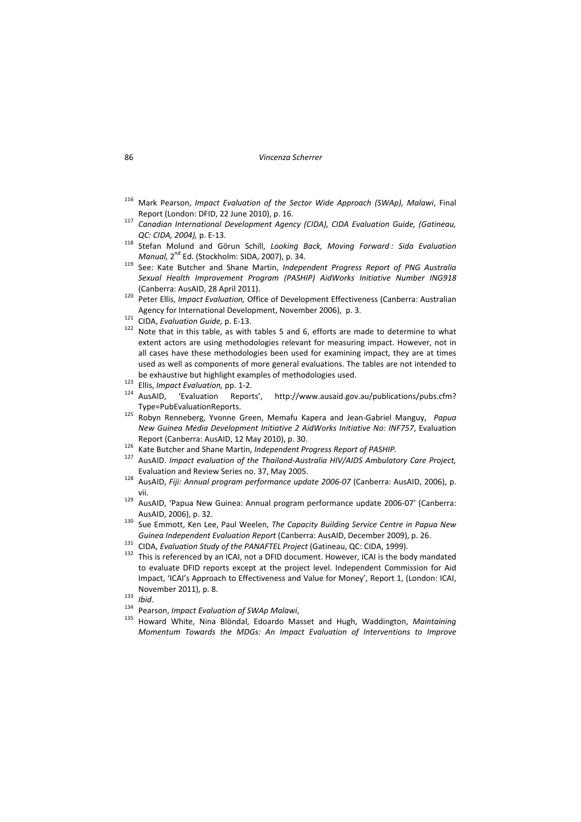#### 86 *Vincenza Scherrer*

- <sup>116</sup> Mark Pearson, *Impact Evaluation of the Sector Wide Approach (SWAp), Malawi*, Final
- Report (London: DFID, <sup>22</sup> June 2010), p. 16. <sup>117</sup> *Canadian International Development Agency (CIDA), CIDA Evaluation Guide, (Gatineau,*
- *QC: CIDA, 2004),* p. <sup>E</sup>‐13. <sup>118</sup> Stefan Molund and Görun Schill, *Looking Back, Moving Forward : Sida Evaluation*
- *Manual,* 2nd Ed. (Stockholm: SIDA, 2007), p. 34. <sup>119</sup> See: Kate Butcher and Shane Martin, *Independent Progress Report of PNG Australia Sexual Health Improvement Program (PASHIP) AidWorks Initiative Number ING918*
- 120 Peter Ellis, *Impact Evaluation*, Office of Development Effectiveness (Canberra: Australian
- 
- Agency for International Development, November 2006), p. 3.<br><sup>121</sup> CIDA, *Evaluation Guide*, p. E-13.<br><sup>122</sup> Note that in this table, as with tables 5 and 6, efforts are made to determine to what extent actors are using methodologies relevant for measuring impact. However, not in all cases have these methodologies been used for examining impact, they are at times used as well as components of more general evaluations. The tables are not intended to
- 
- be exhaustive but highlight examples of methodologies used.<br><sup>123</sup> Ellis, *Impact Evaluation*, pp. 1-2.<br><sup>124</sup> AusAID, 'Evaluation Reports', http://www.ausaid.gov.au/publications/pubs.cfm?
- Type=PubEvaluationReports. <sup>125</sup> Robyn Renneberg, Yvonne Green, Memafu Kapera and Jean‐Gabriel Manguy, *Papua New Guinea Media Development Initiative 2 AidWorks Initiative No: INF757*, Evaluation
- 
- Report (Canberra: AusAID, 12 May 2010), p. 30.<br><sup>126</sup> Kate Butcher and Shane Martin, *Independent Progress Report of PASHIP.*<br><sup>127</sup> AusAID. *Impact evaluation of the Thailand-Australia HIV/AIDS Ambulatory Care Project,*
- Evaluation and Review Series no. 37, May 2005. <sup>128</sup> AusAID, *Fiji: Annual program performance update <sup>2006</sup>‐<sup>07</sup>* (Canberra: AusAID, 2006), p.
- vii. <sup>129</sup> AusAID, 'Papua New Guinea: Annual program performance update <sup>2006</sup>‐07' (Canberra:
- AusAID, 2006), p. 32. <sup>130</sup> Sue Emmott, Ken Lee, Paul Weelen, *The Capacity Building Service Centre in Papua New*
- 
- Guinea Independent Evaluation Report (Canberra: AusAID, December 2009), p. 26.<br><sup>131</sup> CIDA, Evaluation Study of the PANAFTEL Project (Gatineau, QC: CIDA, 1999).<br><sup>132</sup> This is referenced by an ICAI, not a DFID document. Howe to evaluate DFID reports except at the project level. Independent Commission for Aid Impact, 'ICAI's Approach to Effectiveness and Value for Money', Report 1, (London: ICAI,
- 
- 
- November 2011), p. 8.<br>
<sup>133</sup> *Ibid.*<br>
<sup>134</sup> Pearson, *Impact Evaluation of SWAp Malawi*,<br>
<sup>135</sup> Howard White, Nina Blöndal, Edoardo Masset and Hugh, Waddington, *Maintaining Momentum Towards the MDGs: An Impact Evaluation of Interventions to Improve*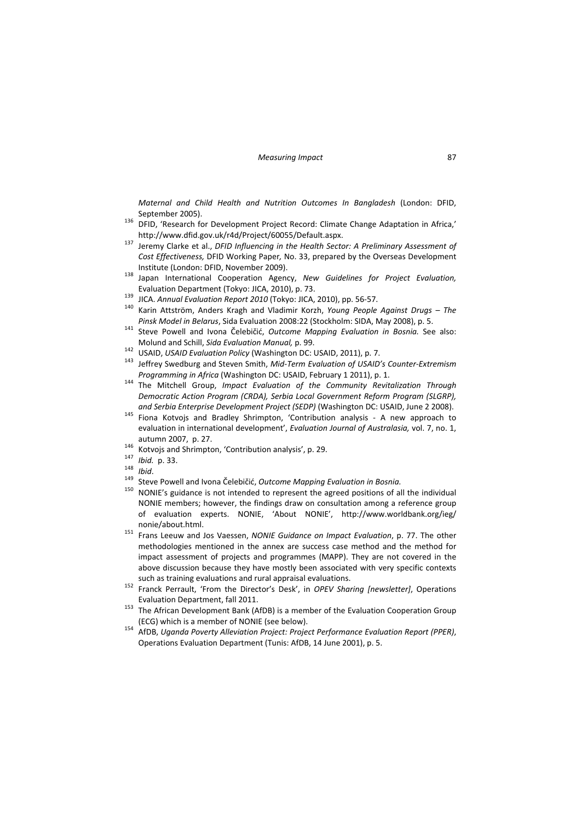*Maternal and Child Health and Nutrition Outcomes In Bangladesh* (London: DFID,

- September 2005).<br>
<sup>136</sup> DFID, 'Research for Development Project Record: Climate Change Adaptation in Africa,'
- http://www.dfid.gov.uk/r4d/Project/60055/Default.aspx. <sup>137</sup> Jeremy Clarke et al., *DFID Influencing in the Health Sector: <sup>A</sup> Preliminary Assessment of Cost Effectiveness,* DFID Working Paper*,* No. 33, prepared by the Overseas Development
- Institute (London: DFID, November 2009). <sup>138</sup> Japan International Cooperation Agency, *New Guidelines for Project Evaluation,*
- 
- Evaluation Department (Tokyo: JICA, 2010), p. 73.<br>
<sup>139</sup> JICA. Annual Evaluation Report 2010 (Tokyo: JICA, 2010), pp. 56-57.<br>
<sup>140</sup> Karin Attström, Anders Kragh and Vladimir Korzh, *Young People Against Drugs The*
- Pinsk Model in Belarus, Sida Evaluation 2008:22 (Stockholm: SIDA, May 2008), p. 5.<br><sup>141</sup> Steve Powell and Ivona Čelebičić, *Outcome Mapping Evaluation in Bosnia*. See also:
- 
- Molund and Schill, Sida Evaluation Manual, p. 99.<br><sup>142</sup> USAID, USAID Evaluation Policy (Washington DC: USAID, 2011), p. 7.<br><sup>143</sup> Jeffrev Swedburg and Steven Smith, Mid-Term Evaluation of USAID's Counter-Extremism
- *Programming in Africa* (Washington DC: USAID, February <sup>1</sup> 2011), p. 1. <sup>144</sup> The Mitchell Group, *Impact Evaluation of the Community Revitalization Through Democratic Action Program (CRDA), Serbia Local Government Reform Program (SLGRP),*
- *and Serbia Enterprise Development Project (SEDP)* (Washington DC: USAID, June <sup>2</sup> 2008). <sup>145</sup> Fiona Kotvojs and Bradley Shrimpton, 'Contribution analysis ‐ <sup>A</sup> new approach to evaluation in international development', *Evaluation Journal of Australasia,* vol. 7, no. 1,
- 
- 
- 
- 
- autumn 2007, p. 27.<br>
<sup>146</sup> Kotvojs and Shrimpton, 'Contribution analysis', p. 29.<br>
<sup>147</sup> *Ibid.* p. 33.<br>
<sup>148</sup> *Ibid.*<br>
<sup>149</sup> Steve Powell and Ivona Čelebičić, *Outcome Mapping Evaluation in Bosnia.*<br>
<sup>149</sup> Steve Powell an NONIE members; however, the findings draw on consultation among a reference group of evaluation experts. NONIE, 'About NONIE', http://www.worldbank.org/ieg/
- nonie/about.html. <sup>151</sup> Frans Leeuw and Jos Vaessen, *NONIE Guidance on Impact Evaluation*, p. 77. The other methodologies mentioned in the annex are success case method and the method for impact assessment of projects and programmes (MAPP). They are not covered in the above discussion because they have mostly been associated with very specific contexts
- such as training evaluations and rural appraisal evaluations. <sup>152</sup> Franck Perrault, 'From the Director's Desk', in *OPEV Sharing [newsletter]*, Operations
- Evaluation Department, fall 2011. <sup>153</sup> The African Development Bank (AfDB) is <sup>a</sup> member of the Evaluation Cooperation Group
- (ECG) which is <sup>a</sup> member of NONIE (see below). <sup>154</sup> AfDB, *Uganda Poverty Alleviation Project: Project Performance Evaluation Report (PPER)*, Operations Evaluation Department (Tunis: AfDB, 14 June 2001), p. 5.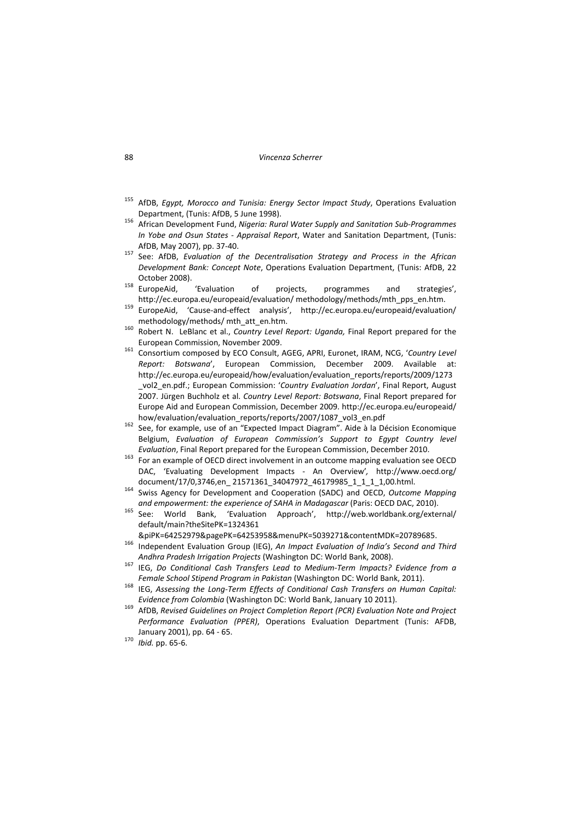#### 88 *Vincenza Scherrer*

- <sup>155</sup> AfDB, *Egypt, Morocco and Tunisia: Energy Sector Impact Study*, Operations Evaluation
- Department, (Tunis: AfDB, <sup>5</sup> June 1998). <sup>156</sup> African Development Fund, *Nigeria: Rural Water Supply and Sanitation Sub‐Programmes In Yobe and Osun States ‐ Appraisal Report*, Water and Sanitation Department, (Tunis: AfDB, May 2007), pp. <sup>37</sup>‐40. <sup>157</sup> See: AfDB, *Evaluation of the Decentralisation Strategy and Process in the African*
- *Development Bank: Concept Note*, Operations Evaluation Department, (Tunis: AfDB, 22
- October 2008).<br>
<sup>158</sup> EuropeAid, 'Evaluation of projects, programmes and strategies',<br>
http://ec.europa.eu/europeaid/evaluation/methodology/methods/mth\_pps\_en.htm.
- http://ec.europeAid, 'Cause-and-effect analysis', http://ec.europa.eu/europeaid/evaluation/ methodology/methods/ mth\_att\_en.htm. <sup>160</sup> Robert N. LeBlanc et al., *Country Level Report: Uganda,* Final Report prepared for the
- 
- European Commission, November 2009. <sup>161</sup> Consortium composed by ECO Consult, AGEG, APRI, Euronet, IRAM, NCG, '*Country Level Report: Botswana*', European Commission, December 2009. Available at: http://ec.europa.eu/europeaid/how/evaluation/evaluation\_reports/reports/2009/1273 \_vol2\_en.pdf.; European Commission: '*Country Evaluation Jordan*', Final Report, August 2007. Jürgen Buchholz et al. *Country Level Report: Botswana*, Final Report prepared for Europe Aid and European Commission, December 2009. http://ec.europa.eu/europeaid/
- how/evaluation/evaluation\_reports/reports/2007/1087\_vol3\_en.pdf <sup>162</sup> See, for example, use of an "Expected Impact Diagram". Aide <sup>à</sup> la Décision Economique Belgium, *Evaluation of European Commission's Support to Egypt Country level*
- *Evaluation*, Final Report prepared for the European Commission, December 2010. <sup>163</sup> For an example of OECD direct involvement in an outcome mapping evaluation see OECD DAC, 'Evaluating Development Impacts ‐ An Overview'*,* http://www.oecd.org/
- document/17/0,3746,en\_ 21571361\_34047972\_46179985\_1\_1\_1\_1,00.html. <sup>164</sup> Swiss Agency for Development and Cooperation (SADC) and OECD, *Outcome Mapping*
- *and empowerment: the experience of SAHA in Madagascar* (Paris: OECD DAC, 2010). <sup>165</sup> See: World Bank, 'Evaluation Approach', http://web.worldbank.org/external/ default/main?theSitePK=1324361
- &piPK=64252979&pagePK=64253958&menuPK=5039271&contentMDK=20789685. <sup>166</sup> Independent Evaluation Group (IEG), *An Impact Evaluation of India's Second and Third*
- Andhra Pradesh Irrigation Projects (Washington DC: World Bank, 2008).<br><sup>167</sup> IEG, Do Conditional Cash Transfers Lead to Medium-Term Impacts? Evidence from a
- Female School Stipend Program in Pakistan (Washington DC: World Bank, 2011).<br><sup>168</sup> IEG, Assessing the Long-Term Effects of Conditional Cash Transfers on Human Capital:
- Evidence from Colombia (Washington DC: World Bank, January 10 2011).<br><sup>169</sup> AfDB, Revised Guidelines on Project Completion Report (PCR) Evaluation Note and Project
- *Performance Evaluation (PPER)*, Operations Evaluation Department (Tunis: AFDB, January 2001), pp. <sup>64</sup> ‐ 65. <sup>170</sup> *Ibid.* pp. <sup>65</sup>‐6.
-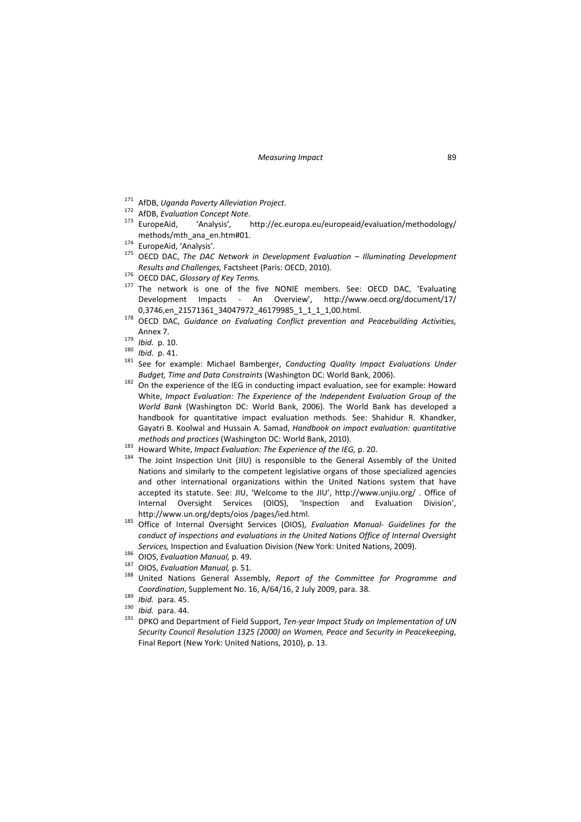- 
- 
- <sup>171</sup> AfDB, *Uganda Poverty Alleviation Project*. <sup>172</sup> AfDB, *Evaluation Concept Note*. <sup>173</sup> EuropeAid, 'Analysis'*,* http://ec.europa.eu/europeaid/evaluation/methodology/
- 
- methods/mth\_ana\_en.htm#01. <sup>174</sup> EuropeAid, 'Analysis'*.* <sup>175</sup> OECD DAC, *The DAC Network in Development Evaluation – Illuminating Development*
- 
- Results and Challenges, Factsheet (Paris: OECD, 2010).<br><sup>176</sup> OECD DAC, Glossary of Key Terms.<br><sup>177</sup> The network is one of the five NONIE members. See: OECD DAC, 'Evaluating Development Impacts ‐ An Overview', http://www.oecd.org/document/17/
- 0,3746,en\_21571361\_34047972\_46179985\_1\_1\_1\_1,00.html. <sup>178</sup> OECD DAC, *Guidance on Evaluating Conflict prevention and Peacebuilding Activities,* Annex 7.<br><sup>179</sup> *Ibid.* p. 10.<br><sup>180</sup> *Ibid.* p. 41.<br><sup>181</sup> See for example: Michael Bamberger, *Conducting Quality Impact Evaluations Under*
- 
- 
- *Budget, Time and Data Constraints* (Washington DC: World Bank, 2006). <sup>182</sup> On the experience of the IEG in conducting impact evaluation, see for example: Howard
- White, *Impact Evaluation: The Experience of the Independent Evaluation Group of the World Bank* (Washington DC: World Bank, 2006). The World Bank has developed a handbook for quantitative impact evaluation methods. See: Shahidur R. Khandker, Gayatri B. Koolwal and Hussain A. Samad, *Handbook on impact evaluation: quantitative*
- 
- methods and practices (Washington DC: World Bank, 2010).<br><sup>183</sup> Howard White, *Impact Evaluation: The Experience of the IEG*, p. 20.<br><sup>184</sup> The Joint Inspection Unit (JIU) is responsible to the General Assembly of the United Nations and similarly to the competent legislative organs of those specialized agencies and other international organizations within the United Nations system that have accepted its statute. See: JIU, 'Welcome to the JIU', http://www.unjiu.org/ . Office of Internal Oversight Services (OIOS), 'Inspection and Evaluation Division', http://www.un.org/depts/oios /pages/ied.html. <sup>185</sup> Office of Internal Oversight Services (OIOS), *Evaluation Manual‐ Guidelines for the*
- *conduct of inspections and evaluations in the United Nations Office of Internal Oversight*
- 
- 
- Services, Inspection and Evaluation Division (New York: United Nations, 2009).<br><sup>186</sup> OIOS, Evaluation Manual, p. 49.<br><sup>187</sup> OIOS, Evaluation Manual, p. 51.<br><sup>188</sup> United Nations General Assembly, Report of the Committee for Coordination, Supplement No. 16, A/64/16, 2 July 2009, para. 38.<br><sup>189</sup> Ibid. para. 45.<br><sup>190</sup> Ibid. para. 44.<br><sup>191</sup> DPKO and Department of Field Support, *Ten-year Impact Study on Implementation of UN*
- 
- 
- *Security Council Resolution 1325 (2000) on Women, Peace and Security in Peacekeeping*, Final Report (New York: United Nations, 2010), p. 13.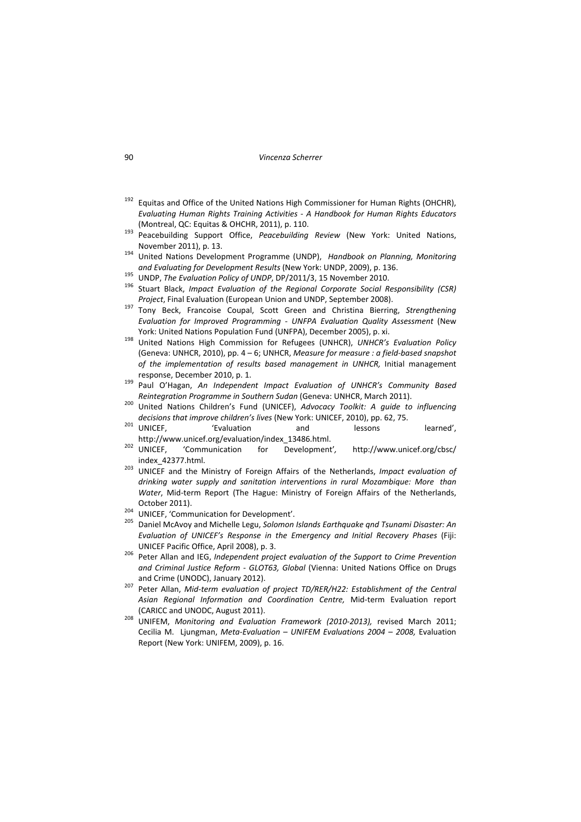- $192$  Equitas and Office of the United Nations High Commissioner for Human Rights (OHCHR), *Evaluating Human Rights Training Activities ‐ A Handbook for Human Rights Educators*
- (Montreal, QC: Equitas & OHCHR, 2011), p. 110. <sup>193</sup> Peacebuilding Support Office, *Peacebuilding Review* (New York: United Nations,
- November 2011), p. 13. <sup>194</sup> United Nations Development Programme (UNDP), *Handbook on Planning, Monitoring* and Evaluating for Development Results (New York: UNDP, 2009), p. 136.<br><sup>195</sup> UNDP, *The Evaluation Policy of UNDP*, DP/2011/3, 15 November 2010.<br><sup>196</sup> Stuart Black. *Impact Evaluation of the Reaional Corporate Social Resp*
- 
- 
- *Project*, Final Evaluation (European Union and UNDP, September 2008). <sup>197</sup> Tony Beck, Francoise Coupal, Scott Green and Christina Bierring, *Strengthening Evaluation for Improved Programming ‐ UNFPA Evaluation Quality Assessment* (New York: United Nations Population Fund (UNFPA), December 2005), p. xi. <sup>198</sup> United Nations High Commission for Refugees (UNHCR), *UNHCR's Evaluation Policy*
- (Geneva: UNHCR, 2010), pp. 4 6; UNHCR, *Measure for measure : a field‐based snapshot of the implementation of results based management in UNHCR,* Initial management response, December 2010, p. 1. <sup>199</sup> Paul O'Hagan, *An Independent Impact Evaluation of UNHCR's Community Based*
- 
- Reintegration Programme in Southern Sudan (Geneva: UNHCR, March 2011).<br><sup>200</sup> United Nations Children's Fund (UNICEF), Advocacy Toolkit: A guide to influencing
- *decisions that improve children's lives* (New York: UNICEF, 2010), pp. 62, 75.<br><sup>201</sup> UNICEF, 'Evaluation and lessons learned',
- http://www.unicef.org/evaluation/index\_13486.html. <sup>202</sup> UNICEF, 'Communication for Development'*,* http://www.unicef.org/cbsc/ index\_42377.html. <sup>203</sup> UNICEF and the Ministry of Foreign Affairs of the Netherlands, *Impact evaluation of*
- *drinking water supply and sanitation interventions in rural Mozambique: More than Water*, Mid‐term Report (The Hague: Ministry of Foreign Affairs of the Netherlands,
- 
- October 2011). <sup>204</sup> UNICEF, 'Communication for Development'. <sup>205</sup> Daniel McAvoy and Michelle Legu, *Solomon Islands Earthquake qnd Tsunami Disaster: An Evaluation of UNICEF's Response in the Emergency and Initial Recovery Phases* (Fiji:
- UNICEF Pacific Office, April 2008), p. 3. <sup>206</sup> Peter Allan and IEG, *Independent project evaluation of the Support to Crime Prevention and Criminal Justice Reform ‐ GLOT63, Global* (Vienna: United Nations Office on Drugs and Crime (UNODC), January 2012). <sup>207</sup> Peter Allan, *Mid‐term evaluation of project TD/RER/H22: Establishment of the Central*
- *Asian Regional Information and Coordination Centre,* Mid‐term Evaluation report (CARICC and UNODC, August 2011). <sup>208</sup> UNIFEM, *Monitoring and Evaluation Framework (2010‐2013),* revised March 2011;
- Cecilia M. Ljungman, *Meta‐Evaluation – UNIFEM Evaluations 2004 – 2008,* Evaluation Report (New York: UNIFEM, 2009), p. 16.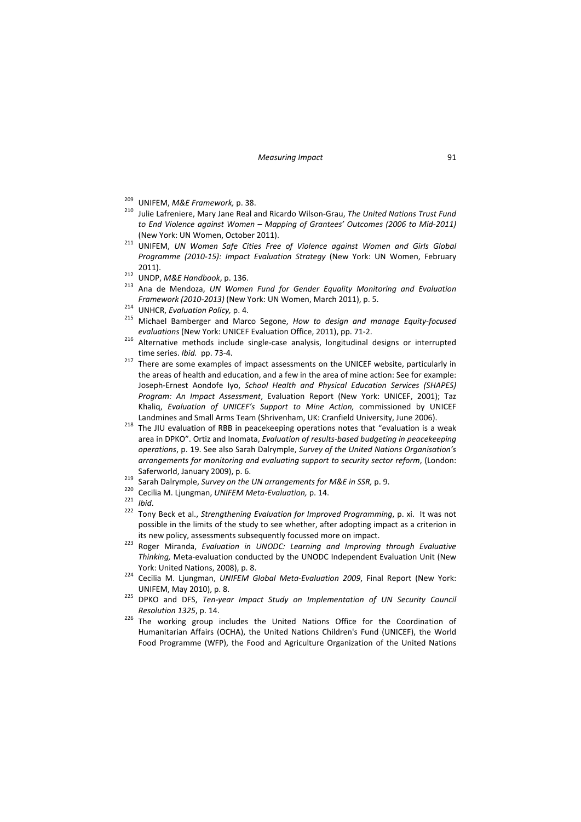- 
- <sup>209</sup> UNIFEM, *M&E Framework,* p. 38. <sup>210</sup> Julie Lafreniere, Mary Jane Real and Ricardo Wilson‐Grau, *The United Nations Trust Fund to End Violence against Women – Mapping of Grantees' Outcomes (2006 to Mid‐2011)*
- (New York: UN Women, October 2011). <sup>211</sup> UNIFEM, *UN Women Safe Cities Free of Violence against Women and Girls Global Programme (2010‐15): Impact Evaluation Strategy* (New York: UN Women, February
- 
- 2011). <sup>212</sup> UNDP, *M&E Handbook*, p. 136. <sup>213</sup> Ana de Mendoza, *UN Women Fund for Gender Equality Monitoring and Evaluation*
- 
- Framework (2010-2013) (New York: UN Women, March 2011), p. 5.<br><sup>214</sup> UNHCR, Evaluation Policy, p. 4.<br><sup>215</sup> Michael Bamberger and Marco Segone, *How to design and manage Equity-focused*
- *evaluations* (New York: UNICEF Evaluation Office, 2011), pp. 71-2.<br><sup>216</sup> Alternative methods include single-case analysis, longitudinal designs or interrupted
- time series. *Ibid.* pp. 73-4.<br><sup>217</sup> There are some examples of impact assessments on the UNICEF website, particularly in the areas of health and education, and a few in the area of mine action: See for example: Joseph‐Ernest Aondofe Iyo, *School Health and Physical Education Services (SHAPES) Program: An Impact Assessment*, Evaluation Report (New York: UNICEF, 2001); Taz Khaliq, *Evaluation of UNICEF's Support to Mine Action,* commissioned by UNICEF
- Landmines and Small Arms Team (Shrivenham, UK: Cranfield University, June 2006).<br><sup>218</sup> The JIU evaluation of RBB in peacekeeping operations notes that "evaluation is a weak area in DPKO". Ortiz and Inomata, *Evaluation of results‐based budgeting in peacekeeping operations*, p. 19. See also Sarah Dalrymple, *Survey of the United Nations Organisation's arrangements for monitoring and evaluating support to security sector reform*, (London: Saferworld, January 2009), p. 6.<br>
<sup>219</sup> Sarah Dalrymple, Survey on the UN arrangements for M&E in SSR, p. 9.<br>
<sup>220</sup> Cecilia M. Ljungman, UNIFEM Meta-Evaluation, p. 14.<br>
<sup>221</sup> Ibid.<br>
<sup>222</sup> Tony Beck et al., Strengthening Ev
- 
- 
- 
- possible in the limits of the study to see whether, after adopting impact as a criterion in
- its new policy, assessments subsequently focussed more on impact. <sup>223</sup> Roger Miranda, *Evaluation in UNODC: Learning and Improving through Evaluative Thinking,* Meta‐evaluation conducted by the UNODC Independent Evaluation Unit (New
- York: United Nations, 2008), p. 8. <sup>224</sup> Cecilia M. Ljungman, *UNIFEM Global Meta‐Evaluation <sup>2009</sup>*, Final Report (New York:
- UNIFEM, May 2010), p. 8. <sup>225</sup> DPKO and DFS, *Ten‐year Impact Study on Implementation of UN Security Council*
- *Resolution* 1325, p. 14.<br><sup>226</sup> The working group includes the United Nations Office for the Coordination of Humanitarian Affairs (OCHA), the United Nations Children's Fund (UNICEF), the World Food Programme (WFP), the Food and Agriculture Organization of the United Nations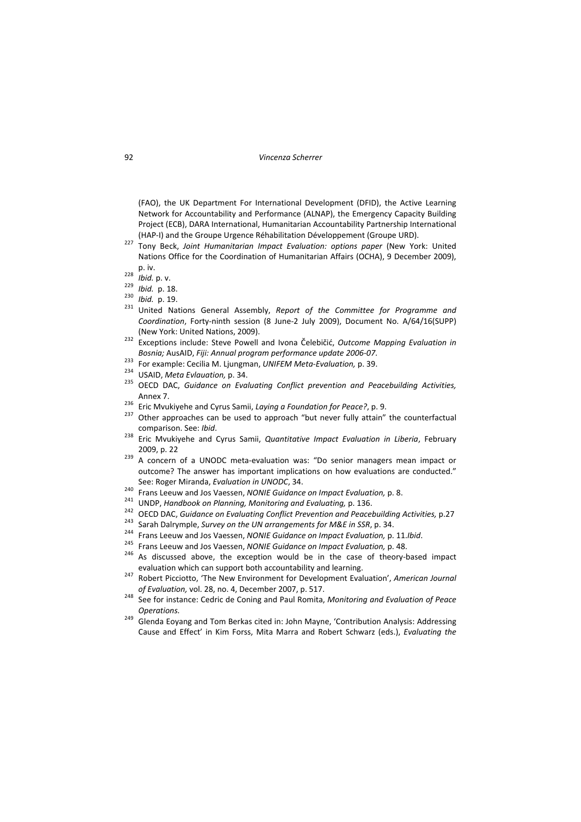(FAO), the UK Department For International Development (DFID), the Active Learning Network for Accountability and Performance (ALNAP), the Emergency Capacity Building Project (ECB), DARA International, Humanitarian Accountability Partnership International

- (HAP‐I) and the Groupe Urgence Réhabilitation Développement (Groupe URD). <sup>227</sup> Tony Beck, *Joint Humanitarian Impact Evaluation: options paper* (New York: United Nations Office for the Coordination of Humanitarian Affairs (OCHA), 9 December 2009),
- 
- 
- 
- p. iv. <sup>228</sup> *Ibid.* p. v. <sup>229</sup> *Ibid.* p. 18. <sup>230</sup> *Ibid.* p. 19. <sup>231</sup> United Nations General Assembly, *Report of the Committee for Programme and Coordination*, Forty‐ninth session (8 June‐2 July 2009), Document No. A/64/16(SUPP)
- (New York: United Nations, 2009). <sup>232</sup> Exceptions include: Steve Powell and Ivona Čelebičić, *Outcome Mapping Evaluation in* Bosnia; AusAID, Fiji: Annual program performance update 2006-07.<br><sup>233</sup> For example: Cecilia M. Ljungman, UNIFEM Meta-Evaluation, p. 39.<br><sup>234</sup> USAID, Meta Evlauation, p. 34.<br><sup>235</sup> OECD DAC, Guidance on Evaluating Conflict p
- 
- 
- Annex 7.<br><sup>236</sup> Eric Mvukiyehe and Cyrus Samii, *Laying a Foundation for Peace?*, p. 9.<br><sup>237</sup> Other approaches can be used to approach "but never fully attain" the counterfactual
- 
- 
- comparison. See: *Ibid*. <sup>238</sup> Eric Mvukiyehe and Cyrus Samii, *Quantitative Impact Evaluation in Liberia*, February
- 2009, p. 22<br><sup>239</sup> A concern of a UNODC meta-evaluation was: "Do senior managers mean impact or outcome? The answer has important implications on how evaluations are conducted."
- 
- 
- 
- 
- 
- 
- See: Roger Miranda, *Evaluation in UNODC*, 34.<br>
<sup>240</sup> Frans Leeuw and Jos Vaessen, *NONIE Guidance on Impact Evaluation*, p. 8.<br>
<sup>241</sup> UNDP, *Handbook on Planning, Monitoring and Evaluating*, p. 136.<br>
<sup>242</sup> OECD DAC, *Guid* evaluation which can support both accountability and learning. <sup>247</sup> Robert Picciotto, 'The New Environment for Development Evaluation', *American Journal*
- 
- *of Evaluation,* vol. 28, no. 4, December 2007, p. 517. <sup>248</sup> See for instance: Cedric de Coning and Paul Romita, *Monitoring and Evaluation of Peace*
- *Operations.* <sup>249</sup> Glenda Eoyang and Tom Berkas cited in: John Mayne, 'Contribution Analysis: Addressing Cause and Effect' in Kim Forss, Mita Marra and Robert Schwarz (eds.), *Evaluating the*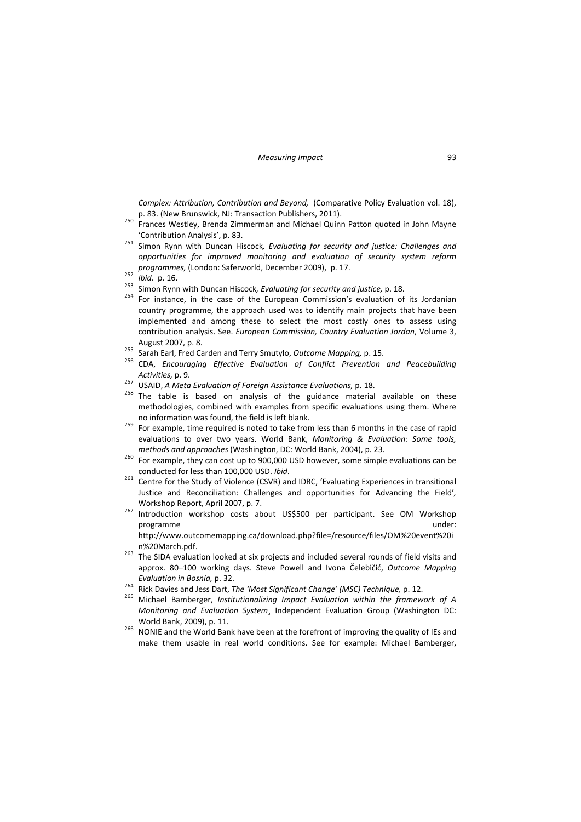*Complex: Attribution, Contribution and Beyond,* (Comparative Policy Evaluation vol. 18),

- p. 83. (New York, Niem Brunswick, Namerman and Michael Quinn Patton quoted in John Mayne
- 'Contribution Analysis', p. 83. <sup>251</sup> Simon Rynn with Duncan Hiscock*, Evaluating for security and justice: Challenges and opportunities for improved monitoring and evaluation of security system reform* programmes, (London: Saferworld, December 2009), p. 17.<br>
<sup>252</sup> Ibid. p. 16.<br>
<sup>253</sup> Simon Rynn with Duncan Hiscock, *Evaluating for security and justice*, p. 18.<br>
<sup>254</sup> For instance, in the case of the European Commission's
- 
- 
- country programme, the approach used was to identify main projects that have been implemented and among these to select the most costly ones to assess using contribution analysis. See. *European Commission, Country Evaluation Jordan*, Volume 3,
- 
- August 2007, p. 8.<br><sup>255</sup> Sarah Earl, Fred Carden and Terry Smutylo, Outcome Mapping, p. 15.<br><sup>256</sup> CDA, *Encouraging Effective Evaluation of Conflict Prevention and Peacebuilding*
- 
- *Activities,* p. 9. <sup>257</sup> USAID, *<sup>A</sup> Meta Evaluation of Foreign Assistance Evaluations,* p. 18. <sup>258</sup> The table is based on analysis of the guidance material available on these methodologies, combined with examples from specific evaluations using them. Where no information was found, the field is left blank.<br><sup>259</sup> For example, time required is noted to take from less than 6 months in the case of rapid
- evaluations to over two years. World Bank, *Monitoring & Evaluation: Some tools,*
- *methods and approaches* (Washington, DC: World Bank, 2004), p. 23.<br><sup>260</sup> For example, they can cost up to 900,000 USD however, some simple evaluations can be conducted for less than 100,000 USD. *Ibid*. <sup>261</sup> Centre for the Study of Violence (CSVR) and IDRC, 'Evaluating Experiences in transitional
- Justice and Reconciliation: Challenges and opportunities for Advancing the Field'*,*
- Workshop Report, April 2007, p. 7.<br><sup>262</sup> Introduction workshop costs about US\$500 per participant. See OM Workshop programme under: http://www.outcomemapping.ca/download.php?file=/resource/files/OM%20event%20i
- n%20March.pdf. 263 The SIDA evaluation looked at six projects and included several rounds of field visits and approx. 80–100 working days. Steve Powell and Ivona Čelebičić, *Outcome Mapping* Evaluation in Bosnia, p. 32.<br><sup>264</sup> Rick Davies and Jess Dart, The 'Most Significant Change' (MSC) Technique, p. 12.<br><sup>265</sup> Michael Bamberger, Institutionalizing Impact Evaluation within the framework of A
- 
- *Monitoring and Evaluation System*¸ Independent Evaluation Group (Washington DC:
- World Bank, 2009), p. 11.<br><sup>266</sup> NONIE and the World Bank have been at the forefront of improving the quality of IEs and make them usable in real world conditions. See for example: Michael Bamberger,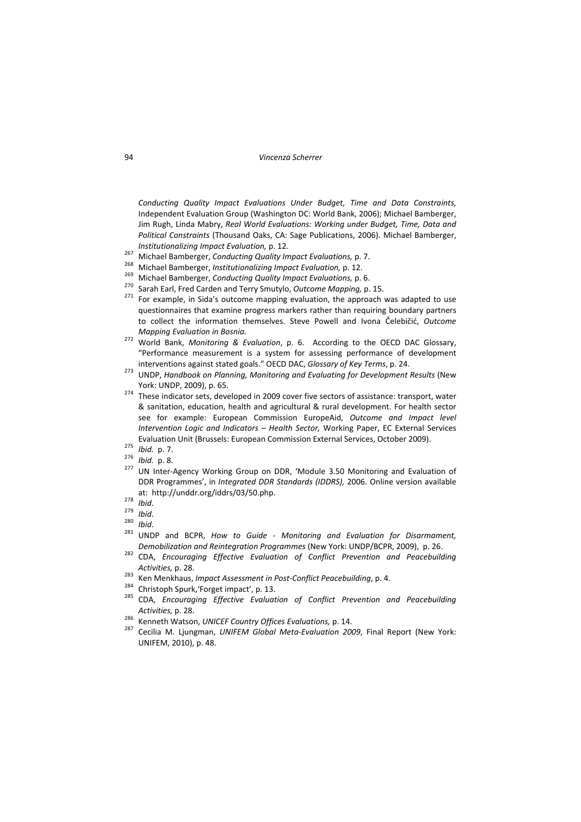*Conducting Quality Impact Evaluations Under Budget, Time and Data Constraints,* Independent Evaluation Group (Washington DC: World Bank, 2006); Michael Bamberger, Jim Rugh, Linda Mabry, *Real World Evaluations: Working under Budget, Time, Data and Political Constraints* (Thousand Oaks, CA: Sage Publications, 2006). Michael Bamberger,

- 
- 
- 
- 
- Institutionalizing Impact Evaluation, p. 12.<br>
<sup>267</sup> Michael Bamberger, *Conducting Quality Impact Evaluations*, p. 7.<br>
<sup>268</sup> Michael Bamberger, *Institutionalizing Impact Evaluation*, p. 12.<br>
<sup>269</sup> Michael Bamberger, *Cond* questionnaires that examine progress markers rather than requiring boundary partners to collect the information themselves. Steve Powell and Ivona Čelebičić, *Outcome*
- *Mapping Evaluation in Bosnia.* <sup>272</sup> World Bank, *Monitoring & Evaluation*, p. 6. According to the OECD DAC Glossary, "Performance measurement is a system for assessing performance of development
- interventions against stated goals." OECD DAC, Glossary of Key Terms, p. 24.<br><sup>273</sup> UNDP, Handbook on Planning, Monitoring and Evaluating for Development Results (New
- York: UNDP, 2009), p. 65.<br><sup>274</sup> These indicator sets, developed in 2009 cover five sectors of assistance: transport, water & sanitation, education, health and agricultural & rural development. For health sector see for example: European Commission EuropeAid, *Outcome and Impact level Intervention Logic and Indicators – Health Sector,* Working Paper, EC External Services
- 
- 
- Evaluation Unit (Brussels: European Commission External Services, October 2009).<br>
<sup>275</sup> *Ibid.* p. 7.<br>
<sup>276</sup> *Ibid.* p. 8.<br>
<sup>277</sup> UN Inter-Agency Working Group on DDR, 'Module 3.50 Monitoring and Evaluation of DDR Programmes', in *Integrated DDR Standards (IDDRS),* 2006. Online version available
- 
- at: http://unddr.org/iddrs/03/50.php.<br><sup>278</sup> Ibid.<br><sup>279</sup> Ibid.<br><sup>281</sup> UNDP and BCPR, How to Guide Monitoring and Evaluation for Disarmament,<br><sup>281</sup> UNDP and BCPR, How to Guide Monitoring and Evaluation for Disarmament,
- Demobilization and Reintegration Programmes (New York: UNDP/BCPR, 2009), p. 26.<br><sup>282</sup> CDA, Encouraging Effective Evaluation of Conflict Prevention and Peacebuilding
- 
- 
- Activities, p. 28.<br>
<sup>283</sup> Ken Menkhaus, *Impact Assessment in Post-Conflict Peacebuilding*, p. 4.<br>
<sup>284</sup> Christoph Spurk, 'Forget impact', p. 13.<br>
<sup>285</sup> CDA, *Encouraging Effective Evaluation of Conflict Prevention and Pea*
- 
- Activities, p. 28.<br><sup>286</sup> Kenneth Watson, UNICEF Country Offices Evaluations, p. 14.<br><sup>287</sup> Cecilia M. Ljungman, UNIFEM Global Meta-Evaluation 2009, Final Report (New York: UNIFEM, 2010), p. 48.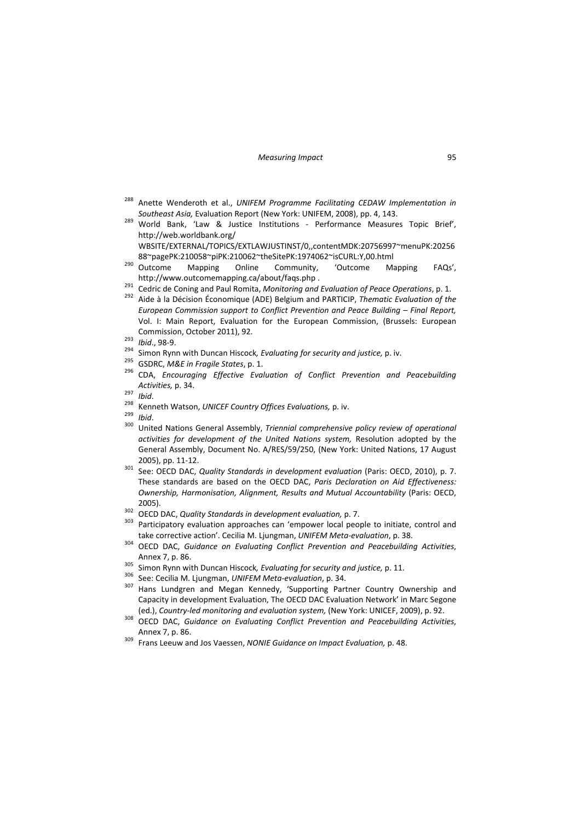- <sup>288</sup> Anette Wenderoth et al., *UNIFEM Programme Facilitating CEDAW Implementation in*
- *Southeast Asia,* Evaluation Report (New York: UNIFEM, 2008), pp. 4, 143. <sup>289</sup> World Bank, 'Law & Justice Institutions ‐ Performance Measures Topic Brief', http://web.worldbank.org/ WBSITE/EXTERNAL/TOPICS/EXTLAWJUSTINST/0,,contentMDK:20756997~menuPK:20256
- 88~pagePK:210058~piPK:210062~theSitePK:1974062~isCURL:Y,00.html <sup>290</sup> Outcome Mapping Online Community, 'Outcome Mapping FAQs',
- http://www.outcomemapping.ca/about/faqs.php .<br><sup>291</sup> Cedric de Coning and Paul Romita, *Monitoring and Evaluation of Peace Operations*, p. 1.<br><sup>292</sup> Aide à la Décision Économique (ADE) Belgium and PARTICIP, *Thematic Evaluat*
- *European Commission support to Conflict Prevention and Peace Building – Final Report,* Vol. I: Main Report, Evaluation for the European Commission, (Brussels: European Commission, October 2011), 92.<br>
<sup>293</sup> *Ibid.*, 98-9.<br>
<sup>294</sup> Simon Rynn with Duncan Hiscock, Evaluating for security and justice, p. iv.<br>
<sup>295</sup> GSDRC, M&E in Fragile States, p. 1.<br>
<sup>296</sup> CDA, Encouraging Effective Evaluatio
- 
- 
- 
- Activities, p. 34.<br>
<sup>297</sup> Ibid.<br>
<sup>298</sup> Kenneth Watson, UNICEF Country Offices Evaluations, p. iv.<br>
<sup>299</sup> Ibid.<br>
<sup>300</sup> United Nations General Assembly, Triennial comprehensive policy review of operational
- 
- 
- 
- *activities for development of the United Nations system,* Resolution adopted by the General Assembly, Document No. A/RES/59/250, (New York: United Nations, 17 August
- 2005), pp. <sup>11</sup>‐12. <sup>301</sup> See: OECD DAC, *Quality Standards in development evaluation* (Paris: OECD, 2010), p. 7. These standards are based on the OECD DAC, *Paris Declaration on Aid Effectiveness: Ownership, Harmonisation, Alignment, Results and Mutual Accountability* (Paris: OECD,
- 
- 2005). <sup>302</sup> OECD DAC, *Quality Standards in development evaluation,* p. 7. <sup>303</sup> Participatory evaluation approaches can 'empower local people to initiate, control and take corrective action'. Cecilia M. Ljungman, UNIFEM Meta-evaluation, p. 38.<br><sup>304</sup> OECD DAC, *Guidance on Evaluating Conflict Prevention and Peacebuilding Activities*,
- Annex 7, p. 86.<br><sup>305</sup> Simon Rynn with Duncan Hiscock, *Evaluating for security and justice*, p. 11.<br><sup>306</sup> See: Cecilia M. Ljungman, *UNIFEM Meta-evaluation*, p. 34.<br><sup>307</sup> Hans Lundgren and Megan Kennedy, 'Supporting Partne
- 
- 
- Capacity in development Evaluation, The OECD DAC Evaluation Network' in Marc Segone
- (ed.), Country-led monitoring and evaluation system, (New York: UNICEF, 2009), p. 92.<br><sup>308</sup> OECD DAC, Guidance on Evaluating Conflict Prevention and Peacebuilding Activities,
- Annex 7, p. 86. <sup>309</sup> Frans Leeuw and Jos Vaessen, *NONIE Guidance on Impact Evaluation,* p. 48.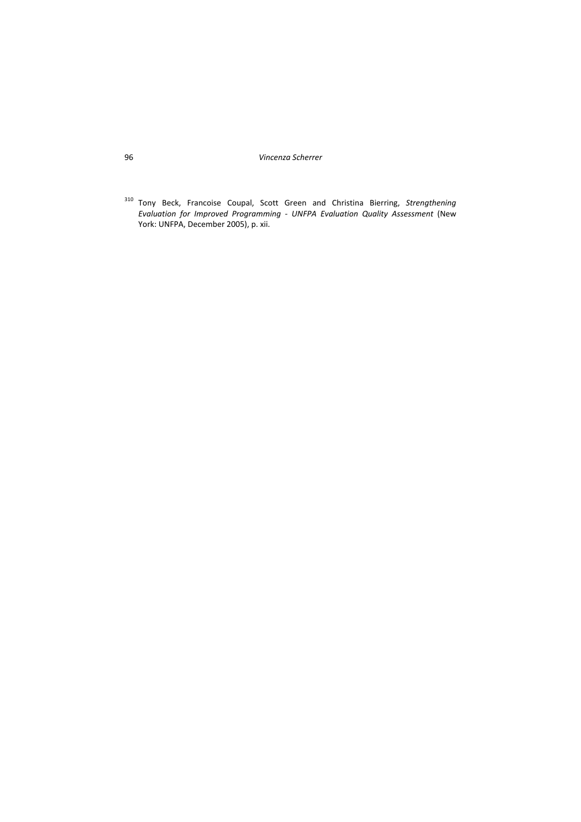<sup>310</sup> Tony Beck, Francoise Coupal, Scott Green and Christina Bierring, *Strengthening Evaluation for Improved Programming ‐ UNFPA Evaluation Quality Assessment* (New York: UNFPA, December 2005), p. xii.